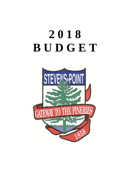# **2 0 1 8 B U D G E T**

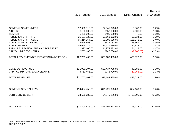|                   |                                                                                                                    |                                                                                                                    | Percent                                                                           |
|-------------------|--------------------------------------------------------------------------------------------------------------------|--------------------------------------------------------------------------------------------------------------------|-----------------------------------------------------------------------------------|
|                   |                                                                                                                    |                                                                                                                    | of Change                                                                         |
|                   |                                                                                                                    |                                                                                                                    |                                                                                   |
|                   |                                                                                                                    |                                                                                                                    |                                                                                   |
|                   |                                                                                                                    |                                                                                                                    | 0.29%                                                                             |
|                   |                                                                                                                    |                                                                                                                    | 1.33%                                                                             |
|                   |                                                                                                                    | 0.00                                                                                                               | 0.00%                                                                             |
| \$5,107,728.00    | \$5,163,362.00                                                                                                     | 55,634.00                                                                                                          | 1.09%                                                                             |
| \$5,214,164.00    | \$5,395,905.00                                                                                                     | 181,741.00                                                                                                         | 3.49%                                                                             |
| \$648,463.00      | \$674,132.00                                                                                                       | 25,669.00                                                                                                          | 3.96%                                                                             |
| \$5,644,726.00    | \$5,727,539.00                                                                                                     | 82,813.00                                                                                                          | 1.47%                                                                             |
| \$1,890,400.00    | \$1,974,822.00                                                                                                     | 84,422.00                                                                                                          | 4.47%                                                                             |
| \$753,465.00      | \$745,700.00                                                                                                       | (7,765.00)                                                                                                         | $-1.03%$                                                                          |
| \$22,750,462.00   | \$23,183,485.00                                                                                                    | 433,023.00                                                                                                         | 1.90%                                                                             |
|                   |                                                                                                                    |                                                                                                                    |                                                                                   |
|                   |                                                                                                                    |                                                                                                                    | 2.00%                                                                             |
|                   |                                                                                                                    |                                                                                                                    | $-1.03%$                                                                          |
| \$22,750,462.00   | \$23,183,485.00                                                                                                    | 433,023.00                                                                                                         | 1.90%                                                                             |
|                   |                                                                                                                    |                                                                                                                    |                                                                                   |
| \$10,867,756.00   | \$11,221,925.00                                                                                                    | 354,169.00                                                                                                         | 3.26%                                                                             |
|                   |                                                                                                                    |                                                                                                                    |                                                                                   |
|                   |                                                                                                                    |                                                                                                                    | 40.72%                                                                            |
|                   |                                                                                                                    |                                                                                                                    |                                                                                   |
| \$14,403,436.00 * | \$16,197,211.00 *                                                                                                  | 1,793,775.00                                                                                                       | 12.45%                                                                            |
|                   | 2017 Budget<br>\$2,936,516.00<br>\$150,000.00<br>\$405,000.00<br>\$21,996,997.00<br>\$753,465.00<br>\$3,535,680.00 | 2018 Budget<br>\$2,945,025.00<br>\$152,000.00<br>\$405,000.00<br>\$22,437,785.00<br>\$745,700.00<br>\$4,975,286.00 | Dollar Change<br>8,509.00<br>2,000.00<br>440,788.00<br>(7,765.00)<br>1,439,606.00 |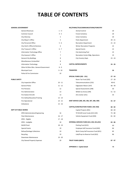## **TABLE OF CONTENTS**

### **GENERAL GOVERNMENT**

| <b>General Revenues</b>                | $1 - 4$  |
|----------------------------------------|----------|
| <b>Common Council</b>                  | 4 - 5    |
| City Attorney                          | 5        |
| City Mayor's Office                    | 5        |
| City Personnel Office                  | 5 - 6    |
| City Clerk's Office & Elections        | 6        |
| City Treasurer's Office                | $6 - 7$  |
| <b>Information Technology Office</b>   | 7        |
| City Assessor's Office                 | 7        |
| <b>General City Buildings</b>          | 8        |
| Miscellaneous Unclassified             | 8        |
| <b>Information Technology</b>          | 8        |
| Other & Other Misc. General Government | 8 - 9    |
| <b>Municipal Court</b>                 | $9 - 10$ |
| Police & Fire Commission               | 10       |

### **PUBLIC SAFETY**

| City Inspection Office         | $10 - 11$ |
|--------------------------------|-----------|
| <b>General Police</b>          | $11 - 12$ |
| <b>Fire Pensions</b>           | 12        |
| Fire Administration            | 13        |
| Fire Station #1 & #2           | 13        |
| Fire Safety/Education/Training | $13 - 14$ |
| <b>Fire Operational</b>        | $14 - 15$ |
| Ambulance                      | $15 - 16$ |

#### **DEPT OF PUBLIC WORKS**

| DPW Administration/Engineering | 16        |
|--------------------------------|-----------|
| <b>Fleet Maintenance</b>       | $16 - 17$ |
| DPW - Eligible                 | $17 - 18$ |
| DPW - Ineligible               | 18        |
| <b>McDill Pond</b>             | $18 - 19$ |
| <b>Special Events</b>          | 19        |
| Refuse/Garbage Collections     | 19        |
| Recycling                      | 19        |
| Downtown Maintenance           | $19 - 20$ |
| City Owned Property Expenses   | 20        |

| ERNMENT                                |           | REC/PARKS/TELECOMMUNICATIONS/FORESTRY             |           |
|----------------------------------------|-----------|---------------------------------------------------|-----------|
| <b>General Revenues</b>                | $1 - 4$   | Animal Control                                    | 20        |
| Common Council                         | $4 - 5$   | <b>Forest Cemetery</b>                            | 20        |
| City Attorney                          | 5         | Union Cemetery                                    | 20        |
| City Mayor's Office                    | 5         | Parks Department                                  | $20 - 21$ |
| City Personnel Office                  | $5 - 6$   | <b>Recreation Department</b>                      | $21 - 22$ |
| City Clerk's Office & Elections        | 6         | <b>Winter Recreation Programs</b>                 | 22        |
| City Treasurer's Office                | $6 - 7$   | Special Events                                    | 22        |
| Information Technology Office          | 7         | <b>City Swimming Pool</b>                         | 23        |
| City Assessor's Office                 | 7         | Recreation Center Bldg. Operations                | 23        |
| <b>General City Buildings</b>          | 8         | City Forestry Dept.                               | $23 - 24$ |
| Miscellaneous Unclassified             | 8         |                                                   |           |
| <b>Information Technology</b>          | 8         | <b>CAPITAL IMPROVEMENTS</b>                       | 24 - 26   |
| Other & Other Misc. General Government | $8 - 9$   |                                                   |           |
| <b>Municipal Court</b>                 | $9 - 10$  | <b>TRANSFERS</b>                                  | 26        |
| Police & Fire Commission               | 10        |                                                   |           |
|                                        |           | <b>SPECIAL FUNDS (202 - 251)</b>                  | $27 - 54$ |
|                                        |           | Room Tax Fund (202)                               | $27 - 28$ |
| City Inspection Office                 | $10 - 11$ | Telecommunications (232)                          | 40-41     |
| <b>General Police</b>                  | $11 - 12$ | Edgewater Manor (247)                             | 48 - 49   |
| <b>Fire Pensions</b>                   | 12        | Special Assessments (248)                         | 50        |
| Fire Administration                    | 13        | Willett Ice Arena (249)                           | $51 - 52$ |
| Fire Station #1 & #2                   | 13        | Arts Center (251)                                 | 54        |
| Fire Safety/Education/Training         | $13 - 14$ |                                                   |           |
| <b>Fire Operational</b>                | $14 - 15$ | DEBT SERVICE (300, 305, 306, 307, 308, 309)       | $55 - 67$ |
| Ambulance                              | $15 - 16$ |                                                   |           |
|                                        |           | CAPITAL/CONSTRUCTION FUNDS (401-450)              | $68 - 82$ |
| C WORKS                                |           | Capital Projects (401)                            | $68 - 69$ |
| DPW Administration/Engineering         | 16        | TIF #5-#9 Const Funds (415-419)                   | 73 - 80   |
| <b>Fleet Maintenance</b>               | $16 - 17$ | Vehicle Equipment Fund (450)                      | $81 - 82$ |
| DPW - Eligible                         | $17 - 18$ |                                                   |           |
| DPW - Ineligible                       | 18        | <b>INTERNAL SERVICES FUND (615, 650, 651,652)</b> | 83 - 86   |
| McDill Pond                            | $18 - 19$ | Parking Fund (615)                                | 83        |
| <b>Special Events</b>                  | 19        | Employee Self Insurance Fund (650)                | 84        |
| Refuse/Garbage Collections             | 19        | Work Comp Self Insurance Fund (651)               | 85        |
| Recycling                              | 19        | Liab/Prop Ins Reserve Fund (652)                  | 86        |
| Downtown Maintenance                   | $19 - 20$ |                                                   |           |
| City Owned Property Expenses           | 20        | TRUST FUNDS (800'S)                               | $87 - 97$ |

**APPENDIX A - Capital detail** 98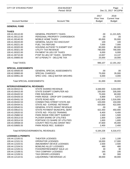| <b>CITY OF STEVENS POINT</b>      | 2018 BUDGET<br>Period: 00/18       |                                     | Page:<br>$\overline{1}$<br>Dec 21, 2017 04:22PM |
|-----------------------------------|------------------------------------|-------------------------------------|-------------------------------------------------|
| <b>Account Number</b>             | <b>Account Title</b>               | 2017<br>Prior Year<br><b>Budget</b> | 2018<br><b>Current Year</b><br><b>Budget</b>    |
| <b>GENERAL FUND</b>               |                                    |                                     |                                                 |
| <b>TAXES</b>                      |                                    |                                     |                                                 |
| 100.41.00110.00                   | <b>GENERAL PROPERTY TAXES</b>      | .00                                 | 11,221,925                                      |
| 100.41.00112.00                   | PERSONAL PROPERTY CHARGEBACK       | .00                                 | .00                                             |
| 100.41.00140.00                   | <b>MOBILE HOME TAXES</b>           | 65,000                              | 55,000                                          |
| 100.41.00220.00                   | <b>GENERAL SALES TAX DISCOUNT</b>  | 100                                 | 100                                             |
| 100.41.00221.00                   | FUEL TAX REFUND                    | 7,000                               | 7,000                                           |
| 100.41.00320.00                   | HOUSING AUTHOR TX EXEMPT ENT       | 80,000                              | 80,000                                          |
| 100.41.00321.00                   | UTILITY TAX REVENUE                | 790,000                             | 790,000                                         |
| 100.41.00322.00                   | PAYMENT IN LIEU OF TAXES           | 6,000                               | 6,000                                           |
| 100.41.00710.00                   | PYMT IN LIEU OF TAXES - SHOPKO     | 13,007                              | 13,137                                          |
| 100.41.00800.00                   | INT & PENALTY - DELQ RE TAX        | 25,000                              | 18,000                                          |
| <b>Total TAXES:</b>               |                                    | 986,107                             | 12,191,162                                      |
| <b>SPECIAL ASSESSMENTS</b>        |                                    |                                     |                                                 |
| 100.42.00500.00                   | <b>GENERAL SPECIAL ASSESSMENTS</b> | .00                                 | .00                                             |
| 100.42.00900.00                   | <b>SPECIAL CHARGES</b>             | 75,000                              | 35,000                                          |
| 100.42.00951.00                   | SPEC CHG - DELQ WATER SRCHRG       | 6,000                               | 4,000                                           |
| Total SPECIAL ASSESSMENTS:        |                                    | 81,000                              | 39,000                                          |
| <b>INTERGOVERNMENTAL REVENUES</b> |                                    |                                     |                                                 |
| 100.43.00410.51                   | <b>STATE SHARED REVENUE</b>        | 3,348,000                           | 3,344,000                                       |
| 100.43.00415.00                   | STATE EXEMPT COMPUTER AID          | 335,000                             | 335,000                                         |
| 100.43.00420.52                   | <b>FIRE INSURANCE</b>              | 75,000                              | 80,000                                          |
| 100.43.00426.53                   | PARK RIDGE - DROP OFF CHARGES      | 6,869                               | 6,972                                           |
| 100.43.00431.53                   | <b>STATE ROAD AIDS</b>             | 1,412,909                           | 1,516,000                                       |
| 100.43.00432.53                   | CONNECTING STREET STATE AID        | 103,000                             | 104,000                                         |
| 100.43.00434.51                   | STATE AID - EXPEND. RETRAINT       | 420,000                             | 422,000                                         |
| 100.43.00540.51                   | <b>GENERAL STATE GRANT REVENUE</b> | .00                                 | .00                                             |
| 100.43.00610.51                   | STATE PAYMENT MUNICIPAL SERV       | 422,350                             | 450,000                                         |
| 100.43.20520.52                   | STATE AID - POLICE TRAINING        | 6,400                               | 6,400                                           |
| 100.43.25860.52                   | PARK RIDGE FIRE DEPT SUBSIDY       | 1,500                               | 1,500                                           |
| 100.43.30313.53                   | PLOVER SHARE OF UTILITIES          | 1,600                               | 1,600                                           |
| 100.43.30314.53                   | PORTAGE CO SHARE OF UTILITIES      | 1,600                               | 1,600                                           |
| 100.43.30558.53                   | <b>COUNTY RECYCLING GRANT REV</b>  | 47,600                              | 45,000                                          |
| 100.43.50605.55                   | PARK RIDGE REC. SUBSIDY            | 2,400                               | 2,400                                           |
|                                   | Total INTERGOVERNMENTAL REVENUES:  | 6,184,228                           | 6,316,472                                       |
| <b>LICENSES &amp; PERMITS</b>     |                                    |                                     |                                                 |
| 100.44.12100.51                   | <b>THEATER LICENSES</b>            | 1,100                               | 1,100                                           |
| 100.44.12101.51                   | <b>OPERATOR LICENSES</b>           | 18,000                              | 17,000                                          |
| 100.44.12103.51                   | AMUSEMENT DEVICE LICENSES          | 2,500                               | 2,500                                           |
| 100.44.12104.51                   | <b>BOWLING ALLEY LICENSES</b>      | 480                                 | 480                                             |
| 100.44.12105.51                   | FOOD/REFRESHMENT SALE LIC          | 30                                  | 30                                              |
| 100.44.12108.51                   | <b>TAXI COMPANY LICENSES</b>       | 165                                 | 195                                             |
| 100.44.12109.51                   | <b>TAXI DRIVER LICENSES</b>        | 90                                  | 300                                             |
| 100.44.12110.51                   | LIQUOR/MALT BEVERAGE LIC           | 39,000                              | 40,000                                          |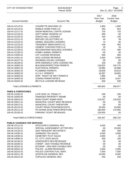| <b>CITY OF STEVENS POINT</b>         | 2018 BUDGET<br>Period: 00/18       |                                     | Page:<br>$\overline{2}$<br>Dec 21, 2017 04:22PM |
|--------------------------------------|------------------------------------|-------------------------------------|-------------------------------------------------|
| <b>Account Number</b>                | <b>Account Title</b>               | 2017<br>Prior Year<br><b>Budget</b> | 2018<br><b>Current Year</b><br><b>Budget</b>    |
| 100.44.12113.51                      | <b>CIGARETTE MACHINE LIC</b>       | 1,800                               | 1,900                                           |
| 100.44.12114.51                      | <b>MOBILE HOME PARK LIC</b>        | 463                                 | 653                                             |
| 100.44.12117.51                      | SNOW REMOVAL CONTR LICENSE         | 720                                 | 720                                             |
| 100.44.12118.51                      | SOFT DRINK VENDOR LIC              | 300                                 | .00                                             |
| 100.44.12120.51                      | <b>DANCE HALL LICENSES</b>         | 155                                 | 135                                             |
| 100.44.12121.51                      | REFUSE COLLECTORS LIC              | 44                                  | 39                                              |
| 100.44.12122.51                      | ANIMAL DEALERS LICENSES            | 72                                  | .00                                             |
| 100.44.12123.51                      | <b>TRANSIENT MERCHANTS LIC</b>     | 438                                 | 400                                             |
| 100.44.12126.51                      | CEMENT CONTRACTOR'S LIC            | 20                                  | 20                                              |
| 100.44.12129.51                      | SECONDHAND DEALERS LICENSES        | 270                                 | 480                                             |
| 100.44.12130.51                      | <b>HOBBY ANIMAL PERMITS</b>        | .00                                 | .00                                             |
| 100.44.14200.51                      | <b>CAT LICENSE REVENUE</b>         | 500                                 | 500                                             |
| 100.44.14201.51                      | <b>DOG LICENSE REVENUE</b>         | 2,000                               | 2,000                                           |
| 100.44.18127.51                      | ROOMING HOUSE LICENSES             | .00                                 | .00                                             |
| 100.44.18128.51                      | DPW-SIDEWALK CAFE LICENSE FEE      | 100                                 | 100                                             |
| 100.44.18300.52                      | <b>BUILDING/INSPECTION PERMITS</b> | 116,623                             | 144,775                                         |
| 100.44.18301.52                      | <b>ELECTRICAL PERMITS</b>          | 23,992                              | 32,688                                          |
| 100.44.18302.52                      | <b>PLUMBING PERMITS</b>            | 19,009                              | 26,523                                          |
| 100.44.18303.52                      | H.V.A.C. PERMITS                   | 16,397                              | 18,692                                          |
| 100.44.18305.52                      | DPW - RIGHT OF WAY PERMITS         | 7,985                               | .00                                             |
| 100.44.18400.52                      | <b>ZONING PERMITS/FEE'S</b>        | 8,000                               | 8,247                                           |
| 100.44.20202.52                      | <b>BICYCLE LICENSE REVENUE</b>     | 600                                 | 500                                             |
| <b>Total LICENSES &amp; PERMITS:</b> |                                    | 260,853                             | 299,977                                         |
| <b>FINES &amp; FORFEITURES</b>       |                                    |                                     |                                                 |
| 100.45.14150.51                      | LATE DOG LIC. PENALTY              | 200                                 | 200                                             |
| 100.45.19250.00                      | DAMAGED PROPERTY REIMB             | .00                                 | .00                                             |
| 100.45.20010.51                      | MUNI COURT ADMIN FEES              | 119,257                             | 118,520                                         |
| 100.45.20011.51                      | MUNICIPAL COURT MISC REVENUE       | .00                                 | .00                                             |
| 100.45.20012.51                      | MUNICIPAL COURT FINES/FORF         | .00                                 | .00                                             |
| 100.45.20110.52                      | COURT PENALTIES/FINES/COSTS        | 25,000                              | 20,000                                          |
| 100.45.20111.52                      | PD SHARE MUNI FINE/FORFEITURE      | 160,000                             | 170,000                                         |
| 100.45.20130.52                      | PARKING TICKET REVENUES            | 130,000                             | .00                                             |
| Total FINES & FORFEITURES:           |                                    | 434,457                             | 308,720                                         |
| <b>PUBLIC CHARGES FOR SERVICES</b>   |                                    |                                     |                                                 |
| 100.46.12111.51                      | (NT)CLERK'S GENERAL REV            | 3,500                               | 450                                             |
| 100.46.12131.51                      | SPECIAL ASSESSMENT LETTER REV      | .00                                 | 25,000                                          |
| 100.46.14120.51                      | <b>GEN TREASURY REV'S/FEE'S</b>    | 300                                 | 300                                             |
| 100.46.14435.51                      | <b>GARBAGE TAG SALES</b>           | 4,000                               | 4,000                                           |
| 100.46.14540.51                      | CEMETERY PLOT SALES                | 3,000                               | .00                                             |
| 100.46.14606.51                      | (T) CITY LOGO SALES                | 300                                 | 100                                             |
| 100.46.16130.51                      | ASSESSOR'S GEN REVENUES            | .00                                 | .00                                             |
| 100.46.18160.51                      | (T)INSP - GEN TAXABLE REVENUE      | .00                                 | .00                                             |
| 100.46.18161.51                      | (NT)INSP - GEN NON-TAXABLE REV     | .00                                 | .00                                             |
| 100.46.20201.52                      | POLICE - ALARM REVENUES            | 2,000                               | 2,000                                           |
| 100.46.20210.52                      | POLICE CONTRACTUAL SERV            | 7,500                               | 7,500                                           |
| 100.46.20211.20                      | (NT)POLICE GENERAL REV             | 10,000                              | 8,000                                           |
| 100.46.20212.52                      | (T)POLICE GENERAL REV              | 250                                 | 250                                             |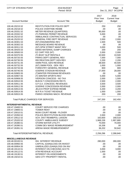| 2017<br>2018<br><b>Current Year</b><br>Prior Year<br><b>Account Number</b><br><b>Account Title</b><br><b>Budget</b><br><b>Budget</b><br>RESTITUTION FOR POLICE DEPT<br>100.46.20215.52<br>250<br>250<br>100.46.20218.52<br>POLICE OVERTIME REIMB<br>.00<br>.00<br>METER REVENUE (QUARTERS)<br>95,000<br>100.46.20331.52<br>.00<br>100.46.20332.52<br>(T) PARKING PERMIT REVENUE<br>5,000<br>.00<br>100.46.25210.52<br>AMBULANCE CONTRACTUAL SERVICES<br>.00<br>.00<br><b>GENERAL FIRE DEPT REVENUE</b><br>100.46.25220.52<br>2,000<br>2,000<br>(NT) ENGINEERING REV<br>100.46.30301.53<br>1,500<br>500<br>MESSAGE BOARD REVENUE<br>.00<br>100.46.30302.53<br>.00<br>(NT) DPW STREET MAINT REV<br>500<br>100.46.30311.53<br>3,000<br>DEMO MATERIAL DUMP CHARGES<br>200<br>200<br>100.46.30425.53<br>EZ CART FEE (NT)<br>2,000<br>2,000<br>100.46.30500.53<br>(T) BOAT SLIP RENTALS<br>100.46.50370.55<br>10,500<br>10,500<br>PARKS DEPT GENERAL REV<br>100.46.50720.55<br>7,000<br>7,000<br><b>RECREATION DEPT GEN REV</b><br>100.46.50730.55<br>2,200<br>2,200<br>SWIM POOL GEN REVENUE<br>100.46.50731.55<br>38,500<br>40,500<br>(NT) SWIM POOL GEN REV<br>1,000<br>100.46.50732.55<br>1,000<br>FORESTRY GENERAL REVENUE<br>800<br>800<br>100.46.50733.56<br><b>GOERKE STADIUM REVENUE</b><br>27,000<br>28,000<br>100.46.50740.55<br>(T) WINTER PROGRAM REVENUES<br>100.46.50905.55<br>.00<br>.00<br>(T) WINTER SPORTS REV<br>5,000<br>5,000<br>100.46.50907.55<br><b>IVERSON CONCESS - NO TAX</b><br>2,000<br>1,500<br>100.46.50908.55<br><b>BUKOLT CONCESSION REV'S</b><br>2,000<br>100.46.50910.55<br>2,500<br>S.P.S.A. CONCESS. REVENUES<br>3,500<br>100.46.50911.55<br>3,500<br><b>GOERKE CONCESSION REVENUE</b><br>2,000<br>2,000<br>100.46.50912.55<br><b>JELICH PROP EXPEND REIMB</b><br>100.46.50913.55<br>4,200<br>4,200<br><b>W.P.R.A TICKET REVENUE</b><br>100.46.50914.55<br>1,000<br>1,000<br>PARKS VENDING MACH. REVENUE<br>200<br>100.46.50915.55<br>200<br><b>Total PUBLIC CHARGES FOR SERVICES:</b><br>247,200<br>162,450<br><b>INTERDEPARTMENTAL REVENUE</b><br><b>COURT SERVICE FEE CHARGES</b><br>100.47.19400.51<br>.00<br>.00<br><b>TOWER RENT</b><br>.00<br>.00<br>100.47.19800.51<br>MUNI COURT REIMB - PLOVER<br>.00<br>.00<br>100.47.20010.51<br>100.47.20350.52<br>POLICE-RESTITUTION BLOOD DRAWS<br>2,000<br>2,000<br>SCH. DIST REIMB/POL LIAISON<br>163,600<br>100.47.20512.52<br>168,518<br><b>COUNTY AMBULANCE SUBSIDY</b><br>1,968,158<br>100.47.25320.52<br>1,997,680<br><b>STORM WATER UTILITY</b><br>100.47.26380.51<br>70,000<br>70,000<br>COMM DEV WAGE REIMBURSEMENT<br>100.47.26390.51<br>16,336<br>.00<br>ARENA WAGE REIMBURSEMENT<br>100.47.26391.51<br>36,202<br>50,642<br>Total INTERDEPARTMENTAL REVENUE:<br>2,256,296<br>2,288,840<br><b>MISCELLANEOUS REVENUE</b><br><b>INV. INTEREST REVENUE</b><br>280,000<br>100.48.00100.51<br>280,000<br>CAPITAL (GAIN)/LOSS ON INVEST<br>100.48.00950.55<br>.00<br>.00<br>UNREALIZED (GAIN)/LOSS ON INV<br>.00<br>100.48.00954.55<br>.00<br><b>INTEREST ON CHECKING ACCTS</b><br>3,000<br>100.48.19110.51<br>3,000 | CITY OF STEVENS POINT | 2018 BUDGET<br>Period: 00/18 | Page:<br>3<br>Dec 21, 2017 04:22PM |
|----------------------------------------------------------------------------------------------------------------------------------------------------------------------------------------------------------------------------------------------------------------------------------------------------------------------------------------------------------------------------------------------------------------------------------------------------------------------------------------------------------------------------------------------------------------------------------------------------------------------------------------------------------------------------------------------------------------------------------------------------------------------------------------------------------------------------------------------------------------------------------------------------------------------------------------------------------------------------------------------------------------------------------------------------------------------------------------------------------------------------------------------------------------------------------------------------------------------------------------------------------------------------------------------------------------------------------------------------------------------------------------------------------------------------------------------------------------------------------------------------------------------------------------------------------------------------------------------------------------------------------------------------------------------------------------------------------------------------------------------------------------------------------------------------------------------------------------------------------------------------------------------------------------------------------------------------------------------------------------------------------------------------------------------------------------------------------------------------------------------------------------------------------------------------------------------------------------------------------------------------------------------------------------------------------------------------------------------------------------------------------------------------------------------------------------------------------------------------------------------------------------------------------------------------------------------------------------------------------------------------------------------------------------------------------------------------------------------------------------------------------------------------------------------------------------------------------------------------------------------------------------------------------------------------------------------------------------------------------------------------------------------------------------------------------------------------------------------------------|-----------------------|------------------------------|------------------------------------|
|                                                                                                                                                                                                                                                                                                                                                                                                                                                                                                                                                                                                                                                                                                                                                                                                                                                                                                                                                                                                                                                                                                                                                                                                                                                                                                                                                                                                                                                                                                                                                                                                                                                                                                                                                                                                                                                                                                                                                                                                                                                                                                                                                                                                                                                                                                                                                                                                                                                                                                                                                                                                                                                                                                                                                                                                                                                                                                                                                                                                                                                                                                          |                       |                              |                                    |
|                                                                                                                                                                                                                                                                                                                                                                                                                                                                                                                                                                                                                                                                                                                                                                                                                                                                                                                                                                                                                                                                                                                                                                                                                                                                                                                                                                                                                                                                                                                                                                                                                                                                                                                                                                                                                                                                                                                                                                                                                                                                                                                                                                                                                                                                                                                                                                                                                                                                                                                                                                                                                                                                                                                                                                                                                                                                                                                                                                                                                                                                                                          |                       |                              |                                    |
|                                                                                                                                                                                                                                                                                                                                                                                                                                                                                                                                                                                                                                                                                                                                                                                                                                                                                                                                                                                                                                                                                                                                                                                                                                                                                                                                                                                                                                                                                                                                                                                                                                                                                                                                                                                                                                                                                                                                                                                                                                                                                                                                                                                                                                                                                                                                                                                                                                                                                                                                                                                                                                                                                                                                                                                                                                                                                                                                                                                                                                                                                                          |                       |                              |                                    |
|                                                                                                                                                                                                                                                                                                                                                                                                                                                                                                                                                                                                                                                                                                                                                                                                                                                                                                                                                                                                                                                                                                                                                                                                                                                                                                                                                                                                                                                                                                                                                                                                                                                                                                                                                                                                                                                                                                                                                                                                                                                                                                                                                                                                                                                                                                                                                                                                                                                                                                                                                                                                                                                                                                                                                                                                                                                                                                                                                                                                                                                                                                          |                       |                              |                                    |
|                                                                                                                                                                                                                                                                                                                                                                                                                                                                                                                                                                                                                                                                                                                                                                                                                                                                                                                                                                                                                                                                                                                                                                                                                                                                                                                                                                                                                                                                                                                                                                                                                                                                                                                                                                                                                                                                                                                                                                                                                                                                                                                                                                                                                                                                                                                                                                                                                                                                                                                                                                                                                                                                                                                                                                                                                                                                                                                                                                                                                                                                                                          |                       |                              |                                    |
|                                                                                                                                                                                                                                                                                                                                                                                                                                                                                                                                                                                                                                                                                                                                                                                                                                                                                                                                                                                                                                                                                                                                                                                                                                                                                                                                                                                                                                                                                                                                                                                                                                                                                                                                                                                                                                                                                                                                                                                                                                                                                                                                                                                                                                                                                                                                                                                                                                                                                                                                                                                                                                                                                                                                                                                                                                                                                                                                                                                                                                                                                                          |                       |                              |                                    |
|                                                                                                                                                                                                                                                                                                                                                                                                                                                                                                                                                                                                                                                                                                                                                                                                                                                                                                                                                                                                                                                                                                                                                                                                                                                                                                                                                                                                                                                                                                                                                                                                                                                                                                                                                                                                                                                                                                                                                                                                                                                                                                                                                                                                                                                                                                                                                                                                                                                                                                                                                                                                                                                                                                                                                                                                                                                                                                                                                                                                                                                                                                          |                       |                              |                                    |
|                                                                                                                                                                                                                                                                                                                                                                                                                                                                                                                                                                                                                                                                                                                                                                                                                                                                                                                                                                                                                                                                                                                                                                                                                                                                                                                                                                                                                                                                                                                                                                                                                                                                                                                                                                                                                                                                                                                                                                                                                                                                                                                                                                                                                                                                                                                                                                                                                                                                                                                                                                                                                                                                                                                                                                                                                                                                                                                                                                                                                                                                                                          |                       |                              |                                    |
|                                                                                                                                                                                                                                                                                                                                                                                                                                                                                                                                                                                                                                                                                                                                                                                                                                                                                                                                                                                                                                                                                                                                                                                                                                                                                                                                                                                                                                                                                                                                                                                                                                                                                                                                                                                                                                                                                                                                                                                                                                                                                                                                                                                                                                                                                                                                                                                                                                                                                                                                                                                                                                                                                                                                                                                                                                                                                                                                                                                                                                                                                                          |                       |                              |                                    |
|                                                                                                                                                                                                                                                                                                                                                                                                                                                                                                                                                                                                                                                                                                                                                                                                                                                                                                                                                                                                                                                                                                                                                                                                                                                                                                                                                                                                                                                                                                                                                                                                                                                                                                                                                                                                                                                                                                                                                                                                                                                                                                                                                                                                                                                                                                                                                                                                                                                                                                                                                                                                                                                                                                                                                                                                                                                                                                                                                                                                                                                                                                          |                       |                              |                                    |
|                                                                                                                                                                                                                                                                                                                                                                                                                                                                                                                                                                                                                                                                                                                                                                                                                                                                                                                                                                                                                                                                                                                                                                                                                                                                                                                                                                                                                                                                                                                                                                                                                                                                                                                                                                                                                                                                                                                                                                                                                                                                                                                                                                                                                                                                                                                                                                                                                                                                                                                                                                                                                                                                                                                                                                                                                                                                                                                                                                                                                                                                                                          |                       |                              |                                    |
|                                                                                                                                                                                                                                                                                                                                                                                                                                                                                                                                                                                                                                                                                                                                                                                                                                                                                                                                                                                                                                                                                                                                                                                                                                                                                                                                                                                                                                                                                                                                                                                                                                                                                                                                                                                                                                                                                                                                                                                                                                                                                                                                                                                                                                                                                                                                                                                                                                                                                                                                                                                                                                                                                                                                                                                                                                                                                                                                                                                                                                                                                                          |                       |                              |                                    |
|                                                                                                                                                                                                                                                                                                                                                                                                                                                                                                                                                                                                                                                                                                                                                                                                                                                                                                                                                                                                                                                                                                                                                                                                                                                                                                                                                                                                                                                                                                                                                                                                                                                                                                                                                                                                                                                                                                                                                                                                                                                                                                                                                                                                                                                                                                                                                                                                                                                                                                                                                                                                                                                                                                                                                                                                                                                                                                                                                                                                                                                                                                          |                       |                              |                                    |
|                                                                                                                                                                                                                                                                                                                                                                                                                                                                                                                                                                                                                                                                                                                                                                                                                                                                                                                                                                                                                                                                                                                                                                                                                                                                                                                                                                                                                                                                                                                                                                                                                                                                                                                                                                                                                                                                                                                                                                                                                                                                                                                                                                                                                                                                                                                                                                                                                                                                                                                                                                                                                                                                                                                                                                                                                                                                                                                                                                                                                                                                                                          |                       |                              |                                    |
|                                                                                                                                                                                                                                                                                                                                                                                                                                                                                                                                                                                                                                                                                                                                                                                                                                                                                                                                                                                                                                                                                                                                                                                                                                                                                                                                                                                                                                                                                                                                                                                                                                                                                                                                                                                                                                                                                                                                                                                                                                                                                                                                                                                                                                                                                                                                                                                                                                                                                                                                                                                                                                                                                                                                                                                                                                                                                                                                                                                                                                                                                                          |                       |                              |                                    |
|                                                                                                                                                                                                                                                                                                                                                                                                                                                                                                                                                                                                                                                                                                                                                                                                                                                                                                                                                                                                                                                                                                                                                                                                                                                                                                                                                                                                                                                                                                                                                                                                                                                                                                                                                                                                                                                                                                                                                                                                                                                                                                                                                                                                                                                                                                                                                                                                                                                                                                                                                                                                                                                                                                                                                                                                                                                                                                                                                                                                                                                                                                          |                       |                              |                                    |
|                                                                                                                                                                                                                                                                                                                                                                                                                                                                                                                                                                                                                                                                                                                                                                                                                                                                                                                                                                                                                                                                                                                                                                                                                                                                                                                                                                                                                                                                                                                                                                                                                                                                                                                                                                                                                                                                                                                                                                                                                                                                                                                                                                                                                                                                                                                                                                                                                                                                                                                                                                                                                                                                                                                                                                                                                                                                                                                                                                                                                                                                                                          |                       |                              |                                    |
|                                                                                                                                                                                                                                                                                                                                                                                                                                                                                                                                                                                                                                                                                                                                                                                                                                                                                                                                                                                                                                                                                                                                                                                                                                                                                                                                                                                                                                                                                                                                                                                                                                                                                                                                                                                                                                                                                                                                                                                                                                                                                                                                                                                                                                                                                                                                                                                                                                                                                                                                                                                                                                                                                                                                                                                                                                                                                                                                                                                                                                                                                                          |                       |                              |                                    |
|                                                                                                                                                                                                                                                                                                                                                                                                                                                                                                                                                                                                                                                                                                                                                                                                                                                                                                                                                                                                                                                                                                                                                                                                                                                                                                                                                                                                                                                                                                                                                                                                                                                                                                                                                                                                                                                                                                                                                                                                                                                                                                                                                                                                                                                                                                                                                                                                                                                                                                                                                                                                                                                                                                                                                                                                                                                                                                                                                                                                                                                                                                          |                       |                              |                                    |
|                                                                                                                                                                                                                                                                                                                                                                                                                                                                                                                                                                                                                                                                                                                                                                                                                                                                                                                                                                                                                                                                                                                                                                                                                                                                                                                                                                                                                                                                                                                                                                                                                                                                                                                                                                                                                                                                                                                                                                                                                                                                                                                                                                                                                                                                                                                                                                                                                                                                                                                                                                                                                                                                                                                                                                                                                                                                                                                                                                                                                                                                                                          |                       |                              |                                    |
|                                                                                                                                                                                                                                                                                                                                                                                                                                                                                                                                                                                                                                                                                                                                                                                                                                                                                                                                                                                                                                                                                                                                                                                                                                                                                                                                                                                                                                                                                                                                                                                                                                                                                                                                                                                                                                                                                                                                                                                                                                                                                                                                                                                                                                                                                                                                                                                                                                                                                                                                                                                                                                                                                                                                                                                                                                                                                                                                                                                                                                                                                                          |                       |                              |                                    |
|                                                                                                                                                                                                                                                                                                                                                                                                                                                                                                                                                                                                                                                                                                                                                                                                                                                                                                                                                                                                                                                                                                                                                                                                                                                                                                                                                                                                                                                                                                                                                                                                                                                                                                                                                                                                                                                                                                                                                                                                                                                                                                                                                                                                                                                                                                                                                                                                                                                                                                                                                                                                                                                                                                                                                                                                                                                                                                                                                                                                                                                                                                          |                       |                              |                                    |
|                                                                                                                                                                                                                                                                                                                                                                                                                                                                                                                                                                                                                                                                                                                                                                                                                                                                                                                                                                                                                                                                                                                                                                                                                                                                                                                                                                                                                                                                                                                                                                                                                                                                                                                                                                                                                                                                                                                                                                                                                                                                                                                                                                                                                                                                                                                                                                                                                                                                                                                                                                                                                                                                                                                                                                                                                                                                                                                                                                                                                                                                                                          |                       |                              |                                    |
|                                                                                                                                                                                                                                                                                                                                                                                                                                                                                                                                                                                                                                                                                                                                                                                                                                                                                                                                                                                                                                                                                                                                                                                                                                                                                                                                                                                                                                                                                                                                                                                                                                                                                                                                                                                                                                                                                                                                                                                                                                                                                                                                                                                                                                                                                                                                                                                                                                                                                                                                                                                                                                                                                                                                                                                                                                                                                                                                                                                                                                                                                                          |                       |                              |                                    |
|                                                                                                                                                                                                                                                                                                                                                                                                                                                                                                                                                                                                                                                                                                                                                                                                                                                                                                                                                                                                                                                                                                                                                                                                                                                                                                                                                                                                                                                                                                                                                                                                                                                                                                                                                                                                                                                                                                                                                                                                                                                                                                                                                                                                                                                                                                                                                                                                                                                                                                                                                                                                                                                                                                                                                                                                                                                                                                                                                                                                                                                                                                          |                       |                              |                                    |
|                                                                                                                                                                                                                                                                                                                                                                                                                                                                                                                                                                                                                                                                                                                                                                                                                                                                                                                                                                                                                                                                                                                                                                                                                                                                                                                                                                                                                                                                                                                                                                                                                                                                                                                                                                                                                                                                                                                                                                                                                                                                                                                                                                                                                                                                                                                                                                                                                                                                                                                                                                                                                                                                                                                                                                                                                                                                                                                                                                                                                                                                                                          |                       |                              |                                    |
|                                                                                                                                                                                                                                                                                                                                                                                                                                                                                                                                                                                                                                                                                                                                                                                                                                                                                                                                                                                                                                                                                                                                                                                                                                                                                                                                                                                                                                                                                                                                                                                                                                                                                                                                                                                                                                                                                                                                                                                                                                                                                                                                                                                                                                                                                                                                                                                                                                                                                                                                                                                                                                                                                                                                                                                                                                                                                                                                                                                                                                                                                                          |                       |                              |                                    |
|                                                                                                                                                                                                                                                                                                                                                                                                                                                                                                                                                                                                                                                                                                                                                                                                                                                                                                                                                                                                                                                                                                                                                                                                                                                                                                                                                                                                                                                                                                                                                                                                                                                                                                                                                                                                                                                                                                                                                                                                                                                                                                                                                                                                                                                                                                                                                                                                                                                                                                                                                                                                                                                                                                                                                                                                                                                                                                                                                                                                                                                                                                          |                       |                              |                                    |
|                                                                                                                                                                                                                                                                                                                                                                                                                                                                                                                                                                                                                                                                                                                                                                                                                                                                                                                                                                                                                                                                                                                                                                                                                                                                                                                                                                                                                                                                                                                                                                                                                                                                                                                                                                                                                                                                                                                                                                                                                                                                                                                                                                                                                                                                                                                                                                                                                                                                                                                                                                                                                                                                                                                                                                                                                                                                                                                                                                                                                                                                                                          |                       |                              |                                    |
|                                                                                                                                                                                                                                                                                                                                                                                                                                                                                                                                                                                                                                                                                                                                                                                                                                                                                                                                                                                                                                                                                                                                                                                                                                                                                                                                                                                                                                                                                                                                                                                                                                                                                                                                                                                                                                                                                                                                                                                                                                                                                                                                                                                                                                                                                                                                                                                                                                                                                                                                                                                                                                                                                                                                                                                                                                                                                                                                                                                                                                                                                                          |                       |                              |                                    |
|                                                                                                                                                                                                                                                                                                                                                                                                                                                                                                                                                                                                                                                                                                                                                                                                                                                                                                                                                                                                                                                                                                                                                                                                                                                                                                                                                                                                                                                                                                                                                                                                                                                                                                                                                                                                                                                                                                                                                                                                                                                                                                                                                                                                                                                                                                                                                                                                                                                                                                                                                                                                                                                                                                                                                                                                                                                                                                                                                                                                                                                                                                          |                       |                              |                                    |
|                                                                                                                                                                                                                                                                                                                                                                                                                                                                                                                                                                                                                                                                                                                                                                                                                                                                                                                                                                                                                                                                                                                                                                                                                                                                                                                                                                                                                                                                                                                                                                                                                                                                                                                                                                                                                                                                                                                                                                                                                                                                                                                                                                                                                                                                                                                                                                                                                                                                                                                                                                                                                                                                                                                                                                                                                                                                                                                                                                                                                                                                                                          |                       |                              |                                    |
|                                                                                                                                                                                                                                                                                                                                                                                                                                                                                                                                                                                                                                                                                                                                                                                                                                                                                                                                                                                                                                                                                                                                                                                                                                                                                                                                                                                                                                                                                                                                                                                                                                                                                                                                                                                                                                                                                                                                                                                                                                                                                                                                                                                                                                                                                                                                                                                                                                                                                                                                                                                                                                                                                                                                                                                                                                                                                                                                                                                                                                                                                                          |                       |                              |                                    |
|                                                                                                                                                                                                                                                                                                                                                                                                                                                                                                                                                                                                                                                                                                                                                                                                                                                                                                                                                                                                                                                                                                                                                                                                                                                                                                                                                                                                                                                                                                                                                                                                                                                                                                                                                                                                                                                                                                                                                                                                                                                                                                                                                                                                                                                                                                                                                                                                                                                                                                                                                                                                                                                                                                                                                                                                                                                                                                                                                                                                                                                                                                          |                       |                              |                                    |
|                                                                                                                                                                                                                                                                                                                                                                                                                                                                                                                                                                                                                                                                                                                                                                                                                                                                                                                                                                                                                                                                                                                                                                                                                                                                                                                                                                                                                                                                                                                                                                                                                                                                                                                                                                                                                                                                                                                                                                                                                                                                                                                                                                                                                                                                                                                                                                                                                                                                                                                                                                                                                                                                                                                                                                                                                                                                                                                                                                                                                                                                                                          |                       |                              |                                    |
|                                                                                                                                                                                                                                                                                                                                                                                                                                                                                                                                                                                                                                                                                                                                                                                                                                                                                                                                                                                                                                                                                                                                                                                                                                                                                                                                                                                                                                                                                                                                                                                                                                                                                                                                                                                                                                                                                                                                                                                                                                                                                                                                                                                                                                                                                                                                                                                                                                                                                                                                                                                                                                                                                                                                                                                                                                                                                                                                                                                                                                                                                                          |                       |                              |                                    |
|                                                                                                                                                                                                                                                                                                                                                                                                                                                                                                                                                                                                                                                                                                                                                                                                                                                                                                                                                                                                                                                                                                                                                                                                                                                                                                                                                                                                                                                                                                                                                                                                                                                                                                                                                                                                                                                                                                                                                                                                                                                                                                                                                                                                                                                                                                                                                                                                                                                                                                                                                                                                                                                                                                                                                                                                                                                                                                                                                                                                                                                                                                          |                       |                              |                                    |
|                                                                                                                                                                                                                                                                                                                                                                                                                                                                                                                                                                                                                                                                                                                                                                                                                                                                                                                                                                                                                                                                                                                                                                                                                                                                                                                                                                                                                                                                                                                                                                                                                                                                                                                                                                                                                                                                                                                                                                                                                                                                                                                                                                                                                                                                                                                                                                                                                                                                                                                                                                                                                                                                                                                                                                                                                                                                                                                                                                                                                                                                                                          |                       |                              |                                    |
|                                                                                                                                                                                                                                                                                                                                                                                                                                                                                                                                                                                                                                                                                                                                                                                                                                                                                                                                                                                                                                                                                                                                                                                                                                                                                                                                                                                                                                                                                                                                                                                                                                                                                                                                                                                                                                                                                                                                                                                                                                                                                                                                                                                                                                                                                                                                                                                                                                                                                                                                                                                                                                                                                                                                                                                                                                                                                                                                                                                                                                                                                                          |                       |                              |                                    |
|                                                                                                                                                                                                                                                                                                                                                                                                                                                                                                                                                                                                                                                                                                                                                                                                                                                                                                                                                                                                                                                                                                                                                                                                                                                                                                                                                                                                                                                                                                                                                                                                                                                                                                                                                                                                                                                                                                                                                                                                                                                                                                                                                                                                                                                                                                                                                                                                                                                                                                                                                                                                                                                                                                                                                                                                                                                                                                                                                                                                                                                                                                          |                       |                              |                                    |
|                                                                                                                                                                                                                                                                                                                                                                                                                                                                                                                                                                                                                                                                                                                                                                                                                                                                                                                                                                                                                                                                                                                                                                                                                                                                                                                                                                                                                                                                                                                                                                                                                                                                                                                                                                                                                                                                                                                                                                                                                                                                                                                                                                                                                                                                                                                                                                                                                                                                                                                                                                                                                                                                                                                                                                                                                                                                                                                                                                                                                                                                                                          |                       |                              |                                    |
|                                                                                                                                                                                                                                                                                                                                                                                                                                                                                                                                                                                                                                                                                                                                                                                                                                                                                                                                                                                                                                                                                                                                                                                                                                                                                                                                                                                                                                                                                                                                                                                                                                                                                                                                                                                                                                                                                                                                                                                                                                                                                                                                                                                                                                                                                                                                                                                                                                                                                                                                                                                                                                                                                                                                                                                                                                                                                                                                                                                                                                                                                                          |                       |                              |                                    |
|                                                                                                                                                                                                                                                                                                                                                                                                                                                                                                                                                                                                                                                                                                                                                                                                                                                                                                                                                                                                                                                                                                                                                                                                                                                                                                                                                                                                                                                                                                                                                                                                                                                                                                                                                                                                                                                                                                                                                                                                                                                                                                                                                                                                                                                                                                                                                                                                                                                                                                                                                                                                                                                                                                                                                                                                                                                                                                                                                                                                                                                                                                          |                       |                              |                                    |
|                                                                                                                                                                                                                                                                                                                                                                                                                                                                                                                                                                                                                                                                                                                                                                                                                                                                                                                                                                                                                                                                                                                                                                                                                                                                                                                                                                                                                                                                                                                                                                                                                                                                                                                                                                                                                                                                                                                                                                                                                                                                                                                                                                                                                                                                                                                                                                                                                                                                                                                                                                                                                                                                                                                                                                                                                                                                                                                                                                                                                                                                                                          |                       |                              |                                    |
|                                                                                                                                                                                                                                                                                                                                                                                                                                                                                                                                                                                                                                                                                                                                                                                                                                                                                                                                                                                                                                                                                                                                                                                                                                                                                                                                                                                                                                                                                                                                                                                                                                                                                                                                                                                                                                                                                                                                                                                                                                                                                                                                                                                                                                                                                                                                                                                                                                                                                                                                                                                                                                                                                                                                                                                                                                                                                                                                                                                                                                                                                                          |                       |                              |                                    |
| ATM REVENUE ACCOUNT<br>1,000<br>100.48.19112.51<br>.00<br><b>INTEREST ON ASSESSMENTS</b><br>.00<br>100.48.19130.51<br>.00                                                                                                                                                                                                                                                                                                                                                                                                                                                                                                                                                                                                                                                                                                                                                                                                                                                                                                                                                                                                                                                                                                                                                                                                                                                                                                                                                                                                                                                                                                                                                                                                                                                                                                                                                                                                                                                                                                                                                                                                                                                                                                                                                                                                                                                                                                                                                                                                                                                                                                                                                                                                                                                                                                                                                                                                                                                                                                                                                                                |                       |                              |                                    |
| 100.48.19210.51<br><b>GEN CITY PROPERTY RENTAL</b><br>.00<br>.00                                                                                                                                                                                                                                                                                                                                                                                                                                                                                                                                                                                                                                                                                                                                                                                                                                                                                                                                                                                                                                                                                                                                                                                                                                                                                                                                                                                                                                                                                                                                                                                                                                                                                                                                                                                                                                                                                                                                                                                                                                                                                                                                                                                                                                                                                                                                                                                                                                                                                                                                                                                                                                                                                                                                                                                                                                                                                                                                                                                                                                         |                       |                              |                                    |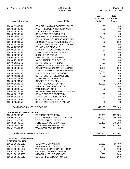| <b>CITY OF STEVENS POINT</b>           | 2018 BUDGET<br>Period: 00/18                                                      |                                     | Page:<br>4<br>Dec 21, 2017 04:22PM           |
|----------------------------------------|-----------------------------------------------------------------------------------|-------------------------------------|----------------------------------------------|
| <b>Account Number</b>                  | <b>Account Title</b>                                                              | 2017<br>Prior Year<br><b>Budget</b> | 2018<br><b>Current Year</b><br><b>Budget</b> |
|                                        |                                                                                   |                                     |                                              |
| 100.48.19300.51                        | <b>GEN CITY LAND &amp; PROPERTY SALES</b><br><b>INSUR RECOVERY REV (CITY VEH)</b> | .00                                 | .00                                          |
| 100.48.19400.00<br>100.48.19450.00     | <b>INSUR POLICY DIVIDENDS</b>                                                     | .00<br>.00                          | .00<br>.00                                   |
| 100.48.19600.51                        | <b>DONATIONS FOR DOG PARK</b>                                                     | .00                                 | .00                                          |
| 100.48.19900.51                        | MISC UNCLASSIFIED REVENUE                                                         | 6,000                               | 6,000                                        |
| 100.48.19900.52                        | COMM DEV-MISC UNCLASSIFIED REV                                                    | .00                                 | .00                                          |
| 100.48.19901.51                        | MISCELLANEOUS REIMBURSEMENTS                                                      | .00                                 | 7,000                                        |
| 100.48.20702.52                        | DONATIONS FOR POLICE AUXILIARY                                                    | .00                                 | .00                                          |
| 100.48.20703.52                        | POLICE MISC REVENUE                                                               | .00                                 | .00                                          |
| 100.48.20704.52                        | <b>CHAPLAIN PROGRAM DONATIONS</b>                                                 | .00                                 | .00                                          |
| 100.48.20705.52                        | DONATIONS FOR POLICE DEPT                                                         | .00                                 | .00                                          |
| 100.48.20706.52                        | K-9 UNIT DONATIONS                                                                | .00                                 | .00                                          |
| 100.48.25250.52                        | FIRE DEPT MISC REVENUES                                                           | .00                                 | .00                                          |
| 100.48.25251.52                        | <b>AMBULANCE MISC REVENUE</b>                                                     | .00                                 | .00                                          |
| 100.48.25252.52                        | DONATIONS FOR FIRE DEPT                                                           | .00                                 | .00                                          |
| 100.48.30601.53                        | (T) DPW-GENERAL MATERIAL SALES                                                    | 1,000                               | 1,000                                        |
| 100.48.30602.53                        | (NT)DPW-GENERAL MATERIAL SALES                                                    | 1,000                               | 1,000                                        |
| 100.48.30710.53                        | <b>DOWNTOWN MAINTENANCE REIMBS</b>                                                | 12,000                              | 12,000                                       |
| 100.48.30850.53                        | PROJECT PLAN FEE DEPOSITS                                                         | 1,100                               | 1,100                                        |
| 100.48.40201.54                        | DONATIONS FOR DEER CULLING                                                        | .00                                 | .00                                          |
| 100.48.50203.55                        | (T) REC/FACILITY RENTAL                                                           | 4,000                               | 4,000                                        |
| 100.48.50204.55                        | (NT)REC FACILITY REV                                                              | .00                                 | .00                                          |
| 100.48.50205.55                        | (T) PARKS LODGE RENTALS                                                           | 40,000                              | 42,000                                       |
| 100.48.50206.55<br>100.48.50208.55     | PARK CONSTRUCTION REIMB<br>PARKS DONATIONS                                        | .00<br>.00                          | .00<br>.00                                   |
| 100.48.50209.55                        | <b>VETERAN MEMORIAL PRK DONATIONS</b>                                             | .00                                 | .00                                          |
| 100.48.50210.56                        | <b>DONATIONS FOR FORESTRY</b>                                                     | .00                                 | .00                                          |
| 100.48.50211.51                        | <b>SCULPTURE PARK DONATIONS</b>                                                   | .00                                 | .00                                          |
| 100.48.50212.51                        | <b>GUS MACKER DONATIONS</b>                                                       | .00                                 | .00                                          |
| 100.48.50560.55                        | <b>DONATIONS-PARKS CAPITAL IMP</b>                                                | .00                                 | .00                                          |
| <b>Total MISCELLANEOUS REVENUE:</b>    |                                                                                   | 349,100                             | 357,100                                      |
| <b>OTHER FINANCING SOURCES</b>         |                                                                                   |                                     |                                              |
| 100.49.19232.59                        | OP TRANS FR TELECOM                                                               | 90,000                              | 107,000                                      |
| 100.49.19311.59                        | OPER TRANSFER FROM ROOM TAX                                                       | 240,000                             | 240,000                                      |
| 100.49.19315.59                        | <b>VOIDED STALE CHECKS</b>                                                        | .00                                 | .00                                          |
| 100.49.19400.59                        | FUND BAL APPL TO CAPITAL                                                          | 753,465                             | 745,700                                      |
| 100.49.19615.59                        | <b>TRANSFER FROM FUND 615</b>                                                     | .00                                 | 127,064                                      |
| 100.49.19801.59                        | TRANSFER FROM FUND 801                                                            | .00                                 | .00                                          |
| <b>Total OTHER FINANCING SOURCES:</b>  |                                                                                   | 1,083,465                           | 1,219,764                                    |
| <b>GENERAL GOVERNMENT</b>              |                                                                                   |                                     |                                              |
| <b>COMMON COUNCIL</b>                  |                                                                                   |                                     |                                              |
| 100.51.00100.1010                      | <b>COMMON COUNCIL PAY</b>                                                         | 57,300                              | 58,400                                       |
| 100.51.00100.1910<br>100.51.00100.1930 | EMPLOYER CONTRIB/S.S. TAX<br><b>WORKERS COMPENSATION PREM</b>                     | 4,383<br>80                         | 4,468<br>123                                 |
| 100.51.00100.3300                      | <b>GENERAL TRAVEL EXPENSES</b>                                                    | 1,000                               | 1,000                                        |
| 100.51.00100.5000                      | MISCELLANEOUS EXPENSES                                                            | 500                                 | 2,000                                        |
| 100.51.00100.5910                      | <b>GEN SEMINAR/EDUCATION EXP</b>                                                  | 1,000                               | 1,500                                        |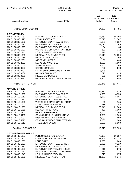| <b>CITY OF STEVENS POINT</b>           | 2018 BUDGET<br>Period: 00/18                                   |                                     | Page: 5<br>Dec 21, 2017 04:22PM              |
|----------------------------------------|----------------------------------------------------------------|-------------------------------------|----------------------------------------------|
| <b>Account Number</b>                  | <b>Account Title</b>                                           | 2017<br>Prior Year<br><b>Budget</b> | 2018<br><b>Current Year</b><br><b>Budget</b> |
| <b>Total COMMON COUNCIL:</b>           |                                                                | 64,263                              | 67,491                                       |
| <b>CITY ATTORNEY</b>                   |                                                                |                                     |                                              |
| 100.51.00300.1030                      | ELECTED OFFICIALS SALARY                                       | 94,550                              | 96,908                                       |
| 100.51.00300.1470                      | <b>LEGAL ASSISTANT</b>                                         | 50,773                              | 51,707                                       |
| 100.51.00300.1900                      | EMPLOYER CONTRIB/WISC RET.                                     | 9,882                               | 9,957                                        |
| 100.51.00300.1910                      | <b>EMPLOYER CONTRIB/S.S. TAX</b>                               | 11,117                              | 11,369                                       |
| 100.51.00300.1920                      | <b>EMPLOYER CONTRIB/LIFE INSUR</b>                             | 84                                  | 84                                           |
| 100.51.00300.1930                      | <b>WORKERS COMPENSATION PREM</b>                               | 189                                 | 312                                          |
| 100.51.00300.1940                      | I.C. INSURANCE PREMIUM                                         | 218                                 | 218                                          |
| 100.51.00300.1950                      | MEDICAL INSURANCE PREM                                         | 15,513                              | 16,290                                       |
| 100.51.00300.1955                      | <b>HSA CONTRIBUTIONS</b>                                       | 1,000                               | 1,000                                        |
| 100.51.00300.2001<br>100.51.00300.2002 | <b>ATTORNEY'S FEE'S</b><br><b>LEGAL SERVICE FEES</b>           | .00<br>1,500                        | 600<br>1,500                                 |
| 100.51.00300.2005                      | <b>WITNESS FEES</b>                                            | 2,500                               | 2,000                                        |
| 100.51.00300.3000                      | <b>OFFICE SUPPLIES</b>                                         | 700                                 | 600                                          |
| 100.51.00300.3200                      | <b>LEGAL SUBSCRIPTIONS &amp; FORMS</b>                         | 3,225                               | 3,125                                        |
| 100.51.00300.3202                      | <b>MEMBERSHIP DUES</b>                                         | 625                                 | 625                                          |
| 100.51.00300.3301                      | <b>MILEAGE EXPENSES</b>                                        | 300                                 | 200                                          |
| 100.51.00300.5910                      | <b>GENERAL EDUCATIONAL EXPEND</b>                              | 1,200                               | 950                                          |
| <b>Total CITY ATTORNEY:</b>            |                                                                | 193,376                             | 197,445                                      |
| <b>MAYORS OFFICE</b>                   |                                                                |                                     |                                              |
| 100.51.10410.1030                      | ELECTED OFFICIALS SALARY                                       | 72,837                              | 73,929                                       |
| 100.51.10410.1900                      | EMPLOYER CONTRIB/WISC RET.                                     | 4,953                               | 4,953                                        |
| 100.51.10410.1910                      | <b>EMPLOYER CONTRIB/S.S. TAX</b>                               | 5,572                               | 5,656                                        |
| 100.51.10410.1920                      | <b>EMPLOYER CONTRIB/LIFE INSUR</b>                             | 60                                  | 96                                           |
| 100.51.10410.1930<br>100.51.10410.1940 | WORKERS COMPENSATION PREM<br><b>I.C. INSURANCE PREMIUM</b>     | 95<br>158                           | 155<br>158                                   |
| 100.51.10410.1950                      | MEDICAL INSURANCE PREM                                         | 20,941                              | 21,988                                       |
| 100.51.10410.1955                      | <b>HSA CONTRIBUTIONS</b>                                       | 400                                 | 1,000                                        |
| 100.51.10410.3301                      | <b>MILEAGE EXPENSES</b>                                        | 1,000                               | 1,000                                        |
| 100.51.10410.3450                      | <b>COMMUNITY/PUBLIC RELATIONS</b>                              | 1,000                               | 2,500                                        |
| 100.51.10410.5000                      | MISCELLANEOUS EXPENSES                                         | 1,000                               | 1,500                                        |
| 100.51.10410.5910                      | <b>GENERAL EDUCATIONAL EXPEND</b>                              | 1,000                               | 1,000                                        |
| 100.51.10410.5915                      | <b>TRAVEL EXPENSES</b>                                         | 3,500                               | 2,000                                        |
| <b>Total MAYORS OFFICE:</b>            |                                                                | 112,516                             | 115,935                                      |
| <b>CITY PERSONNEL OFFICE</b>           |                                                                |                                     |                                              |
| 100.51.10430.1165                      | PERSONNEL SPEC. SALARY                                         | 76,960                              | 80,537                                       |
| 100.51.10430.1200                      | CONFID. SECRETARY WAGES                                        | 53,394                              | 54,376                                       |
| 100.51.10430.1500                      | <b>LONGEVITY</b>                                               | 1,080                               | 1,200                                        |
| 100.51.10430.1900<br>100.51.10430.1910 | EMPLOYER CONTRIB/WISC RET.<br><b>EMPLOYER CONTRIB/S.S. TAX</b> | 8,938                               | 9,120                                        |
| 100.51.10430.1920                      | <b>EMPLOYER CONTRIB/LIFE INSUR</b>                             | 10,055<br>216                       | 10,413<br>276                                |
| 100.51.10430.1930                      | <b>WORKERS COMPENSATION PREM</b>                               | 169                                 | 283                                          |
| 100.51.10430.1940                      | I.C. INSURANCE PREMIUM                                         | 275                                 | 275                                          |
| 100.51.10430.1950                      | MEDICAL INSURANCE PREM                                         | 41,882                              | 43,976                                       |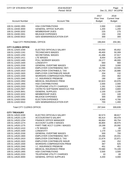| CITY OF STEVENS POINT               | 2018 BUDGET<br>Period: 00/18          |                                     | Page:<br>- 6<br>Dec 21, 2017 04:22PM         |
|-------------------------------------|---------------------------------------|-------------------------------------|----------------------------------------------|
| <b>Account Number</b>               | <b>Account Title</b>                  | 2017<br>Prior Year<br><b>Budget</b> | 2018<br><b>Current Year</b><br><b>Budget</b> |
| 100.51.10430.1955                   | <b>HSA CONTRIBUTIONS</b>              | 2,000                               | 2,000                                        |
| 100.51.10430.3000                   | <b>GENERAL OFFICE SUPLIES</b>         | 1,200                               | 1,200                                        |
| 100.51.10430.3202                   | <b>MEMBERSHIP DUES</b>                | 225                                 | 275                                          |
| 100.51.10430.3301                   | <b>MILEAGE EXPENSES</b>               | 150                                 | 150                                          |
| 100.51.10430.5910                   | <b>GEN SEMINAR/EDUCATION EXP.</b>     | 300                                 | 300                                          |
| <b>Total CITY PERSONNEL OFFICE:</b> |                                       | 196,844                             | 204,381                                      |
| <b>CITY CLERKS OFFICE</b>           |                                       |                                     |                                              |
| 100.51.12420.1030                   | ELECTED OFFICIALS SALARY              | 64,050                              | 65,652                                       |
| 100.51.12420.1161                   | <b>TECHNICIAN'S WAGES</b>             | 49,400                              | 50,309                                       |
| 100.51.12420.1250                   | <b>SECRETARIAL WAGES</b>              | 41,496                              | 37,917                                       |
| 100.51.12420.1411                   | <b>LTE WAGES</b>                      | 8,054                               | 15,200                                       |
| 100.51.12420.1465                   | POLL WORKER WAGES                     | 26,177                              | 48,000                                       |
| 100.51.12420.1500                   | <b>LONGEVITY</b>                      | 660                                 | 660                                          |
| 100.51.12420.1530                   | <b>GENERAL OVERTIME WAGES</b>         | 3,000                               | 3,000                                        |
| 100.51.12420.1900                   | EMPLOYER CONTRIB/WISC RET.            | 10,785                              | 10,555                                       |
| 100.51.12420.1910                   | <b>EMPLOYER CONTRIB/S.S. TAX</b>      | 14,754                              | 16,886                                       |
| 100.51.12420.1920                   | <b>EMPLOYER CONTRIB/LIFE INSUR</b>    | 204                                 | 132                                          |
| 100.51.12420.1930                   | <b>WORKERS COMPENSATION PREM</b>      | 250                                 | 462                                          |
| 100.51.12420.1940                   | I.C. INSURANCE PREMIUM                | 190                                 | 190                                          |
| 100.51.12420.1950                   | MEDICAL INSURANCE PREM                | 62,823                              | 43,976                                       |
| 100.51.12420.1955                   | <b>HSA CONTRIBUTIONS</b>              | 2,000                               | 2,000                                        |
| 100.51.12420.2203                   | <b>TELEPHONE UTILITY CHARGES</b>      | 1,181                               | 1,500                                        |
| 100.51.12420.2907                   | <b>CNTRCTD SOFTWARE MAINT/LIC FEE</b> | 4,800                               | 4,800                                        |
| 100.51.12420.3001                   | <b>GENERAL SUPPLIES</b>               | 2,100                               | 2,100                                        |
| 100.51.12420.3202                   | <b>MEMBERSHIP DUES</b>                | 220                                 | 100                                          |
| 100.51.12420.3301                   | <b>MILEAGE EXPENSES</b>               | 300                                 | 300                                          |
| 100.51.12420.5350                   | <b>ELECTION EXPENSES</b>              | 4,500                               | 4,700                                        |
| 100.51.12420.5910                   | GEN SEMINAR/EDUCATION EXP.            | 700                                 | 1,400                                        |
| <b>Total CITY CLERKS OFFICE:</b>    |                                       | 297,644                             | 309,839                                      |
| <b>CITY TREASURY</b>                |                                       |                                     |                                              |
| 100.51.14520.1030                   | ELECTED OFFICIALS SALARY              | 82,573                              | 88,817                                       |
| 100.51.14520.1129                   | <b>ACCOUNTANT'S SALARY</b>            | 66,414                              | 69,479                                       |
| 100.51.14520.1254                   | <b>FINANCE OFFICE MANAGER</b>         | 66,664                              | 69,754                                       |
| 100.51.14520.1274                   | <b>ACCOUNT CLERK II WAGES</b>         | 46,800                              | 48,975                                       |
| 100.51.14520.1275                   | PART-TIME ACCT CLERK I WAGES          | 19,199                              | 20,092                                       |
| 100.51.14520.1410                   | LTE WAGES                             | .00                                 | .00                                          |
| 100.51.14520.1500                   | <b>LONGEVITY</b>                      | 1,170                               | 1,150                                        |
| 100.51.14520.1530                   | <b>GENERAL OVERTIME WAGES</b>         | 500                                 | 700                                          |
| 100.51.14520.1900                   | EMPLOYER CONTRIB/WISC RET.            | 19,266                              | 20,031                                       |
| 100.51.14520.1910                   | <b>EMPLOYER CONTRIB/S.S. TAX</b>      | 21,674                              | 22,871                                       |
| 100.51.14520.1920                   | <b>EMPLOYER CONTRIB/LIFE INSUR</b>    | 240                                 | 252                                          |
| 100.51.14520.1930                   | <b>WORKERS COMPENSATION PREM</b>      | 367                                 | 625                                          |
| 100.51.14520.1940                   | I.C. INSURANCE PREMIUM                | 451                                 | 451                                          |
| 100.51.14520.1950                   | <b>MEDICAL INSURANCE PREM</b>         | 70,580                              | 74,109                                       |
| 100.51.14520.1955                   | <b>HSA CONTRIBUTIONS</b>              | 3,500                               | 3,500                                        |
| 100.51.14520.2203                   | TELEPHONE UTILITY CHARGES             | 10                                  | .00                                          |
| 100.51.14520.3000                   | <b>GENERAL OFFICE SUPPLIES</b>        | 4,200                               | 4,000                                        |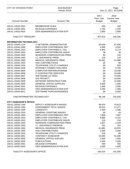| CITY OF STEVENS POINT         | 2018 BUDGET<br>Period: 00/18       |                                            | Page:<br>$\overline{7}$<br>Dec 21, 2017 04:22PM |
|-------------------------------|------------------------------------|--------------------------------------------|-------------------------------------------------|
| <b>Account Number</b>         | <b>Account Title</b>               | 2017<br><b>Prior Year</b><br><b>Budget</b> | 2018<br><b>Current Year</b><br><b>Budget</b>    |
| 100.51.14520.3202             | <b>MEMBERSHIP DUES</b>             | 350                                        | 250                                             |
| 100.51.14520.3301             | <b>MILEAGE EXPENSES</b>            | 1,155                                      | 1,250                                           |
| 100.51.14520.5910             | <b>GEN SEMINAR/EDUCATION EXP.</b>  | 2,800                                      | 2,900                                           |
| <b>Total CITY TREASURY:</b>   |                                    | 407,913                                    | 429,206                                         |
| <b>INFORMATION TECHNOLOGY</b> |                                    |                                            |                                                 |
| 100.51.15540.1124             | IT NETWORK ADMINISTRATOR           | 64,626                                     | 67,636                                          |
| 100.51.15540.1900             | <b>EMPLOYER CONTRIB/WISC RET.</b>  | 4,395                                      | 4,532                                           |
| 100.51.15540.1910             | <b>EMPLOYER CONTRIB/S.S. TAX</b>   | 4,944                                      | 5,174                                           |
| 100.51.15540.1920             | <b>EMPLOYER CONTRIB/LIFE INSUR</b> | 36                                         | 36                                              |
| 100.51.15540.1930             | <b>WORKERS COMPENSATION PREM</b>   | 84                                         | 142                                             |
| 100.51.15540.1940             | I.C. INSURANCE PREM                | 120                                        | 120                                             |
| 100.51.15540.1950             | MEDICAL INSURANCE PREM             | 20,941                                     | 21,988                                          |
| 100.51.15540.1955             | <b>HSA CONTRIBUTIONS</b>           | .00                                        | .00                                             |
| 100.51.15540.2203             | <b>TELEPHONE UTILITY CHARGES</b>   | .00                                        | 500                                             |
| 100.51.15540.2206             | <b>INTERNET CONNECTION FEES</b>    | .00                                        | 8,700                                           |
| 100.51.15540.2800             | <b>COMPUTER REPAIR/UPGRADE</b>     | .00                                        | 15,000                                          |
| 100.51.15540.2906             | IT CONTRACTED SERVICES             | .00                                        | 10,000                                          |
| 100.51.15540.2907             | SOFTWARE LIC FEES                  | .00                                        | 74,000                                          |
| 100.51.15540.2908             | <b>GIS PROJECT</b>                 | .00                                        | 15,000                                          |
| 100.51.15540.2909             | NETWORK INFRASTRUCTURE             | .00                                        | 12,000                                          |
| 100.51.15540.3000             | <b>GENERAL OFFICE SUPPLIES</b>     | 2,000                                      | 1,000                                           |
| 100.51.15540.3301             | <b>MILEAGE EXPENSES</b>            | 1,000                                      | 1,000                                           |
| 100.51.15540.5910             | <b>GEN SEMINAR/EDUCATION EXP</b>   | 1,000                                      | 1,000                                           |
| 100.51.15540.8011             | SOFTWARE PURCH/UPGRADES            | .00                                        | 5,000                                           |
| Total INFORMATION TECHNOLOGY: |                                    | 99,146                                     | 242,828                                         |
| <b>CITY ASSESSOR'S OFFICE</b> |                                    |                                            |                                                 |
| 100.51.16530.1166             | DEPUTY ASSESSOR'S WAGES            | 69,534                                     | 70,813                                          |
| 100.51.16530.1260             | ASSESSMENT TECH. WAGES             | 46,613                                     | 47,471                                          |
| 100.51.16530.1500             | <b>LONGEVITY</b>                   | 1,040                                      | 1,080                                           |
| 100.51.16530.1530             | <b>GENERAL OVERTIME WAGES</b>      | .00                                        | .00                                             |
| 100.51.16530.1900             | <b>EMPLOYER CONTRIB/WISC RET.</b>  | 7,969                                      | 7,997                                           |
| 100.51.16530.1910             | <b>EMPLOYER CONTRIB/S.S. TAX</b>   | 8,965                                      | 9,131                                           |
| 100.51.16530.1920             | <b>EMPLOYER CONTRIB/LIFE INSUR</b> | 216                                        | 216                                             |
| 100.51.16530.1930             | <b>WORKERS COMPENSATION PREM</b>   | 1,827                                      | 3,109                                           |
| 100.51.16530.1940             | I.C. INSURANCE PREMIUM             | 252                                        | 252                                             |
| 100.51.16530.1950             | MEDICAL INSURANCE PREM             | 41,882                                     | 43,976                                          |
| 100.51.16530.1955             | <b>HSA CONTRIBUTIONS</b>           | 2,000                                      | 2,000                                           |
| 100.51.16530.2203             | <b>TELEPHONE UTILITY CHARGES</b>   | 316                                        | 60                                              |
| 100.51.16530.2901             | <b>CONTRACT ASSESSOR</b>           | 50,000                                     | 51,000                                          |
| 100.51.16530.3000             | <b>GENERAL OFFICE SUPLIES</b>      | 1,000                                      | 1,050                                           |
| 100.51.16530.3200             | <b>PUBLICATIONS</b>                | 1,000                                      | 1,000                                           |
| 100.51.16530.3301             | <b>MILEAGE EXPENSES</b>            | 400                                        | 400                                             |
| 100.51.16530.5910             | <b>GEN SEMINAR/EDUCATION EXP.</b>  | 2,000                                      | 2,000                                           |
| Total CITY ASSESSOR'S OFFICE: |                                    | 235,014                                    | 241,555                                         |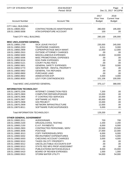| <b>CITY OF STEVENS POINT</b>                          | 2018 BUDGET<br>Period: 00/18                      |                                     | Page:<br>- 8<br>Dec 21, 2017 04:22PM         |
|-------------------------------------------------------|---------------------------------------------------|-------------------------------------|----------------------------------------------|
| <b>Account Number</b>                                 | <b>Account Title</b>                              | 2017<br>Prior Year<br><b>Budget</b> | 2018<br><b>Current Year</b><br><b>Budget</b> |
| <b>CITY HALL BUILDING</b>                             |                                                   |                                     |                                              |
| 100.51.19600.2922                                     | CONTRACTED/BLDG MAINTENANCE                       | 280,000                             | 195,000                                      |
| 100.51.19600.5008                                     | ATM EXPENDITURE ACCOUNT                           | 100                                 | .00                                          |
| <b>Total CITY HALL BUILDING:</b>                      |                                                   | 280,100                             | 195,000                                      |
|                                                       |                                                   |                                     |                                              |
| <b>MISC UNCLASSIFIED GENERAL</b><br>100.51.19850.1700 | <b>SICK LEAVE PAYOUT</b>                          | 235,000                             | 245,000                                      |
| 100.51.19850.2203                                     | <b>TELEPHONE CHARGES</b>                          | 6,011                               | 9,000                                        |
| 100.51.19850.2909                                     | COPIER/POSTAGE MACH MAINT.                        | 12,000                              | 12,000                                       |
| 100.51.19850.2910                                     | <b>OUTSIDE ATTORNEY CHARGES</b>                   | .00                                 | .00                                          |
| 100.51.19850.5000                                     | <b>MISCELLANEOUS EXPENSES</b>                     | 10,000                              | 10,000                                       |
| 100.51.19850.5006                                     | MISC PROMOTIONAL EXPENSES                         | .00                                 | .00                                          |
| 100.51.19850.5016                                     | <b>DOG PARK EXPENSES</b>                          | .00                                 | .00                                          |
| 100.51.19850.5121                                     | <b>COURT FILING FEE'S</b>                         | .00                                 | .00                                          |
| 100.51.19850.5601                                     | <b>GENERAL SAFETY EXPENSES</b>                    | 7,000                               | 8,000                                        |
| 100.51.19850.5770                                     | <b>GEN REPAIR - RENTAL PROPERTY</b>               | .00                                 | .00                                          |
| 100.51.19850.5902                                     | <b>GENERAL TAX REFUNDS</b>                        | .00                                 | .00                                          |
| 100.51.19850.8900                                     | <b>PURCHASE LAND</b>                              | .00                                 | .00                                          |
| 100.51.19850.8902                                     | ANNEXATION EXP.                                   | 4,000                               | 4,000                                        |
| 100.51.19850.9050                                     | LEVY FOR CONTINGENCIES                            | 101,106                             | 100,000                                      |
| Total MISC UNCLASSIFIED GENERAL:                      |                                                   | 375,117                             | 388,000                                      |
|                                                       |                                                   |                                     |                                              |
| <b>INFORMATION TECHNOLOGY</b>                         |                                                   |                                     |                                              |
| 100.51.19870.2206                                     | <b>INTERNET CONNECTION FEES</b>                   | 7,200                               | .00                                          |
| 100.51.19870.2800                                     | <b>COMPUTER REPAIR/UPGRADE</b>                    | 15,000                              | .00                                          |
| 100.51.19870.2906                                     | IT CONTRACTED SERVICES                            | 10,000                              | .00                                          |
| 100.51.19870.2907                                     | SOFTWARE LIC FEE'S                                | 65,000                              | .00                                          |
| 100.51.19870.2908                                     | <b>GIS PROJECT</b>                                | 15,000                              | .00                                          |
| 100.51.19870.2909<br>100.51.19870.8011                | NETWORK INFRASTRUCTURE<br>SOFTWARE PURCH/UPGRADES | 12,000<br>5,000                     | .00<br>.00                                   |
|                                                       |                                                   |                                     |                                              |
| Total INFORMATION TECHNOLOGY:                         |                                                   | 129,200                             | .00                                          |
| <b>OTHER GENERAL GOVERNMENT</b>                       |                                                   |                                     |                                              |
| 100.51.19900.2011                                     | <b>AUDIOGRAMS</b>                                 | 700                                 | 700                                          |
| 100.51.19900.2100                                     | DRUG/ALCOHOL TESTING                              | 2,200                               | 2,200                                        |
| 100.51.19900.2150                                     | E.A.P. PAYMENTS                                   | 6,000                               | 6,000                                        |
| 100.51.19900.2903                                     | CONTRACTED PERSONNEL SERV                         | 23,500                              | 23,500                                       |
| 100.51.19900.3006                                     | <b>POSTAGE</b>                                    | 27,000                              | 22,000                                       |
| 100.51.19900.3013                                     | <b>COPY PAPER/ENVELOPES</b>                       | 6,000                               | 6,000                                        |
| 100.51.19900.5002                                     | RECRUITMENT EXPENDITURES                          | 5,000                               | 5,000                                        |
| 100.51.19900.5003                                     | CHECKING ACCOUNT CHARGES                          | 3,000                               | 4,000                                        |
| 100.51.19900.5010                                     | <b>TAXES ON CITY PROPERTY</b>                     | .00                                 | .00                                          |
| 100.51.19900.5012                                     | UNCOLLECTABLE ACCOUNTS EXP                        | .00                                 | .00                                          |
| 100.51.19900.5013                                     | STATE FEE MFG PROP ASSESSMNT                      | .00                                 | .00                                          |
| 100.51.19900.5151                                     | PUBLICATIONS-NOTICES/LEGALS                       | 8,000                               | 15,000                                       |
| 100.51.19900.5410                                     | <b>BOARD OF REVIEW EXPENSES</b>                   | 1,000                               | 1,000                                        |
| 100.51.19900.5910                                     | <b>STORM WATER UTILITY</b>                        | 54,000                              | 54,000                                       |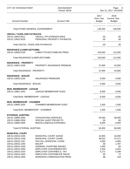| <b>CITY OF STEVENS POINT</b>                                                                                                                         | 2018 BUDGET<br>Period: 00/18                                                                                                                              |                                                    | Page: 9<br>Dec 21, 2017 04:22PM                    |
|------------------------------------------------------------------------------------------------------------------------------------------------------|-----------------------------------------------------------------------------------------------------------------------------------------------------------|----------------------------------------------------|----------------------------------------------------|
| <b>Account Number</b>                                                                                                                                | <b>Account Title</b>                                                                                                                                      | 2017<br>Prior Year<br><b>Budget</b>                | 2018<br><b>Current Year</b><br><b>Budget</b>       |
| <b>Total OTHER GENERAL GOVERNMENT:</b>                                                                                                               |                                                                                                                                                           | 136,400                                            | 139,400                                            |
| <b>UNCOLL TAXES AND PAYBACKS</b><br>100.51.19910.5011<br>100.51.19910.5019                                                                           | UNCOLL P/P EXPENDITURES<br>PERSONAL PROPERTY PAYBACKS                                                                                                     | .00<br>.00.                                        | .00<br>.00                                         |
| Total UNCOLL TAXES AND PAYBACKS:                                                                                                                     |                                                                                                                                                           | .00                                                | .00                                                |
| <b>INSURANCE (LIAB/FLEET/UMB)</b><br>100.51.19930.5100                                                                                               | LIABILITY/FLEET/UMB INS PREM                                                                                                                              | 105,000                                            | 112,000                                            |
| Total INSURANCE (LIAB/FLEET/UMB):                                                                                                                    |                                                                                                                                                           | 105,000                                            | 112,000                                            |
| <b>INSURANCE - PROPERTY</b><br>100.51.19931.5100                                                                                                     | PROPERTY INSURANCE PREMIUM                                                                                                                                | 37,000                                             | 42,692                                             |
| Total INSURANCE - PROPERTY:                                                                                                                          |                                                                                                                                                           | 37,000                                             | 42,692                                             |
| <b>INSURANCE - BOILER</b><br>100.51.19932.5100                                                                                                       | <b>INSURANCE PREMIUMS</b>                                                                                                                                 | 5,000                                              | 5,000                                              |
| Total INSURANCE - BOILER:                                                                                                                            |                                                                                                                                                           | 5,000                                              | 5,000                                              |
| <b>MUN. MEMBERSHIP - LEAGUE</b><br>100.51.19951.3202                                                                                                 | LEAGUE MEMBERSHIP DUES                                                                                                                                    | 6,500                                              | 6,500                                              |
| Total MUN. MEMBERSHIP - LEAGUE:                                                                                                                      |                                                                                                                                                           | 6,500                                              | 6,500                                              |
| MUN. MEMBERSHIP - CHAMBER<br>100.51.19952.3202                                                                                                       | <b>CHAMBER MEMBERSHIP DUES</b>                                                                                                                            | 1,500                                              | 1,500                                              |
| Total MUN. MEMBERSHIP - CHAMBER:                                                                                                                     |                                                                                                                                                           | 1,500                                              | 1,500                                              |
| <b>EXTERNAL AUDITING</b><br>100.51.19960.2004<br>100.51.19960.2006<br>100.51.19960.5000                                                              | <b>CPA/AUDITING SERVICES</b><br>SPECIAL AUDIT PROJECTS<br>MISCELLANEOUS EXPENSES                                                                          | 55,000<br>.00.<br>8,000                            | 58,000<br>.00<br>8,000                             |
| <b>Total EXTERNAL AUDITING:</b>                                                                                                                      |                                                                                                                                                           | 63,000                                             | 66,000                                             |
| <b>MUNICIPAL COURT</b><br>100.51.20010.1035<br>100.51.20010.1256<br>100.51.20010.1257<br>100.51.20010.1295<br>100.51.20010.1530<br>100.51.20010.1900 | MUNICIPAL COURT JUDGE<br>MUNICIPAL COURT CLERK<br>ON-CALL MUNICIPAL CLERK<br><b>BAILIFF</b><br><b>GENERAL OVERTIME WAGES</b><br>EMPLOYER CONTRIB/WIS RET. | 16,000<br>46,613<br>4,000<br>.00<br>1,000<br>4,326 | 16,000<br>47,471<br>4,000<br>1,787<br>.00<br>4,253 |
| 100.51.20010.1910<br>100.51.20010.1920<br>100.51.20010.1930                                                                                          | EMPLOYER CONTRIB/S.S. TAX<br><b>EMPLOYER CONTRIB/LIFE INSUR</b><br><b>WORKERS COMPENSATION PREM</b>                                                       | 5,172<br>60<br>88                                  | 5,299<br>72<br>218                                 |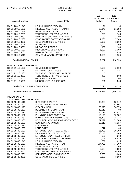| <b>CITY OF STEVENS POINT</b>           | 2018 BUDGET<br>Period: 00/18                                |                                            | Page:<br>10<br>Dec 21, 2017 04:22PM          |
|----------------------------------------|-------------------------------------------------------------|--------------------------------------------|----------------------------------------------|
| <b>Account Number</b>                  | <b>Account Title</b>                                        | 2017<br><b>Prior Year</b><br><b>Budget</b> | 2018<br><b>Current Year</b><br><b>Budget</b> |
|                                        |                                                             |                                            |                                              |
| 100.51.20010.1940                      | <b>I.C. INSURANCE PREMIUM</b>                               | 96                                         | 96                                           |
| 100.51.20010.1950                      | <b>MEDICAL INSURANCE PREMIUM</b>                            | 20,941                                     | 21,988                                       |
| 100.51.20010.1955                      | <b>HSA CONTRIBUTIONS</b>                                    | 1,000                                      | 1,000                                        |
| 100.51.20010.2203                      | <b>TELEPHONE UTILITY CHARGES</b>                            | 325                                        | 700                                          |
| 100.51.20010.2501                      | MONTHLY SURCHARGE PAYMENTS                                  | .00                                        | .00                                          |
| 100.51.20010.2907<br>100.51.20010.3000 | CONTRACTED SOFTWARE MAINT<br><b>GENERAL OFFICE SUPPLIES</b> | 7,386                                      | 7,386                                        |
| 100.51.20010.3006                      | <b>POSTAGE</b>                                              | 2,000<br>2,000                             | 2,000<br>2,000                               |
| 100.51.20010.3301                      | <b>MILEAGE EXPENSES</b>                                     | 100                                        | 100                                          |
| 100.51.20010.5000                      | MISCELLANEOUS EXPENSE                                       | 6,000                                      | 2,000                                        |
| 100.51.20010.5003                      | <b>BANK ACCOUNT CHARGES</b>                                 | 650                                        | 650                                          |
| 100.51.20010.5910                      | <b>GEN SEMINAR/EDUCATION EXP.</b>                           | 1,500                                      | 1,500                                        |
| <b>Total MUNICIPAL COURT:</b>          |                                                             | 119,257                                    | 118,520                                      |
| <b>POLICE &amp; FIRE COMMISSION</b>    |                                                             |                                            |                                              |
| 100.51.21110.1020                      | <b>COMMISSIONERS PAY</b>                                    | 5,500                                      | 5,500                                        |
| 100.51.21110.1910                      | <b>EMPLOYER CONTRIB/S.S. TAX</b>                            | 421                                        | 421                                          |
| 100.51.21110.1930                      | <b>WORKERS COMPENSATION PREM</b>                            | $\overline{7}$                             | 12                                           |
| 100.51.21110.2203                      | <b>TELEPHONE UTILITY CHARGES</b>                            | 498                                        | 500                                          |
| 100.51.21110.3001                      | <b>GENERAL SUPPLIES</b>                                     | .00                                        | .00                                          |
| 100.51.21110.5000                      | MISCELLANEOUS EXPENSES                                      | 300                                        | 300                                          |
| Total POLICE & FIRE COMMISSION:        |                                                             | 6,726                                      | 6,733                                        |
| <b>Total GENERAL GOVERNMENT:</b>       |                                                             | 2,871,516                                  | 2,890,025                                    |
| <b>PUBLIC SAFETY</b>                   |                                                             |                                            |                                              |
| <b>CITY INSPECTION DEPARTMENT</b>      |                                                             |                                            |                                              |
| 100.52.18400.1110                      | <b>DIRECTORS SALARY</b>                                     | 93,808                                     | 98,542                                       |
| 100.52.18400.1121                      | <b>INSPECTION SUPERINTENDENT</b>                            | .00                                        | 67,891                                       |
| 100.52.18400.1123                      | <b>CITY PLANNER</b>                                         | 55,973                                     | 58,570                                       |
| 100.52.18400.1130                      | <b>BUILDING INSPECTORS SAL.</b>                             | 40,610                                     | .00                                          |
| 100.52.18400.1131                      | <b>BLDG INSPECTOR II WAGES</b>                              | 60,715                                     | 63,527                                       |
| 100.52.18400.1132<br>100.52.18400.1137 | PLUMBING INSPECTOR'S SAL.<br>PART TIME ELECT INSP WAGES     | 15,179<br>36,429                           | 15,882                                       |
| 100.52.18400.1138                      | NEIGHBORHOOD IMPROVEMENT COORD                              | 51,397                                     | 38,116<br>53,783                             |
| 100.52.18400.1250                      | <b>SECRETARIAL WAGES</b>                                    | 39,312                                     | 41,137                                       |
| 100.52.18400.1411                      | <b>LTE WAGES</b>                                            | .00                                        | .00                                          |
| 100.52.18400.1500                      | <b>LONGEVITY</b>                                            | 672                                        | .00                                          |
| 100.52.18400.1900                      | <b>EMPLOYER CONTRIB/WISC RET.</b>                           | 26,798                                     | 29,309                                       |
| 100.52.18400.1910                      | <b>EMPLOYER CONTRIB/S.S. TAX</b>                            | 30,148                                     | 33,465                                       |
| 100.52.18400.1920                      | <b>EMPLOYER CONTRIB/LIFE INSUR</b>                          | 382                                        | 360                                          |
| 100.52.18400.1930                      | <b>WORKERS COMPENSATION PREM</b>                            | 9,046                                      | 16,930                                       |
| 100.52.18400.1940                      | I.C. INSURANCE PREMIUM                                      | 669                                        | 625                                          |
| 100.52.18400.1950                      | <b>MEDICAL INSURANCE PREM</b>                               | 104,705                                    | 74,109                                       |
| 100.52.18400.1955                      | <b>HSA CONTRIBUTIONS</b>                                    | 3,000                                      | 3,000                                        |
| 100.52.18400.2203                      | TELEPHONE UTILITY CHARGES                                   | 2,504                                      | 1,620                                        |
| 100.52.18400.2927                      | CONTRACTED SPECIAL CHARGES                                  | 20,000                                     | 20,000                                       |
| 100.52.18400.2931                      | SERVICES-WEIGHTS/MEASURES                                   | 9,600                                      | 9,600                                        |
| 100.52.18400.3000                      | <b>GENERAL OFFICE SUPPLIES</b>                              | 3,068                                      | 3,500                                        |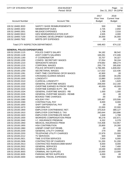| <b>CITY OF STEVENS POINT</b>       | 2018 BUDGET<br>Period: 00/18          |                                     | Page:<br>11<br>Dec 21, 2017 04:22PM          |
|------------------------------------|---------------------------------------|-------------------------------------|----------------------------------------------|
| <b>Account Number</b>              | <b>Account Title</b>                  | 2017<br>Prior Year<br><b>Budget</b> | 2018<br><b>Current Year</b><br><b>Budget</b> |
| 100.52.18400.3020                  | SAFETY SHOE REIMBURSEMENTS            | 500                                 | 500                                          |
| 100.52.18400.3202                  | <b>MEMBERSHIP DUES</b>                | 2,735                               | 2,650                                        |
| 100.52.18400.3301                  | MILEAGE EXPENSES                      | 1,708                               | 2,016                                        |
| 100.52.18400.5910                  | <b>GEN SEMINAR/EDUCATION EXP.</b>     | 4,505                               | 4,000                                        |
| 100.52.18400.7100                  | ECONOMIC DEVELOPMENT SUBSIDY          | 35,000                              | 35,000                                       |
| 100.52.18400.7502                  | <b>WRITE-OFF EXPENSES</b>             | .00.                                | .00.                                         |
| Total CITY INSPECTION DEPARTMENT:  |                                       | 648,463                             | 674,132                                      |
| <b>GENERAL POLICE EXPENDITURES</b> |                                       |                                     |                                              |
| 100.52.20100.1115                  | POLICE CHIEF'S SALARY                 | 94,182                              | 98,542                                       |
| 100.52.20100.1128                  | <b>ASST CHIEF'S SALARIES</b>          | 169,291                             | 172,406                                      |
| 100.52.20100.1160                  | <b>IT COORDINATOR</b>                 | 33,707                              | 34,327                                       |
| 100.52.20100.1200                  | <b>CONFID. SECRETARY WAGES</b>        | 57,054                              | 58,104                                       |
| 100.52.20100.1210                  | <b>SERGEANTS WAGES</b>                | 479,682                             | 489,274                                      |
| 100.52.20100.1215                  | <b>CORPORAL WAGES</b>                 | 255,779                             | 265,830                                      |
| 100.52.20100.1235                  | POLICE OFFICER'S WAGES                | 1,796,395                           | 1,839,002                                    |
| 100.52.20100.1250                  | SECRETARIAL WAGES                     | 117,022                             | 122,436                                      |
| 100.52.20100.1281                  | PART-TIME CSO/PRKNG OFCR WAGES        | 42,900                              | .00                                          |
| 100.52.20100.1440                  | <b>CROSSING GUARDS WAGES</b>          | 33,588                              | 34,206                                       |
| 100.52.20100.1500                  | <b>LONGEVITY</b>                      | 13,880                              | 14,925                                       |
| 100.52.20100.1510                  | <b>CLERICAL LONGEVITY</b>             | 1,380                               | 1,620                                        |
| 100.52.20100.1530                  | <b>GENERAL OVERTIME WAGES</b>         | 208,000                             | 212,160                                      |
| 100.52.20100.1532                  | OVERTIME EARNED IN PRIOR YEARS        | 40,000-                             | 40,000-                                      |
| 100.52.20100.1533                  | OVERTIME EARNED IN PY - RB            | .00.                                | .00                                          |
| 100.52.20100.1534                  | <b>GENERAL OVERTIME WAGES - RB</b>    | 1,000                               | 1,000                                        |
| 100.52.20100.1535                  | <b>GENERAL OVERTIME WAGES - REIMB</b> | .00                                 | .00                                          |
| 100.52.20100.1540                  | <b>BOOKED TIME CHARGES</b>            | .00.                                | .00                                          |
| 100.52.20100.1580                  | <b>HOLIDAY PAY</b>                    | 100,467                             | 103,506                                      |
| 100.52.20100.1590                  | <b>CONTRACTUAL PAY</b>                | 8,000                               | 8,000                                        |
| 100.52.20100.1650                  | SHIFT DIFFERENTIAL PAY                | .00.                                | .00                                          |
| 100.52.20100.1670                  | <b>UNIFORM PAY</b>                    | 22,000                              | 22,000                                       |
| 100.52.20100.1900                  | <b>EMPLOYER CONTRIB/WISC RET.</b>     | 375,819                             | 389,127                                      |
| 100.52.20100.1910                  | <b>EMPLOYER CONTRIB/S.S. TAX</b>      | 260,644                             | 263,896                                      |
| 100.52.20100.1920                  | <b>EMPLOYER CONTRIB/LIFE INSUR</b>    | 1,848                               | 1,788                                        |
| 100.52.20100.1930                  | <b>WORKERS COMPENSATION PREM</b>      | 90,278                              | 102,671                                      |
| 100.52.20100.1940                  | I.C. INSURANCE PREMIUM                | 6,332                               | 6,378                                        |
| 100.52.20100.1950                  | MEDICAL INSURANCE PREM                | 724,408                             | 710,957                                      |
| 100.52.20100.1955                  | <b>HSA CONTRIBUTION</b>               | 25,800                              | 24,300                                       |
| 100.52.20100.1960                  | UNEMP COMP EXP REIMB.                 | .00                                 | .00                                          |
| 100.52.20100.2200                  | <b>GENERAL UTILITY CHARGE</b>         | 279                                 | 300                                          |
| 100.52.20100.2203                  | <b>TELEPHONE UTILITY CHARGES</b>      | 22,979                              | 23,000                                       |
| 100.52.20100.2212                  | <b>TV SERVICES</b>                    | 600                                 | 600                                          |
| 100.52.20100.2821                  | TIME SYSTEM SERVICES                  | 7,500                               | 6,000                                        |
| 100.52.20100.2906                  | CONTRACTED DP CHARGES                 | 51,200                              | 51,200                                       |
| 100.52.20100.2913                  | CONTRACTED RADIO/COMM MAINT           | 8,000                               | 8,000                                        |
| 100.52.20100.2932                  | <b>GENERAL SERVICES</b>               | 7,400                               | 7,400                                        |
| 100.52.20100.3001                  | <b>GENERAL SUPPLIES</b>               | 18,000                              | 18,000                                       |
| 100.52.20100.3003                  | <b>CRIMINAL INV SUPPLIES</b>          | 13,000                              | 13,000                                       |
| 100.52.20100.3005                  | PARKING METER SUPPLIES                | 6,000                               | .00                                          |
| 100.52.20100.3300                  | <b>GENERAL TRAVEL EXPENSES</b>        | 500                                 | 500                                          |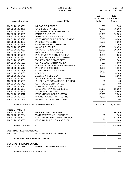| <b>CITY OF STEVENS POINT</b>              | 2018 BUDGET<br>Period: 00/18         |                                     | Page:<br>12<br>Dec 21, 2017 04:22PM          |
|-------------------------------------------|--------------------------------------|-------------------------------------|----------------------------------------------|
| <b>Account Number</b>                     | <b>Account Title</b>                 | 2017<br>Prior Year<br><b>Budget</b> | 2018<br><b>Current Year</b><br><b>Budget</b> |
| 100.52.20100.3301                         | <b>MILEAGE EXPENSES</b>              | 750                                 | 500                                          |
| 100.52.20100.3401                         | <b>GAS &amp; OIL CHARGES</b>         | 70,000                              | 70,000                                       |
| 100.52.20100.3450                         | <b>COMMUNITY/PUBLIC RELATIONS</b>    | 3,000                               | 3,500                                        |
| 100.52.20100.3501                         | <b>PARTS &amp; SUPPLIES</b>          | 10,000                              | 10,000                                       |
| 100.52.20100.3504                         | <b>VEHICLE TOWING CHARGES</b>        | 1,000                               | 1,000                                        |
| 100.52.20100.3510                         | OPERATIONS SPT FLEET EQUIPMENT       | 6,000                               | 6,000                                        |
| 100.52.20100.3603                         | PROTECTIVE VESTS                     | 5,500                               | 6,000                                        |
| 100.52.20100.3604                         | OPERATIONS MISC SUPPLIES             | 4,000                               | 4,000                                        |
| 100.52.20100.3609                         | <b>AMMO &amp; SUPPLIES</b>           | 13,000                              | 13,450                                       |
| 100.52.20100.3801                         | UNIFORM REPLACEMENTS                 | 10,000                              | 10,000                                       |
| 100.52.20100.5000                         | MISCELLANEOUS EXPENSES               | 2,000                               | 2,000                                        |
| 100.52.20100.5100                         | <b>INSURANCE PREMIUM PAYMENT</b>     | 1,600                               | 1,600                                        |
| 100.52.20100.5107                         | POLICE PROF LIAB INS PREMIUM         | 13,000                              | 13,000                                       |
| 100.52.20100.5501                         | <b>TICKET VIOL/RP STATE FEES</b>     | 2,500                               | 2,500                                        |
| 100.52.20100.5600                         | OSHA BLOOD PATH PROG EXP             | 500                                 | 500                                          |
| 100.52.20100.5610                         | EVIDENTIAL BLOOD DRAW EXPENSES       | 2,500                               | 4,000                                        |
| 100.52.20100.5615                         | PRISONER EXPENSES                    | 1,000                               | 1,500                                        |
| 100.52.20100.5704                         | <b>CRIME PREVENT PROG EXP</b>        | 3,000                               | 3,000                                        |
| 100.52.20100.5705                         | <b>LEXIPOL</b>                       | 8,000                               | 8,500                                        |
| 100.52.20100.5706                         | <b>AUXILIARY POLICE UNIT</b>         | 1,500                               | 1,500                                        |
| 100.52.20100.5707                         | <b>AUXILIARY POLICE DONATION EXP</b> | .00                                 | .00                                          |
| 100.52.20100.5708                         | <b>CHAPLAIN PROGRAM EXPENDITURES</b> | .00                                 | .00                                          |
| 100.52.20100.5709                         | <b>GEN POLICE DONATION EXP</b>       | .00                                 | .00                                          |
| 100.52.20100.5710                         | K-9 UNIT DONATIONS EXP               | .00                                 | .00                                          |
| 100.52.20100.5907                         | <b>GENERAL TRAINING EXPENSES</b>     | 20,000                              | 23,000                                       |
| 100.52.20100.5909                         | <b>IN-SERVICE TRAINING</b>           | 6,400                               | 6,400                                        |
| 100.52.20100.5912                         | EDUCATIONAL COMPENSATION             | 10,000                              | 7,000                                        |
| 100.52.20100.5921                         | PROMOTION/RECRUIT TESTING            | 4,000                               | 4,000                                        |
| 100.52.20100.7204                         | <b>RESTITUTION MEDIATION FEE</b>     | .00                                 | .00                                          |
| <b>Total GENERAL POLICE EXPENDITURES:</b> |                                      | 5,214,164                           | 5,267,405                                    |
| <b>POLICE FACILITY</b>                    |                                      |                                     |                                              |
| 100.52.20105.2200                         | <b>GAS/ELECTRIC CHARGES</b>          | .00                                 | 60,000                                       |
| 100.52.20105.2204                         | <b>WATER/SEWER UTIL, CHARGES</b>     | .00                                 | 1,500                                        |
| 100.52.20105.2922                         | CONTRACTED/BLDG MAINTENANCE          | .00                                 | 64,000                                       |
| 100.52.20105.3550                         | <b>GENERAL BUILDING MAINT SUPPL</b>  | .00                                 | 3,000                                        |
| <b>Total POLICE FACILITY:</b>             |                                      | .00                                 | 128,500                                      |
| <b>OVERTIME RESERVE USEAGE</b>            |                                      |                                     |                                              |
| 100.52.20126.1530                         | <b>GENERAL OVERTIME WAGES</b>        | .00                                 | .00                                          |
| Total OVERTIME RESERVE USEAGE:            |                                      | .00                                 | .00                                          |
| <b>GENERAL FIRE DEPT EXPEND</b>           |                                      |                                     |                                              |
| 100.52.25200.1999                         | <b>PENSION REIMBURSEMENTS</b>        | .00                                 | .00                                          |
| Total GENERAL FIRE DEPT EXPEND:           |                                      | .00                                 | .00                                          |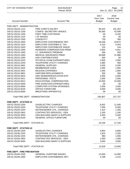| CITY OF STEVENS POINT                  | 2018 BUDGET<br>Period: 00/18                                   |                                     | Page:<br>13<br>Dec 21, 2017 04:22PM          |
|----------------------------------------|----------------------------------------------------------------|-------------------------------------|----------------------------------------------|
| <b>Account Number</b>                  | <b>Account Title</b>                                           | 2017<br>Prior Year<br><b>Budget</b> | 2018<br><b>Current Year</b><br><b>Budget</b> |
| FIRE DEPT - ADMINISTRATION             |                                                                |                                     |                                              |
| 100.52.25210.1113                      | FIRE CHIEF'S SALARY                                            | 99,424                              | 101,253                                      |
| 100.52.25210.1200                      | CONFID. SECRETARY WAGES                                        | 50,565                              | 42,599                                       |
| 100.52.25210.1405                      | PART-TIME CUSTODIAN                                            | .00                                 | 6,240                                        |
| 100.52.25210.1410                      | LTE WAGES                                                      | .00                                 | .00                                          |
| 100.52.25210.1500                      | <b>LONGEVITY</b>                                               | 730                                 | 300                                          |
| 100.52.25210.1900                      | EMPLOYER CONTRIB/WISC RET.                                     | 19,048                              | 18,872                                       |
| 100.52.25210.1910                      | <b>EMPLOYER CONTRIB/S.S. TAX</b>                               | 5,310                               | 5,204                                        |
| 100.52.25210.1920                      | <b>EMPLOYER CONTRIB/LIFE INSUR</b>                             | 132                                 | 144                                          |
| 100.52.25210.1930                      | <b>WORKERS COMPENSATION PREM</b>                               | 3,904                               | 4,941                                        |
| 100.52.25210.1940                      | I.C. INSURANCE PREMIUM                                         | 266                                 | 266                                          |
| 100.52.25210.1950                      | <b>MEDICAL INSURANCE PREM</b>                                  | 28,698                              | 21,988                                       |
| 100.52.25210.1955                      | <b>HSA CONTRIBUTIONS</b>                                       | 500                                 | .00                                          |
| 100.52.25210.2010                      | PHYSICAL EXAM EXPENDITURES<br><b>TELEPHONE UTILITY CHARGES</b> | 2,000                               | 2,000                                        |
| 100.52.25210.2203                      |                                                                | 1,680                               | 400                                          |
| 100.52.25210.3001<br>100.52.25210.3202 | <b>GENERAL SUPPLIES</b><br><b>MEMBERSHIP DUES</b>              | 3,200<br>1,000                      | 3,200<br>1,000                               |
| 100.52.25210.3301                      | <b>MILEAGE EXPENSES</b>                                        | 1,050                               | 1,050                                        |
| 100.52.25210.3801                      | UNIFORM REPLACEMENTS                                           | 300                                 | 300                                          |
| 100.52.25210.5910                      | <b>GEN SEMINAR/EDUCATION EXP.</b>                              | 4,500                               | 4,500                                        |
| 100.52.25210.5911                      | PERSONNEL TESTS                                                | 2,000                               | 2,000                                        |
| 100.52.25210.5912                      | EDUCATIONAL COMPENSATION                                       | 15,000                              | 15,000                                       |
| 100.52.25210.5930                      | FIRE DONATION EXPENDITURES                                     | .00                                 | .00                                          |
| 100.52.25210.8000                      | <b>COMPUTER SYSTEM UPGRADES</b>                                | 2,500                               | 2,500                                        |
| 100.52.25210.8100                      | <b>OFFICE FURNITURE</b>                                        | 4,000                               | 4,000                                        |
| 100.52.25210.8500                      | <b>BREATHING APPARATUS</b>                                     | .00                                 | .00                                          |
| Total FIRE DEPT - ADMINISTRATION:      |                                                                | 245,807                             | 237,757                                      |
| <b>FIRE DEPT - STATION #1</b>          |                                                                |                                     |                                              |
| 100.52.25220.2200                      | <b>GAS/ELECTRIC CHARGES</b>                                    | 8,932                               | 11,000                                       |
| 100.52.25220.2203                      | TELEPHONE UTILITY CHARGES                                      | 7,500                               | 8,300                                        |
| 100.52.25220.2204                      | <b>WATER/SEWER UTIL. CHARGES</b>                               | 1,314                               | 1,300                                        |
| 100.52.25220.2902                      | <b>CONTRACTED SERVICES - GEN</b>                               | 1,200                               | 1,200                                        |
| 100.52.25220.3550                      | <b>GEN BUILDING MAINT &amp; SUPPLIES</b>                       | 5,300                               | 5,300                                        |
| 100.52.25220.8100                      | <b>GENERAL OFFICE FURNITURE</b>                                | .00                                 | .00                                          |
| Total FIRE DEPT - STATION #1:          |                                                                | 24,246                              | 27,100                                       |
| <b>FIRE DEPT - STATION #2</b>          |                                                                |                                     |                                              |
| 100.52.25230.2200                      | <b>GAS/ELECTRIC CHARGES</b>                                    | 5,854                               | 5,800                                        |
| 100.52.25230.2203                      | <b>TELEPHONE UTILITY CHARGES</b>                               | 1,815                               | 2,200                                        |
| 100.52.25230.2204                      | <b>WATER/SEWER UTIL. CHARGES</b>                               | 960                                 | 1,000                                        |
| 100.52.25230.2902                      | <b>CONTRACTED SERVICES - GEN</b>                               | 1,000                               | 1,000                                        |
| 100.52.25230.3550                      | <b>GEN BUILDING MAINT &amp; SUPPLIES</b>                       | 3,000                               | 3,000                                        |
| Total FIRE DEPT - STATION #2:          |                                                                | 12,629                              | 13,000                                       |
| <b>FIRE DEPT - FIRE PREVENTION</b>     |                                                                |                                     |                                              |
| 100.52.25240.1530                      | <b>GENERAL OVERTIME WAGES</b>                                  | 14,000                              | 14,000                                       |
| 100.52.25240.1900                      | EMPLOYER CONTRIB/WISC RET.                                     | 2,198                               | 2,215                                        |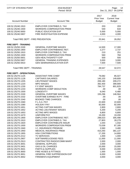| <b>CITY OF STEVENS POINT</b>           | 2018 BUDGET<br>Period: 00/18                           |                                            | Page:<br>14<br>Dec 21, 2017 04:22PM          |
|----------------------------------------|--------------------------------------------------------|--------------------------------------------|----------------------------------------------|
| <b>Account Number</b>                  | <b>Account Title</b>                                   | 2017<br><b>Prior Year</b><br><b>Budget</b> | 2018<br><b>Current Year</b><br><b>Budget</b> |
| 100.52.25240.1910                      | EMPLOYER CONTRIB/S.S. TAX                              | 203                                        | 203                                          |
| 100.52.25240.1930                      | <b>WORKERS COMPENSATION PREM</b>                       | 540                                        | 634                                          |
| 100.52.25240.5650                      | PUBLIC EDUCATION EXP                                   | 5,000                                      | 5,000                                        |
| 100.52.25240.5907                      | <b>FIRE INVESTIGATION EXPENSE</b>                      | 4,000                                      | 4,000                                        |
| Total FIRE DEPT - FIRE PREVENTION:     |                                                        | 25,941                                     | 26,052                                       |
| <b>FIRE DEPT - TRAINING</b>            |                                                        |                                            |                                              |
| 100.52.25250.1530                      | <b>GENERAL OVERTIME WAGES</b>                          | 14,500                                     | 17,300                                       |
| 100.52.25250.1900                      | <b>EMPLOYER CONTRIB/WISC RET.</b>                      | 2,277                                      | 2,737                                        |
| 100.52.25250.1910                      | <b>EMPLOYER CONTRIB/S.S. TAX</b>                       | 210                                        | 251                                          |
| 100.52.25250.1930                      | <b>WORKERS COMPENSATION PREM</b>                       | 560                                        | 784                                          |
| 100.52.25250.5601                      | <b>GEN HEALTH/SAFETY EXP</b>                           | 500                                        | 500                                          |
| 100.52.25250.5907                      | <b>GENERAL TRAINING EXPENSES</b>                       | 3,000                                      | 3,000                                        |
| 100.52.25250.5910                      | <b>GEN SEMINAR/EDUCATION EXP.</b>                      | 7,500                                      | 7,500                                        |
| <b>Total FIRE DEPT - TRAINING:</b>     |                                                        | 28,547                                     | 32,072                                       |
| <b>FIRE DEPT - OPERATIONAL</b>         |                                                        |                                            |                                              |
| 100.52.25270.1125                      | <b>ASSISTANT FIRE CHIEF</b>                            | 79,082                                     | 85,027                                       |
| 100.52.25270.1128                      | <b>CAPTAIN'S SALARIES</b>                              | 145,103                                    | 149,609                                      |
| 100.52.25270.1205                      | <b>LIEUTENANT WAGES</b>                                | 206,180                                    | 209,272                                      |
| 100.52.25270.1220                      | <b>MPO WAGES</b>                                       | 392,400                                    | 399,909                                      |
| 100.52.25270.1230                      | F.F./EMT WAGES                                         | 784,737                                    | 801,829                                      |
| 100.52.25270.1233                      | <b>WORKERS COMP DEDUCTION</b>                          | .00                                        | .00                                          |
| 100.52.25270.1500                      | <b>LONGEVITY</b>                                       | 6,040                                      | 6,480                                        |
| 100.52.25270.1530                      | <b>GENERAL OVERTIME WAGES</b>                          | 155,296                                    | 146,564                                      |
| 100.52.25270.1532                      | OVERTIME EARNED IN PY - FIRE                           | .00                                        | .00                                          |
| 100.52.25270.1540                      | <b>BOOKED TIME CHARGES</b>                             | .00                                        | .00                                          |
| 100.52.25270.1560                      | F.L.S.A. PAY                                           | 22,600                                     | 22,600                                       |
| 100.52.25270.1580                      | <b>HOLIDAY PAY</b>                                     | 92,000                                     | 92,000                                       |
| 100.52.25270.1651                      | <b>ACTING CAPTAIN WAGES</b>                            | 2,800                                      | 2,800                                        |
| 100.52.25270.1652                      | <b>ACTING LIEUTENANT WAGES</b>                         | 5,200                                      | 5,200                                        |
| 100.52.25270.1653                      | <b>ACTING MPO WAGES</b>                                | 6,800                                      | 6,800                                        |
| 100.52.25270.1670                      | <b>UNIFORM PAY</b>                                     | 19,200                                     | 19,200                                       |
| 100.52.25270.1900                      | <b>EMPLOYER CONTRIB/WISC RET.</b>                      | 298,023                                    | 305,498                                      |
| 100.52.25270.1910                      | <b>EMPLOYER CONTRIB/S.S. TAX</b>                       | 27,803                                     | 28,279                                       |
| 100.52.25270.1920                      | <b>EMPLOYER CONTRIB/LIFE INSUR</b>                     | 1,044                                      | 1,032                                        |
| 100.52.25270.1930                      | <b>WORKERS COMPENSATION PREM</b>                       | 73,039                                     | 87,185                                       |
| 100.52.25270.1940                      | I.C. INSURANCE PREMIUM                                 | 3,560                                      | 3,480                                        |
| 100.52.25270.1950                      | <b>MEDICAL INSURANCE PREM</b>                          | 410,293                                    | 381,137                                      |
| 100.52.25270.1955                      | <b>HSA CONTRIBUTIONS</b>                               | 17,200                                     | 14,800                                       |
| 100.52.25270.2212                      | <b>TV SERVICES</b>                                     | 1,000                                      | 1,000                                        |
| 100.52.25270.2907                      | SOFTWARE/LICENSE FEES                                  | 11,000                                     | 11,000                                       |
| 100.52.25270.2913<br>100.52.25270.3001 | CONTRACTED RADIO/COMM MAINT<br><b>GENERAL SUPPLIES</b> | 2,000                                      | 2,000                                        |
| 100.52.25270.3401                      | <b>GAS &amp; OIL CHARGES</b>                           | 2,000<br>15,000                            | 3,000                                        |
|                                        | <b>PARTS &amp; SUPPLIES</b>                            |                                            | 15,000                                       |
| 100.52.25270.3501                      | FIRE HOSES & FITTINGS                                  | 9,000                                      | 15,000                                       |
| 100.52.25270.3650<br>100.52.25270.3651 | <b>GENERAL FIRE SUPPRESSION EXP</b>                    | 1,000<br>6,000                             | 1,000<br>6,000                               |
| 100.52.25270.3652                      | <b>FIREMEN'S EQUIPMENT</b>                             | 3,000                                      | 3,000                                        |
|                                        |                                                        |                                            |                                              |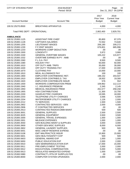| <b>CITY OF STEVENS POINT</b>   | 2018 BUDGET<br>Period: 00/18             |                                     | Page:<br>- 15<br>Dec 21, 2017 04:22PM        |
|--------------------------------|------------------------------------------|-------------------------------------|----------------------------------------------|
| <b>Account Number</b>          | <b>Account Title</b>                     | 2017<br>Prior Year<br><b>Budget</b> | 2018<br><b>Current Year</b><br><b>Budget</b> |
| 100.52.25270.8500              | <b>BREATHING APPARATUS</b>               | 4,000                               | 4,000                                        |
| Total FIRE DEPT - OPERATIONAL: |                                          | 2,802,400                           | 2,829,701                                    |
| <b>AMBULANCE</b>               |                                          |                                     |                                              |
| 100.52.25300.1125              | <b>ASSISTANT FIRE CHIEF</b>              | 85,800                              | 87,379                                       |
| 100.52.25300.1128              | <b>CAPTAIN'S SALARIES</b>                | 72,552                              | 73,640                                       |
| 100.52.25300.1205              | <b>LIEUTENANT WAGES</b>                  | 206,180                             | 209,272                                      |
| 100.52.25300.1230              | F.F./EMT WAGES                           | 676,801                             | 685,996                                      |
| 100.52.25300.1233              | <b>WORKERS COMP DEDUCTION</b>            | .00.                                | .00                                          |
| 100.52.25300.1500              | <b>LONGEVITY</b>                         | 3,972                               | 3,900                                        |
| 100.52.25300.1530              | <b>GENERAL OVERTIME WAGES</b>            | 105,222                             | 115,977                                      |
| 100.52.25300.1532              | OVERTIME EARNED IN PY - AMB              | .00.                                | .00                                          |
| 100.52.25300.1560              | F.L.S.A. PAY                             | 8,500                               | 8,500                                        |
| 100.52.25300.1580              | <b>HOLIDAY PAY</b>                       | 50,000                              | 50,000                                       |
| 100.52.25300.1610              | OFF DUTY AMB. TRIPS                      | 35,000                              | 30,000                                       |
| 100.52.25300.1630              | OFF DUTY TRAINING PAY                    | 17,000                              | 22,000                                       |
| 100.52.25300.1670              | <b>CLOTHING PAY</b>                      | 10,000                              | 10,000                                       |
| 100.52.25300.1810              | <b>MEAL ALLOWANCE PAY</b>                | 100                                 | 100                                          |
| 100.52.25300.1900              | EMPLOYER CONTRIB/WISC RET.               | 198,152                             | 203,547                                      |
| 100.52.25300.1910              | <b>EMPLOYER CONTRIB/S.S. TAX</b>         | 18,932                              | 19,300                                       |
| 100.52.25300.1920              | <b>EMPLOYER CONTRIB/LIFE INSUR</b>       | 576                                 | 552                                          |
| 100.52.25300.1930              | <b>WORKERS COMPENSATION PREM</b>         | 109,962                             | 112,114                                      |
| 100.52.25300.1940              | I.C. INSURANCE PREMIUM                   | 2,345                               | 2,145                                        |
| 100.52.25300.1950              | MEDICAL INSURANCE PREM                   | 261,577                             | 258,158                                      |
| 100.52.25300.1955              | <b>HSA CONTRIBUTIONS</b>                 | 11,300                              | 10,700                                       |
| 100.52.25300.2200              | <b>GAS/ELECTRIC CHARGES</b>              | 19,595                              | 18,000                                       |
| 100.52.25300.2203              | <b>TELEPHONE UTILITY CHARGES</b>         | 3,566                               | 6,500                                        |
| 100.52.25300.2204              | <b>WATER/SEWER UTILITY CHARGES</b>       | 1,126                               | 2,000                                        |
| 100.52.25300.2212              | TV SERVICES                              | 1,500                               | 1,500                                        |
| 100.52.25300.2902              | <b>CONTRACTED SERVICES - GEN</b>         | 2,000                               | 4,000                                        |
| 100.52.25300.2906              | <b>IT CONTRACTED SERVICES</b>            | .00.                                | .00                                          |
| 100.52.25300.2913              | CONTRACTED RADIO/COMM MAINT              | 500                                 | 500                                          |
| 100.52.25300.3001              | <b>GENERAL SUPPLIES</b>                  | 2,500                               | 2,500                                        |
| 100.52.25300.3025              | <b>GENERAL EQUIPMENT</b>                 | 3,500                               | 3,500                                        |
| 100.52.25300.3300              | <b>GENERAL TRAVEL EXPENSES</b>           | 1,000                               | 1,000                                        |
| 100.52.25300.3301              | <b>MILEAGE EXPENSES</b>                  | 1,000                               | 1,000                                        |
| 100.52.25300.3550              | <b>GEN BUILDING MAINT &amp; SUPPLIES</b> | 3,000                               | 3,000                                        |
| 100.52.25300.3900              | OTHER GEN MISC SUPPLIES                  | 8,000                               | 6,000                                        |
| 100.52.25300.3902              | <b>GENERAL LAUNDRY SUPPLIES</b>          | 500                                 | 500                                          |
| 100.52.25300.5001              | MISC UNEXP RESERVE EXPEND.               | .00                                 | .00                                          |
| 100.52.25300.5108              | <b>EMT MALPRACTICE INSUR</b>             | 15,900                              | 15,900                                       |
| 100.52.25300.5601              | <b>GEN HEALTH/SAFETY EXP</b>             | 500                                 | 500                                          |
| 100.52.25300.5603              | <b>GENERAL AWARD EXP</b>                 | 1,000                               | 1,000                                        |
| 100.52.25300.5650              | PUBLIC EDUCATION EXP                     | 2,000                               | 2,000                                        |
| 100.52.25300.5910              | <b>GEN SEMINAR/EDUCATION EXP.</b>        | 17,000                              | 15,000                                       |
| 100.52.25300.5911              | PRE-EMPLOYMENT TESTING                   | 2,000                               | 2,000                                        |
| 100.52.25300.5912              | EDUCATIONAL COMPENSATION                 | 5,000                               | 5,000                                        |
| 100.52.25300.5913              | REGULATED MANDATED EXPEND                | 1,000                               | 1,000                                        |
| 100.52.25300.5980              | CONTRACT'L RTN OF SURPLUS FDS            | .00                                 | .00                                          |
| 100.52.25300.8000              | <b>COMPUTER SYSTEM UPGRADES</b>          | 2,000                               | 2,000                                        |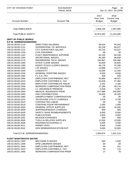| CITY OF STEVENS POINT                                          | 2018 BUDGET<br>Period: 00/18                                    |                                     | Page:<br>16<br>Dec 21, 2017 04:22PM          |
|----------------------------------------------------------------|-----------------------------------------------------------------|-------------------------------------|----------------------------------------------|
| <b>Account Number</b>                                          | <b>Account Title</b>                                            | 2017<br>Prior Year<br><b>Budget</b> | 2018<br><b>Current Year</b><br><b>Budget</b> |
| <b>Total AMBULANCE:</b>                                        |                                                                 | 1,968,158                           | 1,997,680                                    |
| <b>Total PUBLIC SAFETY:</b>                                    |                                                                 | 10,970,355                          | 11,233,399                                   |
| <b>DEPT OF PUBLIC WORKS</b><br><b>D.P.W. ADMIN/ENGINEERING</b> |                                                                 |                                     |                                              |
| 100.53.30100.1110                                              | <b>DIRECTORS SALARIES</b>                                       | 99,424                              | 93,353                                       |
| 100.53.30100.1121                                              | SUPERINTEND. OF SERVICES                                        | 83,138                              | 85,027                                       |
| 100.53.30100.1122                                              | <b>CITY SURVEYOR'S SALARY</b>                                   | 60,715                              | 63,527                                       |
| 100.53.30100.1150                                              | <b>CIVIL ENGINEER</b>                                           | .00.                                | .00                                          |
| 100.53.30100.1162                                              | FLEET MAINTENANCE SUPVRSR                                       | 62,150                              | 65,539                                       |
| 100.53.30100.1250                                              | <b>SECRETARIAL WAGES</b>                                        | 85,280                              | 86,849                                       |
| 100.53.30100.1270                                              | <b>ENGINEERING TECH. WAGES</b>                                  | 162,967                             | 220,406                                      |
| 100.53.30100.1285                                              | <b>STOCK CLERK WAGES</b>                                        | 53,830                              | 54,820                                       |
| 100.53.30100.1290                                              | <b>ASSIST STOCK CLERKS WAGES</b>                                | 45,178                              | 47,280                                       |
| 100.53.30100.1460                                              | <b>LTE WAGES</b>                                                | 13,088                              | 13,177                                       |
| 100.53.30100.1500                                              | <b>LONGEVITY</b>                                                | 13,000                              | 12,420                                       |
| 100.53.30100.1530                                              | <b>GENERAL OVERTIME WAGES</b>                                   | 8,500                               | 8,500                                        |
| 100.53.30100.1560                                              | F.L.S.A. PAY                                                    | 500                                 | 500                                          |
| 100.53.30100.1900                                              | <b>EMPLOYER CONTRIB/WISC RET.</b>                               | 45,866                              | 49,427                                       |
| 100.53.30100.1910<br>100.53.30100.1920                         | EMPLOYER CONTRIB/S.S. TAX<br><b>EMPLOYER CONTRIB/LIFE INSUR</b> | 52,639<br>2,191                     | 57,482<br>2,160                              |
| 100.53.30100.1930                                              | <b>WORKERS COMPENSATION PREM</b>                                | 27,185                              | 30,176                                       |
| 100.53.30100.1940                                              | I.C. INSURANCE PREMIUM                                          | 5,029                               | 5,057                                        |
| 100.53.30100.1950                                              | MEDICAL INSURANCE PREM                                          | 677,098                             | 644,993                                      |
| 100.53.30100.1955                                              | <b>HSA CONTRIBUTIONS</b>                                        | 24,400                              | 25,100                                       |
| 100.53.30100.1960                                              | UNEMPLOYMENT COMPENSATION                                       | .00                                 | .00                                          |
| 100.53.30100.2203                                              | <b>TELEPHONE UTILITY CHARGES</b>                                | 1,576                               | 3,700                                        |
| 100.53.30100.2915                                              | <b>CONTRACTED LABOR</b>                                         | .00.                                | .00                                          |
| 100.53.30100.2919                                              | <b>CONT/ENG EQUIP REPAIR/MAINT</b>                              | 1,000                               | 1,000                                        |
| 100.53.30100.3000                                              | <b>GENERAL OFFICE SUPPLIES</b>                                  | 15,000                              | 15,000                                       |
| 100.53.30100.3009                                              | SHIPPING/FREIGHT CHARGES                                        | 600                                 | 600                                          |
| 100.53.30100.3020                                              | SAFETY SHOE REIMBURSEMENTS                                      | 8,000                               | 8,500                                        |
| 100.53.30100.3200                                              | <b>PUBLICATIONS</b>                                             | 3,500                               | 3,500                                        |
| 100.53.30100.3301                                              | <b>MILEAGE EXPENSES</b>                                         | 500                                 | 500                                          |
| 100.53.30100.3505                                              | <b>TOOLS &amp; RELATED SUPPLIES</b>                             | 13,200                              | 13,000                                       |
| 100.53.30100.3506<br>100.53.30100.3511                         | RAGS/MATS/COVERALL'S<br>PERMIT FEES                             | 5,500<br>4,620                      | 5,500<br>4,030                               |
| 100.53.30100.5910                                              | <b>GEN SEMINAR/EDUCATION EXP.</b>                               | 9,000                               | 10,000                                       |
|                                                                |                                                                 |                                     |                                              |
| Total D.P.W. ADMIN/ENGINEERING:                                |                                                                 | 1,584,674                           | 1,631,123                                    |
| <b>FLEET MAINT/WASTE WATER</b>                                 |                                                                 |                                     |                                              |
| 100.53.30231.1300                                              | <b>MECHANIC'S WAGES</b>                                         | 584                                 | 1,500                                        |
| 100.53.30231.1306                                              | DPW LABORERS WAGES                                              | .00                                 | .00                                          |
| 100.53.30231.1900                                              | EMPLOYER CONTRIB/WISC RET.                                      | 40                                  | 101                                          |
| 100.53.30231.1910                                              | <b>EMPLOYER CONTRIB/S.S. TAX</b>                                | 45                                  | 115                                          |
| 100.53.30231.1930                                              | <b>WORKERS COMPENSATION PREM</b>                                | 27                                  | 70                                           |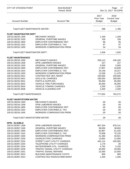| <b>CITY OF STEVENS POINT</b>           | 2018 BUDGET<br>Period: 00/18                                           |                                     | Page:<br>17<br>Dec 21, 2017 04:22PM          |
|----------------------------------------|------------------------------------------------------------------------|-------------------------------------|----------------------------------------------|
| <b>Account Number</b>                  | <b>Account Title</b>                                                   | 2017<br>Prior Year<br><b>Budget</b> | 2018<br><b>Current Year</b><br><b>Budget</b> |
|                                        | Total FLEET MAINT/WASTE WATER:                                         |                                     | 1,786                                        |
| <b>FLEET MAINT/WATER DEPT</b>          |                                                                        |                                     |                                              |
| 100.53.30232.1300                      | <b>MECHANIC WAGES</b>                                                  | 1,169                               | 1,169                                        |
| 100.53.30232.1530                      | <b>GENERAL OVERTIME WAGES</b>                                          | 100                                 | 100                                          |
| 100.53.30232.1900                      | <b>EMPLOYER CONTRIB/WISC RET.</b>                                      | 86                                  | 85                                           |
| 100.53.30232.1910                      | <b>EMPLOYER CONTRIB/S.S. TAX</b>                                       | 97                                  | 97                                           |
| 100.53.30232.1930                      | <b>WORKERS COMPENSATION PREM</b>                                       | 54                                  | 54                                           |
| Total FLEET MAINT/WATER DEPT:          |                                                                        | 1,506                               | 1,505                                        |
| <b>FLEET MAINTENANCE</b>               |                                                                        |                                     |                                              |
| 100.53.30233.1300                      | <b>MECHANIC'S WAGES</b>                                                | 258,113<br>227                      | 246,100                                      |
| 100.53.30233.1306<br>100.53.30233.1530 | <b>DPW LABORERS WAGES</b><br><b>GENERAL OVERTIME WAGES</b>             | 5,000                               | 227                                          |
| 100.53.30233.1900                      | EMPLOYER CONTRIB/WISC RET.                                             | 17,907                              | 5,000<br>16,839                              |
| 100.53.30233.1910                      | <b>EMPLOYER CONTRIB/S.S. TAX</b>                                       | 20,146                              | 19,227                                       |
| 100.53.30233.1930                      | <b>WORKERS COMPENSATION PREM</b>                                       | 12,039                              | 11,479                                       |
| 100.53.30233.2912                      | CONTRACTED VEH. MAINT                                                  | 150,000                             | 150,000                                      |
| 100.53.30233.3401                      | <b>GAS &amp; OIL CHARGES</b>                                           | 180,000                             | 180,000                                      |
| 100.53.30233.3501                      | <b>PARTS &amp; SUPPLIES</b>                                            | 85,000                              | 85,000                                       |
| 100.53.30233.3502                      | <b>VEHICLE TIRE PURCHASES</b>                                          | 45,000                              | 45,000                                       |
| 100.53.30233.3504                      | <b>VEHICLE TOWING CHARGES</b>                                          | 2,200                               | 2,200                                        |
| 100.53.30233.3508                      | VEHICLE CLEANING EXP.                                                  | 2,200                               | 2,200                                        |
| <b>Total FLEET MAINTENANCE:</b>        |                                                                        | 777,832                             | 763,272                                      |
| <b>FLEET MAINT/STORM WATER</b>         |                                                                        |                                     |                                              |
| 100.53.30234.1300                      | <b>MECHANIC'S WAGES</b>                                                | .00                                 | .00                                          |
| 100.53.30234.1306                      | <b>DPW LABORERS WAGES</b>                                              | .00                                 | .00                                          |
| 100.53.30234.1900                      | EMPLOYER CONTRIB/WISC RET.                                             | .00                                 | .00                                          |
| 100.53.30234.1910                      | <b>EMPLOYER CONTRIB/S.S. TAX</b>                                       | .00                                 | .00.                                         |
| 100.53.30234.1930                      | <b>WORKERS COMPENSATION PREM</b>                                       | .00                                 | .00.                                         |
| Total FLEET MAINT/STORM WATER:         |                                                                        | .00                                 | .00.                                         |
| <b>DPW - ELIGIBLE</b>                  |                                                                        |                                     |                                              |
| 100.53.30397.1306                      | <b>DPW LABORERS WAGES</b>                                              | 887,334                             | 878,141                                      |
| 100.53.30397.1530                      | <b>GENERAL OVERTIME WAGES</b>                                          | 38,650                              | 38,650                                       |
| 100.53.30397.1900                      | EMPLOYER CONTRIB/WISC RET.                                             | 62,967                              | 61,425                                       |
| 100.53.30397.1910                      | <b>EMPLOYER CONTRIB/S.S. TAX</b>                                       | 70,838                              | 70,135                                       |
| 100.53.30397.1930                      | <b>WORKERS COMPENSATION PREM</b>                                       | 41,350                              | 40,921                                       |
| 100.53.30397.2200                      | <b>GAS/ELECTRIC CHARGES</b>                                            | 13,662                              | 12,000                                       |
| 100.53.30397.2202                      | <b>STREET LIGHT UTILITY CHARGES</b>                                    | 442,114                             | 420,000                                      |
| 100.53.30397.2203                      | TELEPHONE UTILITY CHARGES                                              | 1,179                               | .00                                          |
| 100.53.30397.2204                      | WATER/SEWER UTIL. CHARGES                                              | 4,792                               | 5,100                                        |
| 100.53.30397.2209<br>100.53.30397.2301 | <b>TRAFFIC SIGNAL UTILITY CHARGES</b><br><b>TRAFFIC SIGNAL REPAIRS</b> | 20,000<br>22,000                    | 20,000<br>22,000                             |
| 100.53.30397.2810                      | <b>BUILDING MAINTENANCE COSTS</b>                                      | 800                                 | 800                                          |
| 100.53.30397.2913                      | CONTRACTED RADIO/COMM MAINT                                            | 1,200                               | 1,200                                        |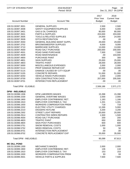| <b>CITY OF STEVENS POINT</b> | 2018 BUDGET<br>Period: 00/18        |                                     | 18<br>Page:<br>Dec 21, 2017 04:22PM          |
|------------------------------|-------------------------------------|-------------------------------------|----------------------------------------------|
| <b>Account Number</b>        | <b>Account Title</b>                | 2017<br>Prior Year<br><b>Budget</b> | 2018<br><b>Current Year</b><br><b>Budget</b> |
| 100.53.30397.3001            | <b>GENERAL SUPPLIES</b>             | 2,500                               | 2,500                                        |
| 100.53.30397.3008            | SAFETY EQUIPMENT/SUPPLIES           | 6,000                               | 6,000                                        |
| 100.53.30397.3401            | <b>GAS &amp; OIL CHARGES</b>        | 80,000                              | 80,000                                       |
| 100.53.30397.3501            | <b>PARTS &amp; SUPPLIES</b>         | 203,000                             | 203,000                                      |
| 100.53.30397.3505            | <b>TOOLS &amp; RELATED SUPPLIES</b> | 24,000                              | 24,000                                       |
| 100.53.30397.3509            | <b>DITCH RESTORATION</b>            | .00                                 | .00                                          |
| 100.53.30397.3550            | <b>GENERAL BUILDING MAINT SUPPL</b> | 29,000                              | 29,000                                       |
| 100.53.30397.3702            | <b>BROOM/SWEEPER SUPPLIES</b>       | 9,000                               | 9,000                                        |
| 100.53.30397.3710            | <b>BARRICADE SUPPLIES</b>           | 13,000                              | 13,000                                       |
| 100.53.30397.4500            | ROAD SALT PURCHASE                  | 200,000                             | 200,000                                      |
| 100.53.30397.4501            | <b>ROAD SAND PURCHASE</b>           | 7,500                               | 7,500                                        |
| 100.53.30397.4509            | <b>ROAD MAINTENANCE</b>             | .00                                 | 103,000                                      |
| 100.53.30397.4800            | <b>PURCHASE PAINT</b>               | 300                                 | 300                                          |
| 100.53.30397.4801            | <b>SIGN SUPPLIES</b>                | 25,000                              | 25,000                                       |
| 100.53.30397.4803            | <b>TRAFFIC PAINT</b>                | 28,000                              | 28,000                                       |
| 100.53.30397.5000            | MISCELLANEOUS EXPENSES              | 2,000                               | 2,000                                        |
| 100.53.30397.5114            | PROP DAMAGE REPAIR EXP              | 10,000                              | 10,000                                       |
| 100.53.30397.5115            | DAMAGE CAUSED BY CITY EQUIP         | .00                                 | .00                                          |
| 100.53.30397.5155            | <b>CONCRETE REPAIRS</b>             | 51,000                              | 51,000                                       |
| 100.53.30397.8250            | <b>VEHICLE RADIO PURCHASES</b>      | 2,000                               | 2,000                                        |
| 100.53.30397.8700            | <b>GEN CONSTRUCTION CHGS</b>        | 207,000                             | 205,500                                      |
| 100.53.30397.8701            | INTERSECTION REPLACEMENT            | .00                                 | .00                                          |
| Total DPW - ELIGIBLE:        |                                     | 2,506,186                           | 2,571,172                                    |
| <b>DPW - INELIGIBLE</b>      |                                     |                                     |                                              |
| 100.53.30398.1306            | DPW LABORERS WAGES                  | 15,398                              | 15,398                                       |
| 100.53.30398.1530            | <b>GENERAL OVERTIME WAGES</b>       | 2,000                               | 2,000                                        |
| 100.53.30398.1900            | EMPLOYER CONTRIB/WISC RET.          | 1,183                               | 1,166                                        |
| 100.53.30398.1910            | <b>EMPLOYER CONTRIB/S.S. TAX</b>    | 1,331                               | 1,331                                        |
| 100.53.30398.1930            | <b>WORKERS COMPENSATION PREM</b>    | 718                                 | 718                                          |
| 100.53.30398.2202            | <b>ELECTRIC UTILITY CHARGES</b>     | 12,269                              | 5,000                                        |
| 100.53.30398.2210            | <b>DIGGERS HOTLINE</b>              | 3,200                               | 3,200                                        |
| 100.53.30398.2302            | <b>STREET LIGHT REPAIRS</b>         | 20,000                              | 20,000                                       |
| 100.53.30398.2914            | <b>CONTRACTED SIREN REPAIRS</b>     | 1,500                               | 1,500                                        |
| 100.53.30398.4500            | ROAD SALT PURCHASE                  | 200                                 | 200                                          |
| 100.53.30398.4803            | <b>TRAFFIC PAINT</b>                | 650                                 | 650                                          |
| 100.53.30398.4804            | <b>SIGN POST PURCHASES</b>          | 600                                 | 600                                          |
| 100.53.30398.5751            | <b>SNOW REMOVAL COSTS</b>           | 1,000                               | 1,000                                        |
| 100.53.30398.5752            | <b>WEED REMOVAL COSTS</b>           | 50                                  | 50                                           |
| 100.53.30398.8701            | <b>INTERSECTION REPLACEMENT</b>     | .00                                 | .00                                          |
| 100.53.30398.8702            | CONCRETE REPLACEMENT EXP            | 35,000                              | 35,000                                       |
| Total DPW - INELIGIBLE:      |                                     | 95,099                              | 87,813                                       |
| <b>MC DILL POND</b>          |                                     |                                     |                                              |
| 100.53.30399.1300            | <b>MECHANIC'S WAGES</b>             | 2,000                               | 2,000                                        |
| 100.53.30399.1900            | <b>EMPLOYER CONTRIB/WISC RET.</b>   | 136                                 | 134                                          |
| 100.53.30399.1910            | <b>EMPLOYER CONTRIB/S.S. TAX</b>    | 153                                 | 153                                          |
| 100.53.30399.1930            | <b>WORKERS COMPENSATION PREM</b>    | 93                                  | 93                                           |
| 100.53.30399.3501            | <b>VEHICLE PARTS &amp; SUPPLIES</b> | 7,500                               | 7,500                                        |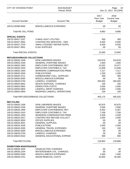| <b>CITY OF STEVENS POINT</b>      | 2018 BUDGET<br>Period: 00/18        | Page:<br>Dec 21, 2017 04:22PM              |                                              |
|-----------------------------------|-------------------------------------|--------------------------------------------|----------------------------------------------|
| <b>Account Number</b>             | <b>Account Title</b>                | 2017<br><b>Prior Year</b><br><b>Budget</b> | 2018<br><b>Current Year</b><br><b>Budget</b> |
| 100.53.30399.5000                 | <b>MISCELLANEOUS EXPENSES</b>       | .00                                        | .00                                          |
| <b>Total MC DILL POND:</b>        |                                     | 9,882                                      | 9,880                                        |
| <b>SPECIAL EVENTS</b>             |                                     |                                            |                                              |
| 100.53.30427.2207                 | <b>X-MAS LIGHT UTILITIES</b>        | 500                                        | 300                                          |
| 100.53.30427.2902                 | CONTRACTED SERVICES - GEN           | 6,000                                      | 6,000                                        |
| 100.53.30427.3703                 | XMAS LITES/DEC REPAIR SUPPL         | 6,500                                      | 6,500                                        |
| 100.53.30427.3901                 | <b>FLAG SUPPLIES</b>                | .00.                                       | .00                                          |
| <b>Total SPECIAL EVENTS:</b>      |                                     | 13,000                                     | 12,800                                       |
| <b>REFUSE/GARBAGE COLLECTIONS</b> |                                     |                                            |                                              |
| 100.53.30620.1306                 | <b>DPW LABORERS WAGES</b>           | 153,878                                    | 153,878                                      |
| 100.53.30620.1530                 | <b>GENERAL OVERTIME WAGES</b>       | 1,000                                      | 1,000                                        |
| 100.53.30620.1900                 | EMPLOYER CONTRIB/WISC RET.          | 10,532                                     | 10,377                                       |
| 100.53.30620.1910                 | EMPLOYER CONTRIB/S.S. TAX           | 11,848                                     | 11,848                                       |
| 100.53.30620.1930                 | <b>WORKERS COMPENSATION PREM</b>    | 7,217                                      | 7,217                                        |
| 100.53.30620.3200                 | <b>PUBLICATIONS</b>                 | 1,200                                      | 1,200                                        |
| 100.53.30620.3711                 | <b>GARBAGE/REF COLL. SUPPLIES</b>   | 300                                        | 300                                          |
| 100.53.30620.5000                 | MISCELLANEOUS EXPENSE               | .00                                        | .00                                          |
| 100.53.30620.5750                 | <b>LANDFILL CHARGES</b>             | 265,000                                    | 265,000                                      |
| 100.53.30620.5801                 | <b>WASTE DISPOSAL CHARGES</b>       | 100                                        | 100                                          |
| 100.53.30620.5802                 | <b>DEMOLITION COSTS</b>             | 2,000                                      | 2,000                                        |
| 100.53.30620.5804                 | <b>LANDFILL DROP CHARGES</b>        | 2,000                                      | 2,000                                        |
| 100.53.30620.5805                 | <b>MODIFIED LANDFILL OPERATIONS</b> | 100                                        | 100                                          |
|                                   | Total REFUSE/GARBAGE COLLECTIONS:   | 455,175                                    | 455,020                                      |
| <b>RECYCLING</b>                  |                                     |                                            |                                              |
| 100.53.30633.1306                 | DPW LABORERS WAGES                  | 92,875                                     | 92,875                                       |
| 100.53.30633.1530                 | <b>GENERAL OVERTIME WAGES</b>       | 2,000                                      | 2,000                                        |
| 100.53.30633.1900                 | EMPLOYER CONTRIB/WISC RET.          | 6,452                                      | 6,357                                        |
| 100.53.30633.1910                 | <b>EMPLOYER CONTRIB/S.S. TAX</b>    | 7,258                                      | 7,258                                        |
| 100.53.30633.1930                 | <b>WORKERS COMPENSATION PREM</b>    | 4,328                                      | 4,328                                        |
| 100.53.30633.2917                 | CONTRACTED REFUSE COLLECT           | 2,500                                      | 2,500                                        |
| 100.53.30633.3000                 | <b>OFFICE SUPPLIES</b>              | .00                                        | .00                                          |
| 100.53.30633.3001                 | <b>GENERAL SUPPLIES</b>             | .00                                        | .00                                          |
| 100.53.30633.3200                 | <b>PUBLICATIONS</b>                 | 2,500                                      | 2,500                                        |
| 100.53.30633.3300                 | <b>GENERAL TRAVEL EXPENSES</b>      | 150                                        | 150                                          |
| 100.53.30633.5000                 | MISCELLANEOUS EXPENSES              | .00.                                       | .00                                          |
| 100.53.30633.5750                 | <b>LANDFILL CHARGES</b>             | .00                                        | .00                                          |
| 100.53.30633.5910                 | <b>GENERAL EDUCATIONAL EXPEND</b>   | 900                                        | 900                                          |
| <b>Total RECYCLING:</b>           |                                     | 118,963                                    | 118,868                                      |
| <b>DOWNTOWN MAINTENANCE</b>       |                                     |                                            |                                              |
| 100.53.30635.2200                 | <b>GAS/ELECTRIC CHARGES</b>         | .00.                                       | .00                                          |
| 100.53.30635.2204                 | <b>WATER/SEWER UTIL. CHARGES</b>    | .00                                        | .00                                          |
| 100.53.30635.5000                 | MISCELLANEOUS EXPENSES              | 1,500                                      | 1,500                                        |
| 100.53.30635.5751                 | <b>SNOW REMOVAL COSTS</b>           | 32,000                                     | 32,000                                       |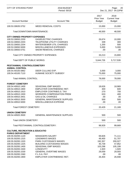| <b>CITY OF STEVENS POINT</b>                                         | 2018 BUDGET<br>Period: 00/18        |                                     | Page:<br>20<br>Dec 21, 2017 04:22PM          |
|----------------------------------------------------------------------|-------------------------------------|-------------------------------------|----------------------------------------------|
| <b>Account Number</b>                                                | <b>Account Title</b>                | 2017<br>Prior Year<br><b>Budget</b> | 2018<br><b>Current Year</b><br><b>Budget</b> |
| 100.53.30635.5752                                                    | <b>WEED REMOVAL COSTS</b>           | 15,000                              | 15,000                                       |
| Total DOWNTOWN MAINTENANCE:                                          |                                     | 48,500                              | 48,500                                       |
| <b>CITY OWNED PROPERTY EXPENSES</b>                                  |                                     |                                     |                                              |
| 100.53.30650.2200                                                    | <b>GAS/ELECTRIC CHARGES</b>         | 26,674                              | 10,000                                       |
| 100.53.30650.2203                                                    | <b>TELEPHONE UTILITY CHARGES</b>    | 339                                 | 300                                          |
| 100.53.30650.2204                                                    | <b>WATER/SEWER UTIL CHARGES</b>     | 1,200                               | 500                                          |
| 100.53.30650.5000                                                    | MISCELLANEOUS EXPENSES              | 5,000                               | 5,000                                        |
| 100.53.30650.5751                                                    | <b>SNOW REMOVAL CHARGES</b>         | .00.                                | .00                                          |
|                                                                      | Total CITY OWNED PROPERTY EXPENSES: | 33,213                              | 15,800                                       |
| Total DEPT OF PUBLIC WORKS:                                          |                                     | 5,644,726                           | 5,717,539                                    |
| PEST/ANIMAL CONTROL/CEMETERY<br><b>ANIMAL CONTROL</b>                |                                     |                                     |                                              |
| 100.54.40100.5862                                                    | DEER CULLING EXP.                   | 3,000                               | 3,000                                        |
| 100.54.40100.7110                                                    | HUMANE SOCIETY SUBSIDY              | 75,000                              | 75,000                                       |
| <b>Total ANIMAL CONTROL:</b>                                         |                                     | 78,000                              | 78,000                                       |
| <b>FOREST CEMETERY</b>                                               |                                     |                                     |                                              |
| 100.54.40910.1400                                                    | <b>SEASONAL EMP WAGES</b>           | 18,626                              | 18,969                                       |
| 100.54.40910.1900                                                    | EMPLOYER CONTRIB/WISC RET.          | 400                                 | 600                                          |
| 100.54.40910.1910                                                    | <b>EMPLOYER CONTRIB/S.S. TAX</b>    | 270                                 | 700                                          |
| 100.54.40910.1930                                                    | <b>WORKERS COMPENSATION PREM</b>    | 633                                 | 400                                          |
| 100.54.40910.3401                                                    | <b>GAS &amp; OIL CHARGES</b>        | .00                                 | .00                                          |
| 100.54.40910.3500                                                    | <b>GENERAL MAINTENANCE SUPPLIES</b> | 500                                 | 500                                          |
| 100.54.40910.5000                                                    | MISCELLANEOUS EXPENSE               | .00                                 | .00.                                         |
| <b>Total FOREST CEMETERY:</b>                                        |                                     | 20,429                              | 21,169                                       |
| <b>UNION CEMETERY</b>                                                |                                     |                                     |                                              |
| 100.54.40920.3500                                                    | <b>GENERAL MAINTENANCE SUPPLIES</b> | 500                                 | 500                                          |
| <b>Total UNION CEMETERY:</b>                                         |                                     | 500                                 | 500                                          |
|                                                                      | Total PEST/ANIMAL CONTROL/CEMETERY: | 98,929                              | 99,669                                       |
| <b>CULTURE, RECREATION &amp; EDUCATIO</b><br><b>PARKS DEPARTMENT</b> |                                     |                                     |                                              |
| 100.55.50200.1120                                                    | <b>MANAGERS SALARY</b>              | 69,826                              | 71,111                                       |
| 100.55.50200.1315                                                    | <b>LEADMAN'S WAGES</b>              | 49,400                              | 51,707                                       |
| 100.55.50200.1320                                                    | <b>PARK CUSTODIAN'S WAGES</b>       | 192,357                             | 200,027                                      |
| 100.55.50200.1325                                                    | <b>BUILDING CUSTODIANS WAGES</b>    | 45,739                              | 47,852                                       |
| 100.55.50200.1400                                                    | SEASONAL EMP WAGES                  | 103,298                             | 105,199                                      |
| 100.55.50200.1500                                                    | <b>LONGEVITY</b>                    | 1,920                               | 1,920                                        |
| 100.55.50200.1530                                                    | <b>GENERAL OVERTIME WAGES</b>       | 29,059                              | 29,593                                       |
| 100.55.50200.1560                                                    | F.L.S.A. PAY                        | .00                                 | .00.                                         |
| 100.55.50200.1900                                                    | EMPLOYER CONTRIB/WISC RET.          | 26,404                              | 26,948                                       |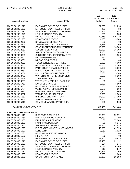| <b>CITY OF STEVENS POINT</b>           | 2018 BUDGET<br>Period: 00/18                        |                                     | Page:<br>21<br>Dec 21, 2017 04:22PM          |
|----------------------------------------|-----------------------------------------------------|-------------------------------------|----------------------------------------------|
| <b>Account Number</b>                  | <b>Account Title</b>                                | 2017<br>Prior Year<br><b>Budget</b> | 2018<br><b>Current Year</b><br><b>Budget</b> |
| 100.55.50200.1910                      | <b>EMPLOYER CONTRIB/S.S. TAX</b>                    | 31,203                              | 32,294                                       |
| 100.55.50200.1920                      | <b>EMPLOYER CONTRIB/LIFE INSUR</b>                  | 432                                 | 432                                          |
| 100.55.50200.1930                      | <b>WORKERS COMPENSATION PREM</b>                    | 16,649                              | 21,483                                       |
| 100.55.50200.1940                      | I.C. INSURANCE PREMIUM                              | 858                                 | 858                                          |
| 100.55.50200.1950                      | <b>MEDICAL INSURANCE PREM</b>                       | 120,218                             | 126,230                                      |
| 100.55.50200.1955                      | <b>HSA CONTRIBUTIONS</b>                            | 4,900                               | 3,900                                        |
| 100.55.50200.2100                      | DRUG/ALCOHOL TESTING                                | .00                                 | .00                                          |
| 100.55.50200.2203                      | <b>TELEPHONE UTILITY CHARGES</b>                    | 1,565                               | 1,000                                        |
| 100.55.50200.2922                      | CONTRACTED/BLDG MAINTENANCE                         | 16,000                              | 16,000                                       |
| 100.55.50200.2950                      | <b>SECURITY SERVICES</b>                            | 18,000                              | 18,000                                       |
| 100.55.50200.3008                      | SAFETY EQUIPMENT/SUPPLIES                           | 2,200                               | 2,200                                        |
| 100.55.50200.3020                      | <b>CLOTHING EXP. REIMBURSMENTS</b>                  | 1,800                               | 1,800                                        |
| 100.55.50200.3202                      | <b>MEMBERSHIP DUES</b>                              | 130                                 | 130                                          |
| 100.55.50200.3301                      | <b>MILEAGE EXPENSES</b>                             | .00                                 | .00                                          |
| 100.55.50200.3505                      | <b>TOOLS &amp; RELATED SUPPLIES</b>                 | 3,000                               | 3,000                                        |
| 100.55.50200.3550                      | <b>GENERAL BUILDING MAINT SUPPL</b>                 | 18,000                              | 18,000                                       |
| 100.55.50200.3750                      | PARK EQUIP REPAIR SUPPLIES                          | 2,000                               | 2,000                                        |
| 100.55.50200.3751                      | PLAYGROUND EQUIP REP SUPPL.                         | 8,000                               | 6,300                                        |
| 100.55.50200.3752                      | PICNIC EQUIP REPAIR SUPPLIES                        | 5,500                               | 3,500                                        |
| 100.55.50200.3753<br>100.55.50200.3754 | WINTER SPORTS REP. SUPPLIES<br><b>TURF SUPPLIES</b> | 3,500                               | 3,500                                        |
| 100.55.50200.3755                      | VETERAN'S MEMORIAL PARK EXP                         | 11,000<br>.00                       | 11,000<br>.00                                |
| 100.55.50200.5750                      | <b>LANDFILL CHARGES</b>                             | 3,500                               | 3,500                                        |
| 100.55.50200.5753                      | <b>GENERAL ELECTRICAL REPAIRS</b>                   | 5,000                               | 5,000                                        |
| 100.55.50200.5754                      | <b>WATER/SEWER LINE REPAIRS</b>                     | 7,500                               | 7,500                                        |
| 100.55.50200.5851                      | ROAD/WALKWAY MAINT. EXP                             | 2,500                               | 2,500                                        |
| 100.55.50200.5852                      | <b>TENNIS COURT MAINT EXP</b>                       | 2,000                               | 2,000                                        |
| 100.55.50200.5853                      | BALL DIAMOND MAINT. EXP.                            | 14,000                              | 14,000                                       |
| 100.55.50200.5855                      | VANDALISM REPAIR EXP.                               | 1,500                               | 1,500                                        |
| 100.55.50200.5910                      | <b>GEN SEMINAR/EDUCATION EXP.</b>                   | 500                                 | 500                                          |
| <b>Total PARKS DEPARTMENT:</b>         |                                                     | 819,458                             | 842,484                                      |
| <b>PARK/REC ADMINISTRATION</b>         |                                                     |                                     |                                              |
| 100.55.50300.1110                      | <b>DIRECTORS SALARIES</b>                           | 88,858                              | 92,971                                       |
| 100.55.50300.1156                      | <b>REC. FACILITY MGR SALARY</b>                     | 71,739                              | .00                                          |
| 100.55.50300.1158                      | <b>FACILITIES SUPERVISOR I</b>                      | .00                                 | 57,003                                       |
| 100.55.50300.1159                      | <b>FACILITY SUPERVISOR II</b>                       | .00                                 | 45,141                                       |
| 100.55.50300.1250                      | <b>SECRETARIAL WAGES</b>                            | 42,640                              | 43,425                                       |
| 100.55.50300.1320                      | ICE CENTER MAINTENANCE WAGES                        | 49,026                              | 49,928                                       |
| 100.55.50300.1500                      | <b>LONGEVITY</b>                                    | 2,160                               | 1,620                                        |
| 100.55.50300.1530                      | <b>GENERAL OVERTIME WAGES</b>                       | .00                                 | .00                                          |
| 100.55.50300.1560                      | F.L.S.A. PAY                                        | .00                                 | .00                                          |
| 100.55.50300.1900                      | EMPLOYER CONTRIB/WISC RET.                          | 17,301                              | 19,436                                       |
| 100.55.50300.1910                      | EMPLOYER CONTRIB/S.S. TAX                           | 19,463                              | 22,192                                       |
| 100.55.50300.1920                      | <b>EMPLOYER CONTRIB/LIFE INSUR</b>                  | 324                                 | 276                                          |
| 100.55.50300.1930                      | <b>WORKERS COMPENSATION PREM</b>                    | 7,183                               | 10,505                                       |
| 100.55.50300.1940                      | I.C. INSURANCE PREMIUM                              | 517                                 | 617                                          |
| 100.55.50300.1950                      | MEDICAL INSURANCE PREM                              | 62,823                              | 74,109                                       |
| 100.55.50300.1955                      | <b>HSA CONTRIBUTIONS</b>                            | 3,000                               | 2,000                                        |
| 100.55.50300.1960                      | UNEMP COMP EXP REIMB.                               | 20,000                              | 20,000                                       |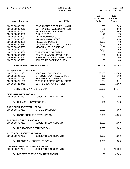| CITY OF STEVENS POINT                  | 2018 BUDGET<br>Period: 00/18         |                                     | Page:<br>22<br>Dec 21, 2017 04:22PM          |
|----------------------------------------|--------------------------------------|-------------------------------------|----------------------------------------------|
| <b>Account Number</b>                  | <b>Account Title</b>                 | 2017<br>Prior Year<br><b>Budget</b> | 2018<br><b>Current Year</b><br><b>Budget</b> |
|                                        | CONTRACTED OFFICE MCH MAINT          |                                     |                                              |
| 100.55.50300.2911<br>100.55.50300.2913 | CONTRACTED RADIO/COMM MAINT          | 700<br>600                          | 700<br>600                                   |
| 100.55.50300.3000                      | <b>GENERAL OFFICE SUPLIES</b>        | 1,500                               | 1,500                                        |
| 100.55.50300.3200                      | <b>PUBLICATIONS</b>                  | 75                                  | 75                                           |
| 100.55.50300.3202                      | <b>MEMBERSHIP DUES</b>               | 300                                 | 300                                          |
| 100.55.50300.3203                      | <b>BACKGROUND CHECKS</b>             | 650                                 | 650                                          |
| 100.55.50300.3301                      | <b>MILEAGE EXPENSES</b>              | 1,000                               | 400                                          |
| 100.55.50300.3450                      | <b>GENERAL PROMOTIONAL SUPPLIES</b>  | 3,000                               | 3,000                                        |
| 100.55.50300.5000                      | MISCELLANEOUS EXPENSE                | .00                                 | .00                                          |
| 100.55.50300.5200                      | <b>CREDIT CARD FEES</b>              | 1,300                               | 1,300                                        |
| 100.55.50300.5858                      | <b>WPRA TICKET EXPENSES</b>          | .00                                 | .00                                          |
| 100.55.50300.5910                      | <b>GEN SEMINAR/EDUCATION EXP.</b>    | 500                                 | 500                                          |
| 100.55.50300.5930                      | PARKS DONATION EXPENDITURES          | .00                                 | .00                                          |
| 100.55.50300.5931                      | <b>SCULPTURE PARK EXPENSES</b>       | .00                                 | .00                                          |
| Total PARK/REC ADMINISTRATION:         |                                      | 394,659                             | 448,248                                      |
| <b>IVERSON WINTER REC EXP</b>          |                                      |                                     |                                              |
| 100.55.50321.1400                      | <b>SEASONAL EMP WAGES</b>            | 23,358                              | 23,788                                       |
| 100.55.50321.1900                      | <b>EMPLOYER CONTRIB/WISC RET.</b>    | 105                                 | 100                                          |
| 100.55.50321.1910                      | <b>EMPLOYER CONTRIB/S.S. TAX</b>     | 339                                 | 345                                          |
| 100.55.50321.1930                      | <b>WORKERS COMPENSATION PREM</b>     | 794                                 | 1,011                                        |
| 100.55.50321.3755                      | <b>GEN RECREATION SUPPLIES</b>       | 2,500                               | 2,500                                        |
| Total IVERSON WINTER REC EXP:          |                                      | 27,096                              | 27,744                                       |
| <b>MEMORIAL DAY PROGRAM</b>            |                                      |                                     |                                              |
| 100.55.50330.7100                      | <b>SUBSIDY DISBURSEMENTS</b>         | 100                                 | 100                                          |
| Total MEMORIAL DAY PROGRAM:            |                                      | 100                                 | 100                                          |
| <b>BAND SHELL ENTERTAIN. PROG.</b>     |                                      |                                     |                                              |
| 100.55.50350.7100                      | <b>CITY BAND SUBSIDY</b>             | 5,000                               | 5,000                                        |
| Total BAND SHELL ENTERTAIN. PROG.:     |                                      | 5,000                               | 5,000                                        |
| <b>PORTAGE CO TEEN PROGRAM</b>         |                                      |                                     |                                              |
| 100.55.50370.7100                      | <b>SUBSIDY DISBURSEMENTS</b>         | 1,000                               | 1,000                                        |
| Total PORTAGE CO TEEN PROGRAM:         |                                      | 1,000                               | 1,000                                        |
| <b>HISTORICAL SOCIETY PROGRAM</b>      |                                      |                                     |                                              |
| 100.55.50371.7100                      | <b>SUBSIDY DISBURSEMENTS</b>         | 1,000                               | 1,000                                        |
| Total HISTORICAL SOCIETY PROGRAM:      |                                      | 1,000                               | 1,000                                        |
| <b>CREATE PORTAGE COUNTY PROGRAM</b>   |                                      |                                     |                                              |
| 100.55.50372.7100                      | <b>SUBSIDY DISBURSEMENTS</b>         | .00                                 | 10,000                                       |
|                                        | Total CREATE PORTAGE COUNTY PROGRAM: | .00                                 | 10,000                                       |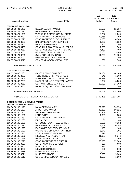| CITY OF STEVENS POINT                                               | 2018 BUDGET<br>Period: 00/18                                 |                                            | Page:<br>23<br>Dec 21, 2017 04:23PM          |
|---------------------------------------------------------------------|--------------------------------------------------------------|--------------------------------------------|----------------------------------------------|
| <b>Account Number</b>                                               | <b>Account Title</b>                                         | 2017<br><b>Prior Year</b><br><b>Budget</b> | 2018<br><b>Current Year</b><br><b>Budget</b> |
|                                                                     |                                                              |                                            |                                              |
| <b>SWIMMING POOL EXP</b>                                            |                                                              |                                            |                                              |
| 100.55.50421.1400                                                   | <b>SEASONAL EMP WAGES</b>                                    | 67,556                                     | 62,337                                       |
| 100.55.50421.1910                                                   | <b>EMPLOYER CONTRIB/S.S. TAX</b>                             | 980                                        | 904                                          |
| 100.55.50421.1930                                                   | <b>WORKERS COMPENSATION PREM</b>                             | 2,297                                      | 2,649                                        |
| 100.55.50421.2200                                                   | <b>GENERAL UTILITY CHARGES</b><br>CONTRACTED/GEN EQUIP MAINT | 30,755                                     | 22,000                                       |
| 100.55.50421.2926<br>100.55.50421.3008                              | <b>SAFETY EQUIPMENT/SUPPLIES</b>                             | 4,000<br>1,250                             | 4,000<br>1,250                               |
| 100.55.50421.3301                                                   | <b>MILEAGE EXPENSES</b>                                      | 200                                        | 200                                          |
| 100.55.50421.3450                                                   | <b>GENERAL PROMOTIONAL SUPPLIES</b>                          | 1,500                                      | 1,500                                        |
| 100.55.50421.3550                                                   | <b>GENERAL BUILDING MAINT SUPPL</b>                          | 4,400                                      | 4,400                                        |
| 100.55.50421.3551                                                   | <b>GEN JANITORIAL SUPPLIES</b>                               | 3,000                                      | 3,000                                        |
| 100.55.50421.3756                                                   | <b>SWIM POOL CHEMICALS</b>                                   | 11,750                                     | 11,750                                       |
| 100.55.50421.5000                                                   | MISCELLANEOUS EXPENSES                                       | .00.                                       | .00                                          |
| 100.55.50421.5910                                                   | <b>GEN SEMINAR/EDUCATION EXP</b>                             | 500                                        | 500                                          |
| Total SWIMMING POOL EXP:                                            |                                                              | 128,188                                    | 114,490                                      |
| <b>GENERAL RECREATION</b>                                           |                                                              |                                            |                                              |
| 100.55.50490.2200                                                   | <b>GAS/ELECTRIC CHARGES</b>                                  | 61,664                                     | 60,000                                       |
| 100.55.50490.2203                                                   | <b>TELEPHONE UTILITY CHARGES</b>                             | 946                                        | 1,000                                        |
| 100.55.50490.2204                                                   | <b>WATER/SEWER UTIL. CHARGES</b>                             | 31,988                                     | 32,000                                       |
| 100.55.50490.2205                                                   | MARKET SQUARE FOUNTAIN WATER                                 | 8,697                                      | 8,200                                        |
| 100.55.50490.3551                                                   | <b>GEN JANITORIAL SUPPLIES</b>                               | 12,000                                     | 13,000                                       |
| 100.55.50490.5856                                                   | MARKET SQUARE FOUNTAIN MAINT                                 | 500                                        | 500                                          |
| <b>Total GENERAL RECREATION:</b>                                    |                                                              | 115,795                                    | 114,700                                      |
|                                                                     | Total CULTURE, RECREATION & EDUCATIO:                        | 1,492,296                                  | 1,564,766                                    |
| <b>CONSERVATION &amp; DEVELOPMENT</b><br><b>FORESTRY DEPARTMENT</b> |                                                              |                                            |                                              |
| 100.56.50100.1120                                                   | <b>MANAGERS SALARY</b>                                       | 69,826                                     | 73,059                                       |
| 100.56.50100.1330                                                   | <b>ARBORIST'S WAGES</b>                                      | 48,298                                     | 50,521                                       |
| 100.56.50100.1400                                                   | SEASONAL EMP WAGES                                           | 44,803                                     | 45,627                                       |
| 100.56.50100.1500                                                   | <b>LONGEVITY</b>                                             | 1,080                                      | 1,080                                        |
| 100.56.50100.1530                                                   | <b>GENERAL OVERTIME WAGES</b>                                | .00                                        | .00                                          |
| 100.56.50100.1560                                                   | F.L.S.A. PAY                                                 | .00                                        | .00                                          |
| 100.56.50100.1900                                                   | EMPLOYER CONTRIB/WISC RET.                                   | 8,106                                      | 8,352                                        |
| 100.56.50100.1910                                                   | <b>EMPLOYER CONTRIB/S.S. TAX</b>                             | 9,769                                      | 10,198                                       |
| 100.56.50100.1920                                                   | <b>EMPLOYER CONTRIB/LIFE INSUR</b>                           | 168                                        | 180                                          |
| 100.56.50100.1930                                                   | <b>WORKERS COMPENSATION PREM</b>                             | 5,540                                      | 7,191                                        |
| 100.56.50100.1940                                                   | I.C. INSURANCE PREMIUM                                       | 278                                        | 278                                          |
| 100.56.50100.1950                                                   | MEDICAL INSURANCE PREM                                       | 41,882                                     | 43,976                                       |
| 100.56.50100.1955                                                   | <b>HSA CONTRIBUTIONS</b>                                     | 2,000                                      | 2,000                                        |
| 100.56.50100.2928                                                   | CONTRACTED/TREE REMOVAL                                      | 35,000                                     | 35,000                                       |
| 100.56.50100.3000                                                   | <b>GENERAL OFFICE SUPLIES</b>                                | 600                                        | 600                                          |
| 100.56.50100.3200                                                   | <b>PUBLICATIONS</b>                                          | 225                                        | 225                                          |
| 100.56.50100.3202                                                   | <b>MEMBERSHIP DUES</b>                                       | 300                                        | 300                                          |
| 100.56.50100.3758                                                   | <b>FORESTRY SUPPLIES</b>                                     | 4,000                                      | 4,500                                        |
| 100.56.50100.4511                                                   | <b>NURSERY STOCK</b>                                         | 5,000                                      | 5,000                                        |
| 100.56.50100.5910                                                   | <b>GEN SEMINAR/EDUCATION EXP.</b>                            | 1,500                                      | 1,500                                        |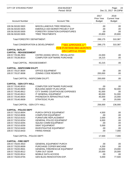| <b>CITY OF STEVENS POINT</b>      | 2018 BUDGET<br>Period: 00/18        |                                     | Page:<br>24<br>Dec 21, 2017 04:23PM          |  |
|-----------------------------------|-------------------------------------|-------------------------------------|----------------------------------------------|--|
| <b>Account Number</b>             | <b>Account Title</b>                | 2017<br>Prior Year<br><b>Budget</b> | 2018<br><b>Current Year</b><br><b>Budget</b> |  |
| 100.56.50100.5920                 | MISCELLANEOUS TREE REMOVAL          | .00                                 | .00                                          |  |
| 100.56.50100.5925                 | EMERALD ASH BORER PROJECT EXP       | .00                                 | .00                                          |  |
| 100.56.50100.5930                 | FORESTRY DONATION EXPENDITURES      | .00                                 | .00                                          |  |
| 100.56.50100.5935                 | <b>TREE TREATMENTS</b>              | 20,800                              | 20,800                                       |  |
| Total FORESTRY DEPARTMENT:        |                                     | 299,175                             | 310,387                                      |  |
| Total CONSERVATION & DEVELOPMENT: | <b>**SEE APPENDIX A**</b>           | 299,175                             | 310,387                                      |  |
| <b>CAPITAL OUTLAY</b>             | <b>FOR FURTHER BREAKDOWN</b>        |                                     |                                              |  |
| <b>CAPITAL - REASSESSMENT</b>     | <b>ON CAPITAL ITEMS</b>             |                                     |                                              |  |
| 100.57.70136.2904                 | CNTRD ASSNG SRVCS - REVALUATIO      | 24,000                              | .00                                          |  |
| 100.57.70136.8010                 | <b>COMPUTER SOFTWARE PURCHASE</b>   | 18,215                              | .00                                          |  |
| Total CAPITAL - REASSESSMENT:     |                                     | 42,215                              | .00                                          |  |
| <b>CAPITAL - INSP/COMM DVLPT</b>  |                                     |                                     |                                              |  |
| 100.57.70137.8004                 | <b>OFFICE EQUIPMENT</b>             | .00                                 | .00                                          |  |
| 100.57.70137.8008                 | ZONING CODE REWRITE                 | 200,000                             | .00                                          |  |
| Total CAPITAL - INSP/COMM DVLPT:  |                                     | 200,000                             | .00                                          |  |
| <b>CAPITAL - GEN CITY HALL</b>    |                                     |                                     |                                              |  |
| 100.57.70140.8010                 | <b>COMPUTER SOFTWARE PURCHASE</b>   | .00                                 | .00                                          |  |
| 100.57.70140.8909                 | <b>BUILDING MAINT PLAN UPGR.</b>    | 50,000                              | 50,000                                       |  |
| 100.57.70140.8912                 | CITY SHARE COURTHOUSE EXPENSES      | 81,000                              | .00                                          |  |
| 100.57.70140.8913                 | IT GENERAL EQUIPMENT                | 80,000                              | 51,000                                       |  |
| 100.57.70140.8934                 | PHONE/DATA INFRASTRUCTURE           | 45,000                              | 15,000                                       |  |
| 100.57.70140.8939                 | <b>STRATEGIC PLAN</b>               | .00                                 | 20,000                                       |  |
| Total CAPITAL - GEN CITY HALL:    |                                     | 256,000                             | 136,000                                      |  |
| <b>CAPITAL - POLICE DEPT</b>      |                                     |                                     |                                              |  |
| 100.57.70210.8004                 | PURCH OFFICE EQUIPMENT              | 4,500                               | .00                                          |  |
| 100.57.70210.8006                 | <b>COMPUTER EQUIPMENT</b>           | .00                                 | .00                                          |  |
| 100.57.70210.8102                 | <b>FURNITURE REPLACEMENT</b>        | 2,000                               | .00                                          |  |
| 100.57.70210.8254                 | <b>GENERAL POLICE EQUIPMENT</b>     | 6,000                               | .00                                          |  |
| 100.57.70210.8255                 | <b>SQUAD COMM EQUIPMENT</b>         | .00                                 | .00                                          |  |
| 100.57.70210.8259                 | <b>SWAT EQUIPMENT</b>               | 5,000                               | .00                                          |  |
| 100.57.70210.8430                 | <b>INVESTIGATIVE EQUIPMENT</b>      | .00                                 | .00                                          |  |
| 100.57.70210.8433                 | <b>FIRING RANGE</b>                 | .00                                 | 7,000                                        |  |
| Total CAPITAL - POLICE DEPT:      |                                     | 17,500                              | 7,000                                        |  |
| <b>CAPITAL - FIRE DEPT</b>        |                                     |                                     |                                              |  |
| 100.57.70220.3910                 | <b>GENERAL EQUIPMENT PURCH</b>      | .00                                 | .00                                          |  |
| 100.57.70220.8009                 | PURCHASE COPIER MACHINE             | 4,200                               | .00                                          |  |
| 100.57.70220.8501                 | <b>GENERAL FIRE/RESCUE EQUPMENT</b> | 13,000                              | 23,000                                       |  |
| 100.57.70220.8512                 | <b>TURN OUT GEAR</b>                | 20,000                              | 20,000                                       |  |
| 100.57.70220.8514                 | MOBILE DATA ACCESS                  | .00                                 | .00                                          |  |
| 100.57.70220.8755                 | GEN BLDG RENOVATION EXP.            | 5,000                               | 77,500                                       |  |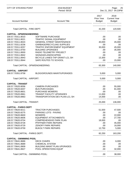| <b>CITY OF STEVENS POINT</b>     | 2018 BUDGET<br>Period: 00/18          |                                            | Page:<br>25<br>Dec 21, 2017 04:23PM          |
|----------------------------------|---------------------------------------|--------------------------------------------|----------------------------------------------|
| <b>Account Number</b>            | <b>Account Title</b>                  | 2017<br><b>Prior Year</b><br><b>Budget</b> | 2018<br><b>Current Year</b><br><b>Budget</b> |
| Total CAPITAL - FIRE DEPT:       |                                       | 42,200                                     | 120,500                                      |
| <b>CAPITAL - DPW/ENGINEERING</b> |                                       |                                            |                                              |
| 100.57.70311.8010                | SOFTWARE PURCHASE                     | .00.                                       | .00                                          |
| 100.57.70311.8021                | <b>TRAFFIC SIGNAL EQUIPMENT</b>       | .00.                                       | .00                                          |
| 100.57.70311.8024                | <b>GENERAL STREET MAINTENANCE</b>     | 40,000                                     | 45,000                                       |
| 100.57.70311.8236                | <b>GARBAGE/RECYCLING SUPPLIES</b>     | .00                                        | .00                                          |
| 100.57.70311.8257                | TRAFFIC ENFORCEMENT EQUIPMENT         | 30,000                                     | 45,000                                       |
| 100.57.70311.8750                | <b>BUILDING UPGRADES</b>              | .00.                                       | 35,000                                       |
| 100.57.70311.8930                | RADIO TELEMETRY PROJECT               | .00.                                       | .00                                          |
| 100.57.70311.8942                | SIGNAGE/LANDSCAPING                   | .00                                        | .00                                          |
| 100.57.70311.8943                | BICYCLE LANES-TAP GRANT-LCL SH        | 13,300                                     | .00                                          |
| 100.57.70311.8944                | SAFE ROUTES TO SCHOOL                 | .00.                                       | 15,000                                       |
| Total CAPITAL - DPW/ENGINEERING: |                                       | 83,300                                     | 140,000                                      |
| <b>CAPITAL - AIRPORT</b>         |                                       |                                            |                                              |
| 100.57.70351.8758                | <b>BLDG/GROUNDS MAINT/UPGRADES</b>    | 5,000                                      | 5,000                                        |
| <b>Total CAPITAL - AIRPORT:</b>  |                                       | 5,000                                      | 5,000                                        |
| <b>CAPITAL - TRANSIT</b>         |                                       |                                            |                                              |
| 100.57.70520.8056                | <b>CAMERA PURCHASES</b>               | .00.                                       | 55,000                                       |
| 100.57.70520.8207                | <b>BUS PURCHASES</b>                  | .00.                                       | 81,000                                       |
| 100.57.70520.8601                | <b>PURCHASE MOWERS</b>                | .00.                                       | .00                                          |
| 100.57.70520.8961                | <b>TRANSIT FACILITY UPGRADES</b>      | 11,000                                     | .00                                          |
| 100.57.70520.8963                | <b>TRANSPORTATION DEV PLAN-LCL SH</b> | 14,000                                     | .00                                          |
| Total CAPITAL - TRANSIT:         |                                       | 25,000                                     | 136,000                                      |
| <b>CAPITAL - PARKS DEPT</b>      |                                       |                                            |                                              |
| 100.57.70620.8211                | <b>TRACTOR PURCHASES</b>              | 51,500                                     | 47,500                                       |
| 100.57.70620.8275                | PARKING LOTS - PAVING                 | .00                                        | .00                                          |
| 100.57.70620.8600                | <b>MOWERS</b>                         | .00.                                       | 22,000                                       |
| 100.57.70620.8606                | <b>EQUIPMENT ATTACHMENTS</b>          | .00                                        | 27,700                                       |
| 100.57.70620.8704                | <b>COMPREHENSIVE PARK PLAN</b>        | 18,000                                     | .00                                          |
| 100.57.70620.8728                | PFIFFNER PARK REPAIRS                 | .00                                        | 45,000                                       |
| 100.57.70620.8729                | <b>ZENOFF PARK REPAIRS</b>            | .00.                                       | 16,000                                       |
| 100.57.70620.8759                | <b>BUKOLT PARK REPAIRS</b>            | 12,750                                     | 5,000                                        |
| Total CAPITAL - PARKS DEPT:      |                                       | 82,250                                     | 163,200                                      |
| <b>CAPITAL - SWIMMING POOL</b>   |                                       |                                            |                                              |
| 100.57.70641.8686                | <b>DECK CHAIRS</b>                    | .00                                        | 6,000                                        |
| 100.57.70641.8689                | <b>CHEMICAL SYSTEM</b>                | .00.                                       | .00                                          |
| 100.57.70641.8909                | <b>BUILDING MAINT PLAN UPGRADES</b>   | .00.                                       | .00                                          |
| 100.57.70641.8927                | POOL OPERATIONS EQUIP                 | .00                                        | 32,000                                       |
| Total CAPITAL - SWIMMING POOL:   |                                       | .00                                        | 38,000                                       |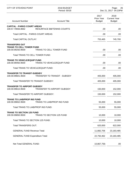| <b>CITY OF STEVENS POINT</b>                                                 | 2018 BUDGET<br>Period: 00/18         |                                            | Page:<br>26<br>Dec 21, 2017 04:23PM          |
|------------------------------------------------------------------------------|--------------------------------------|--------------------------------------------|----------------------------------------------|
| <b>Account Number</b>                                                        | <b>Account Title</b>                 | 2017<br><b>Prior Year</b><br><b>Budget</b> | 2018<br><b>Current Year</b><br><b>Budget</b> |
| <b>CAPITAL - PARKS COURT AREAS</b><br>100.57.70656.8662                      | <b>RESURFACE BB/TENNIS COURTS</b>    | .00                                        | .00                                          |
| Total CAPITAL - PARKS COURT AREAS:                                           |                                      | .00                                        | .00                                          |
| <b>Total CAPITAL OUTLAY:</b>                                                 |                                      | 753,465                                    | 745,700                                      |
| <b>TRANSFERS OUT</b><br><b>TRANS TO CELL TOWER FUND</b><br>100.59.99250.9500 | <b>TRANS TO CELL TOWER FUND</b>      | .00                                        | .00                                          |
| Total TRANS TO CELL TOWER FUND:                                              |                                      | .00.                                       | .00                                          |
| <b>TRANS TO VEHICLE/EQUIP FUND</b><br>100.59.99450.9500                      | <b>TRANS TO VEHICLE/EQUIP FUND</b>   | .00                                        | .00                                          |
| Total TRANS TO VEHICLE/EQUIP FUND:                                           |                                      | .00                                        | .00                                          |
| <b>TRANSFER TO TRANSIT-SUBSIDY</b><br>100.59.99601.9500                      | <b>TRANSFER TO TRANSIT - SUBSIDY</b> | 405,000                                    | 405,000                                      |
| Total TRANSFER TO TRANSIT-SUBSIDY:                                           |                                      | 405,000                                    | 405,000                                      |
| <b>TRANSFER TO AIRPORT-SUBSIDY</b><br>100.59.99610.9500                      | TRANSFER TO AIRPORT-SUBSIDY          | 150,000                                    | 152,000                                      |
| Total TRANSFER TO AIRPORT-SUBSIDY:                                           |                                      | 150,000                                    | 152,000                                      |
| <b>TRANS TO LIAB/PROP INS FUND</b><br>100.59.99652.9500                      | <b>TRANS TO LIAB/PROP INS FUND</b>   | 55,000                                     | 55,000                                       |
| Total TRANS TO LIAB/PROP INS FUND:                                           |                                      | 55,000                                     | 55,000                                       |
| <b>TRANS TO SECTION 125 FUND</b><br>100.59.99850.9500                        | <b>TRANS TO SECTION 125 FUND</b>     | 10,000                                     | 10,000                                       |
| Total TRANS TO SECTION 125 FUND:                                             |                                      | 10,000                                     | 10,000                                       |
| <b>Total TRANSFERS OUT:</b>                                                  |                                      | 620,000                                    | 622,000                                      |
| <b>GENERAL FUND Revenue Total:</b>                                           |                                      | 11,882,706                                 | 23, 183, 485                                 |
| <b>GENERAL FUND Expenditure Total:</b>                                       |                                      | 22,750,462                                 | 23,183,485                                   |
| Net Total GENERAL FUND:                                                      |                                      | 10,867,756-                                | .00                                          |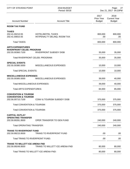| <b>CITY OF STEVENS POINT</b>                                                            | 2018 BUDGET<br>Period: 00/18                             |                                     | Page:<br>27<br>Dec 21, 2017 04:23PM          |
|-----------------------------------------------------------------------------------------|----------------------------------------------------------|-------------------------------------|----------------------------------------------|
| <b>Account Number</b>                                                                   | <b>Account Title</b>                                     | 2017<br>Prior Year<br><b>Budget</b> | 2018<br><b>Current Year</b><br><b>Budget</b> |
| <b>ROOM TAX FUND</b>                                                                    |                                                          |                                     |                                              |
| <b>TAXES</b><br>202.41.00210.55<br>202.41.00810.55                                      | <b>HOTEL/MOTEL TAXES</b><br>INT/PENALTY DELINQ. ROOM TAX | 800,000<br>.00                      | 800,000<br>.00                               |
| <b>Total TAXES:</b>                                                                     |                                                          | 800,000                             | 800,000                                      |
| <b>ARTS EXPENDITURES</b><br><b>RIVERFRONT CELEB. PROGRAM</b><br>202.55.00360.7100       | <b>RIVERFRONT SUBSIDY DISB</b>                           | 35,000                              | 35,000                                       |
| Total RIVERFRONT CELEB. PROGRAM:                                                        |                                                          | 35,000                              | 35,000                                       |
| <b>SPECIAL EVENTS</b><br>202.55.00380.5000                                              | <b>MISCELLANEOUS EXPENSES</b>                            | 10,000                              | 10,000                                       |
| <b>Total SPECIAL EVENTS:</b>                                                            |                                                          | 10,000                              | 10,000                                       |
| <b>MISCELLANEOUS EXPENSES</b><br>202.55.00385.5000                                      | <b>MISCELLANEOUS EXPENSES</b>                            | 39,000                              | 40,000                                       |
| <b>Total MISCELLANEOUS EXPENSES:</b>                                                    |                                                          | 39,000                              | 40,000                                       |
| Total ARTS EXPENDITURES:                                                                |                                                          | 84,000                              | 85,000                                       |
| <b>CONVENTION &amp; TOURISM</b><br><b>CONVENTION &amp; TOURISM</b><br>202.56.00710.7100 | <b>CONV &amp; TOURISM SUBSIDY DISB</b>                   | 375,000                             | 375,000                                      |
| Total CONVENTION & TOURISM:                                                             |                                                          | 375,000                             | 375,000                                      |
| Total CONVENTION & TOURISM:                                                             |                                                          | 375,000                             | 375,000                                      |
| <b>CAPITAL OUTLAY</b>                                                                   |                                                          |                                     |                                              |
| <b>OPERATING TRANSFER</b><br>202.59.90281.9500                                          | OPER TRANSFER TO GEN FUND                                | 240,000                             | 240,000                                      |
| <b>Total OPERATING TRANSFER:</b>                                                        |                                                          | 240,000                             | 240,000                                      |
| <b>TRANS TO RIVERFRONT FUND</b><br>202.59.99215.9500                                    | TRANS TO RIVERFRONT FUND                                 | .00                                 | .00                                          |
| Total TRANS TO RIVERFRONT FUND:                                                         |                                                          | .00                                 | .00.                                         |
| <b>TRANS TO WILLETT ICE ARENA FND</b><br>202.59.99249.9500                              | TRANS TO WILLETT ICE ARENA FND                           | 80,000                              | 80,000                                       |
|                                                                                         | Total TRANS TO WILLETT ICE ARENA FND:                    | 80,000                              | 80,000                                       |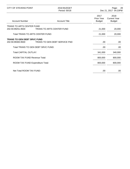| CITY OF STEVENS POINT                                   | 2018 BUDGET<br>Period: 00/18         |                                     | -28<br>Page:<br>Dec 21, 2017 04:23PM         |
|---------------------------------------------------------|--------------------------------------|-------------------------------------|----------------------------------------------|
| <b>Account Number</b>                                   | <b>Account Title</b>                 | 2017<br>Prior Year<br><b>Budget</b> | 2018<br><b>Current Year</b><br><b>Budget</b> |
| TRANS TO ARTS CENTER FUND                               |                                      |                                     |                                              |
| 202.59.99251.9500                                       | TRANS TO ARTS CENTER FUND            | 21,000                              | 20,000                                       |
| Total TRANS TO ARTS CENTER FUND:                        |                                      | 21,000                              | 20,000                                       |
| <b>TRANS TO GEN DEBT SRVC FUND</b><br>202.59.99300.9500 | <b>TRANS TO GEN DEBT SERVICE FND</b> | .00                                 | .00.                                         |
| Total TRANS TO GEN DEBT SRVC FUND:                      |                                      | .00                                 | .00                                          |
| <b>Total CAPITAL OUTLAY:</b>                            |                                      | 341,000                             | 340,000                                      |
| ROOM TAX FUND Revenue Total:                            |                                      | 800,000                             | 800,000                                      |
| ROOM TAX FUND Expenditure Total:                        |                                      | 800,000                             | 800,000                                      |
| Net Total ROOM TAX FUND:                                |                                      | .00                                 | .00                                          |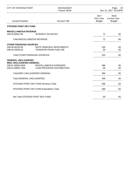| <b>CITY OF STEVENS POINT</b>                                                                                                                                             | 2018 BUDGET<br>Period: 00/18                               |                                     | Page:<br>29<br>Dec 21, 2017 04:23PM          |
|--------------------------------------------------------------------------------------------------------------------------------------------------------------------------|------------------------------------------------------------|-------------------------------------|----------------------------------------------|
| <b>Account Number</b>                                                                                                                                                    | <b>Account Title</b>                                       | 2017<br>Prior Year<br><b>Budget</b> | 2018<br><b>Current Year</b><br><b>Budget</b> |
| <b>STEVENS POINT DEV FUND</b>                                                                                                                                            |                                                            |                                     |                                              |
| <b>MISCELLANEOUS REVENUE</b><br>208.48.00912.56                                                                                                                          | <b>INTEREST ON NOTES</b>                                   | 71                                  | .00                                          |
| <b>Total MISCELLANEOUS REVENUE:</b>                                                                                                                                      |                                                            | 71                                  | .00                                          |
| <b>OTHER FINANCING SOURCES</b><br>208.49.00120.56<br>208.49.19206.59<br><b>Total OTHER FINANCING SOURCES:</b>                                                            | NOTE PRINCIPAL REPAYMENTS<br><b>TRANSFER FROM FUND 206</b> | 325<br>.00<br>325                   | .00<br>.00<br>.00                            |
| <b>GENERAL UNCLASSIFIED</b><br><b>MISC UNCLASSIFIED GENERAL</b><br>208.51.00850.5000<br>MISCELLANEOUS EXPENSES<br>208.51.00850.7500<br><b>LOAN PROCEEDS DISTRIBUTION</b> |                                                            | 396<br>.00.                         | .00.<br>.00                                  |
| Total MISC UNCLASSIFIED GENERAL:                                                                                                                                         |                                                            | 396                                 | .00                                          |
| <b>Total GENERAL UNCLASSIFIED:</b>                                                                                                                                       |                                                            | 396                                 | .00.                                         |
|                                                                                                                                                                          | <b>STEVENS POINT DEV FUND Revenue Total:</b>               | 396                                 | .00.                                         |
|                                                                                                                                                                          | STEVENS POINT DEV FUND Expenditure Total:                  | 396                                 | .00                                          |
| Net Total STEVENS POINT DEV FUND:                                                                                                                                        |                                                            | .00                                 | .00.                                         |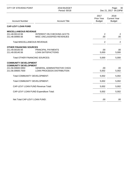| <b>CITY OF STEVENS POINT</b>                                 | 2018 BUDGET<br>Period: 00/18                                    |                                     | 30<br>Page:<br>Dec 21, 2017 04:23PM          |
|--------------------------------------------------------------|-----------------------------------------------------------------|-------------------------------------|----------------------------------------------|
| <b>Account Number</b>                                        | <b>Account Title</b>                                            | 2017<br>Prior Year<br><b>Budget</b> | 2018<br><b>Current Year</b><br><b>Budget</b> |
| <b>CAP-LEVY LOAN FUND</b>                                    |                                                                 |                                     |                                              |
| <b>MISCELLANEOUS REVENUE</b>                                 |                                                                 |                                     |                                              |
| 211.48.00110.56<br>211.48.00900.56                           | <b>INTEREST ON CHECKING ACCTS</b><br>MISC UNCLASSIFIED REVENUES | 2<br>.00                            | 2<br>.00                                     |
| <b>Total MISCELLANEOUS REVENUE:</b>                          |                                                                 | $\overline{2}$                      | 2                                            |
| <b>OTHER FINANCING SOURCES</b>                               |                                                                 |                                     |                                              |
| 211.49.00100.56<br>211.49.00140.56                           | PRINCIPAL PAYMENTS<br><b>LOAN SATISFACTIONS</b>                 | .00<br>5,000                        | .00<br>5,000                                 |
| <b>Total OTHER FINANCING SOURCES:</b>                        |                                                                 | 5,000                               | 5,000                                        |
| <b>COMMUNITY DEVELOPMENT</b><br><b>COMMUNITY DEVELOPMENT</b> |                                                                 |                                     |                                              |
| 211.56.00600.5950                                            | <b>GENERAL ADMINISTRATIVE CHGS</b>                              | .00                                 | .00.                                         |
| 211.56.00600.7500                                            | <b>LOAN PROCEEDS DISTRIBUTION</b>                               | 5,002                               | 5,002                                        |
| Total COMMUNITY DEVELOPMENT:                                 |                                                                 | 5,002                               | 5,002                                        |
| Total COMMUNITY DEVELOPMENT:                                 |                                                                 | 5,002                               | 5,002                                        |
| <b>CAP-LEVY LOAN FUND Revenue Total:</b>                     |                                                                 | 5,002                               | 5,002                                        |
| CAP-LEVY LOAN FUND Expenditure Total:                        |                                                                 | 5,002                               | 5,002                                        |
| Net Total CAP-LEVY LOAN FUND:                                |                                                                 | .00                                 | .00.                                         |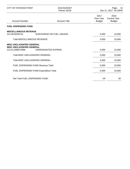| <b>CITY OF STEVENS POINT</b>                                                              | 2018 BUDGET<br>Period: 00/18            | Page:<br>-31<br>Dec 21, 2017 04:23PM |                                              |
|-------------------------------------------------------------------------------------------|-----------------------------------------|--------------------------------------|----------------------------------------------|
| <b>Account Number</b>                                                                     | <b>Account Title</b>                    | 2017<br>Prior Year<br><b>Budget</b>  | 2018<br><b>Current Year</b><br><b>Budget</b> |
| <b>FUEL DISPENSING FUND</b>                                                               |                                         |                                      |                                              |
| <b>MISCELLANEOUS REVENUE</b><br>212.48.00320.53                                           | SURCHARGE ON FUEL USEAGE                | 5,000                                | 15,000                                       |
| <b>Total MISCELLANEOUS REVENUE:</b>                                                       |                                         | 5,000                                | 15,000                                       |
| <b>MISC UNCLASSIFIED GENERAL</b><br><b>MISC UNCLASSIFIED GENERAL</b><br>212.51.00850.5999 | UNDESIGNATED EXPEND.                    | 5,000                                | 15,000                                       |
| Total MISC UNCLASSIFIED GENERAL:                                                          |                                         | 5,000                                | 15,000                                       |
| Total MISC UNCLASSIFIED GENERAL:                                                          |                                         | 5,000                                | 15,000                                       |
| <b>FUEL DISPENSING FUND Revenue Total:</b>                                                |                                         | 5,000                                | 15,000                                       |
|                                                                                           | FUEL DISPENSING FUND Expenditure Total: | 5,000                                | 15,000                                       |
| Net Total FUEL DISPENSING FUND:                                                           |                                         | .00                                  | .00                                          |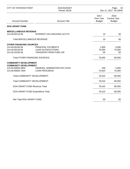| <b>CITY OF STEVENS POINT</b>                                 | 2018 BUDGET<br>Period: 00/18       |                                     | 32<br>Page:<br>Dec 21, 2017 04:23PM          |  |
|--------------------------------------------------------------|------------------------------------|-------------------------------------|----------------------------------------------|--|
| <b>Account Number</b>                                        | <b>Account Title</b>               | 2017<br>Prior Year<br><b>Budget</b> | 2018<br><b>Current Year</b><br><b>Budget</b> |  |
| <b>DOA GRANT FUND</b>                                        |                                    |                                     |                                              |  |
| <b>MISCELLANEOUS REVENUE</b>                                 |                                    |                                     |                                              |  |
| 214.48.00110.56                                              | <b>INTEREST ON CHECKING ACCTS</b>  | 10                                  | 50                                           |  |
| <b>Total MISCELLANEOUS REVENUE:</b>                          |                                    | 10                                  | 50                                           |  |
| <b>OTHER FINANCING SOURCES</b>                               |                                    |                                     |                                              |  |
| 214.49.00100.56                                              | PRINCIPAL PAYMENTS                 | 1,000                               | 5,000                                        |  |
| 214.49.00140.56                                              | <b>LOAN SATISFACTIONS</b>          | 75,000                              | 75,000                                       |  |
| 214.49.19100.59                                              | <b>TRANSFER FROM FUND 100</b>      | .00                                 | .00.                                         |  |
| <b>Total OTHER FINANCING SOURCES:</b>                        |                                    | 76,000                              | 80,000                                       |  |
| <b>COMMUNITY DEVELOPMENT</b><br><b>COMMUNITY DEVELOPMENT</b> |                                    |                                     |                                              |  |
| 214.56.00600.5950                                            | <b>GENERAL ADMINISTRATIVE CHGS</b> | 200                                 | 5,000                                        |  |
| 214.56.00600.7500                                            | <b>LOAN PROCEEDS</b>               | 75,810                              | 75,050                                       |  |
| Total COMMUNITY DEVELOPMENT:                                 |                                    | 76,010                              | 80,050                                       |  |
| Total COMMUNITY DEVELOPMENT:                                 |                                    | 76,010                              | 80,050                                       |  |
| DOA GRANT FUND Revenue Total:                                |                                    | 76,010                              | 80,050                                       |  |
| DOA GRANT FUND Expenditure Total:                            |                                    | 76,010                              | 80,050                                       |  |
| Net Total DOA GRANT FUND:                                    |                                    | .00                                 | .00                                          |  |
|                                                              |                                    |                                     |                                              |  |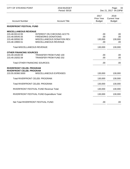| <b>CITY OF STEVENS POINT</b>                                                       | 2018 BUDGET<br>Period: 00/18                                                                                            | 33<br>Page:<br>Dec 21, 2017 04:23PM |                                              |
|------------------------------------------------------------------------------------|-------------------------------------------------------------------------------------------------------------------------|-------------------------------------|----------------------------------------------|
| <b>Account Number</b>                                                              | <b>Account Title</b>                                                                                                    | 2017<br>Prior Year<br><b>Budget</b> | 2018<br><b>Current Year</b><br><b>Budget</b> |
| <b>RIVERFRONT FESTIVAL FUND</b>                                                    |                                                                                                                         |                                     |                                              |
| <b>MISCELLANEOUS REVENUE</b>                                                       |                                                                                                                         |                                     |                                              |
| 215.48.00110.55<br>215.48.00545.55<br>215.48.00550.55<br>215.48.19900.51           | <b>INTEREST ON CHECKING ACCTS</b><br><b>FIREWORKS DONATIONS</b><br>MISCELLANEOUS DONATION REV.<br>MISCELLANEOUS REVENUE | .00<br>.00<br>130,000<br>.00        | .00<br>.00<br>130,000<br>.00                 |
| <b>Total MISCELLANEOUS REVENUE:</b>                                                |                                                                                                                         | 130,000                             | 130,000                                      |
| <b>OTHER FINANCING SOURCES</b><br>215.49.19100.59<br>215.49.19202.59               | <b>TRANSFER FROM FUND 100</b><br><b>TRANSFER FROM FUND 202</b>                                                          | .00<br>.00                          | .00<br>.00                                   |
| <b>Total OTHER FINANCING SOURCES:</b>                                              |                                                                                                                         | .00                                 | .00                                          |
| <b>RIVERFRONT CELEB. PROGRAM</b><br>RIVERFRONT CELEB. PROGRAM<br>215.55.00360.5000 | MISCELLANEOUS EXPENSES                                                                                                  | 130,000                             | 130,000                                      |
| Total RIVERFRONT CELEB. PROGRAM:                                                   |                                                                                                                         | 130,000                             | 130,000                                      |
| Total RIVERFRONT CELEB. PROGRAM:                                                   |                                                                                                                         | 130,000                             | 130,000                                      |
|                                                                                    | RIVERFRONT FESTIVAL FUND Revenue Total:                                                                                 | 130,000                             | 130,000                                      |
|                                                                                    | RIVERFRONT FESTIVAL FUND Expenditure Total:                                                                             | 130,000                             | 130,000                                      |
| Net Total RIVERFRONT FESTIVAL FUND:                                                |                                                                                                                         | .00                                 | .00                                          |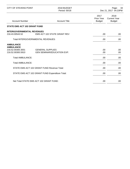| <b>CITY OF STEVENS POINT</b>                                                   | 2018 BUDGET<br>Period: 00/18                                 |                                            | Page:<br>34<br>Dec 21, 2017 04:23PM          |
|--------------------------------------------------------------------------------|--------------------------------------------------------------|--------------------------------------------|----------------------------------------------|
| <b>Account Number</b>                                                          | <b>Account Title</b>                                         | 2017<br><b>Prior Year</b><br><b>Budget</b> | 2018<br><b>Current Year</b><br><b>Budget</b> |
| <b>STATE EMS ACT 102 GRANT FUND</b>                                            |                                                              |                                            |                                              |
| <b>INTERGOVERNMENTAL REVENUES</b><br>216.43.00543.52                           | <b>EMS ACT 102 STATE GRANT REV</b>                           | .00.                                       | .00                                          |
|                                                                                | <b>Total INTERGOVERNMENTAL REVENUES:</b>                     | .00.                                       | .00                                          |
| <b>AMBULANCE</b><br><b>AMBULANCE</b><br>216.52.00300.3001<br>216.52.00300.5910 | <b>GENERAL SUPPLIES</b><br><b>GEN SEMINAR/EDUCATION EXP.</b> | .00<br>.00.                                | .00<br>.00                                   |
| <b>Total AMBULANCE:</b>                                                        |                                                              | .00.                                       | .00                                          |
| <b>Total AMBULANCE:</b>                                                        |                                                              | .00.                                       | .00                                          |
|                                                                                | STATE EMS ACT 102 GRANT FUND Revenue Total:                  | .00.                                       | .00                                          |
|                                                                                | STATE EMS ACT 102 GRANT FUND Expenditure Total:              | .00.                                       | .00                                          |
|                                                                                | Net Total STATE EMS ACT 102 GRANT FUND:                      | .00                                        | .00                                          |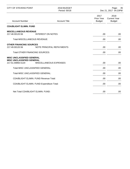| <b>CITY OF STEVENS POINT</b>                                                              | 2018 BUDGET<br>Period: 00/18 |                                            | 35<br>Page:<br>Dec 21, 2017 04:23PM          |
|-------------------------------------------------------------------------------------------|------------------------------|--------------------------------------------|----------------------------------------------|
| <b>Account Number</b>                                                                     | <b>Account Title</b>         | 2017<br><b>Prior Year</b><br><b>Budget</b> | 2018<br><b>Current Year</b><br><b>Budget</b> |
| <b>CDA/BLIGHT ELIMIN. FUND</b>                                                            |                              |                                            |                                              |
| <b>MISCELLANEOUS REVENUE</b><br>217.48.00120.56<br><b>Total MISCELLANEOUS REVENUE:</b>    | <b>INTEREST ON NOTES</b>     | .00.<br>.00                                | .00<br>.00.                                  |
|                                                                                           |                              |                                            |                                              |
| <b>OTHER FINANCING SOURCES</b><br>217.49.00120.56                                         | NOTE PRINCIPAL REPAYMENTS    | .00.                                       | .00                                          |
| <b>Total OTHER FINANCING SOURCES:</b>                                                     |                              | .00                                        | .00                                          |
| <b>MISC UNCLASSIFIED GENERAL</b><br><b>MISC UNCLASSIFIED GENERAL</b><br>217.51.00850.5120 | MISCELLANEOUS EXPENSES       | .00                                        | .00.                                         |
| Total MISC UNCLASSIFIED GENERAL:                                                          |                              | .00                                        | .00.                                         |
| Total MISC UNCLASSIFIED GENERAL:                                                          |                              | .00                                        | .00                                          |
| <b>CDA/BLIGHT ELIMIN. FUND Revenue Total:</b>                                             |                              | .00                                        | .00                                          |
| CDA/BLIGHT ELIMIN. FUND Expenditure Total:                                                |                              | .00                                        | .00                                          |
| Net Total CDA/BLIGHT ELIMIN, FUND:                                                        |                              | .00                                        | .00.                                         |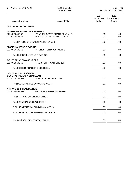| <b>CITY OF STEVENS POINT</b>                                                         | 2018 BUDGET<br>Period: 00/18                                          |                                     | 36<br>Page:<br>Dec 21, 2017 04:23PM          |
|--------------------------------------------------------------------------------------|-----------------------------------------------------------------------|-------------------------------------|----------------------------------------------|
| <b>Account Number</b>                                                                | <b>Account Title</b>                                                  | 2017<br>Prior Year<br><b>Budget</b> | 2018<br><b>Current Year</b><br><b>Budget</b> |
| <b>SOIL REMEDIATION FUND</b>                                                         |                                                                       |                                     |                                              |
| <b>INTERGOVERNMENTAL REVENUES</b><br>222.43.00540.53<br>222.43.00545.53              | <b>GENERAL STATE GRANT REVENUE</b><br><b>BROWNFIELD CLEANUP GRANT</b> | .00.<br>.00                         | .00.<br>.00                                  |
|                                                                                      | Total INTERGOVERNMENTAL REVENUES:                                     | .00                                 | .00                                          |
| <b>MISCELLANEOUS REVENUE</b><br>222.48.00100.53                                      | <b>INTEREST ON INVESTMENTS</b>                                        | .00                                 | .00.                                         |
| <b>Total MISCELLANEOUS REVENUE:</b>                                                  |                                                                       | .00                                 | .00                                          |
| <b>OTHER FINANCING SOURCES</b><br>222.49.19100.59                                    | <b>TRANSFER FROM FUND 100</b>                                         | .00                                 | .00.                                         |
| <b>Total OTHER FINANCING SOURCES:</b>                                                |                                                                       | .00                                 | .00                                          |
| <b>GENERAL UNCLASSIFIED</b><br><b>GENERAL PUBLIC WORKS ACCT</b><br>222.53.00101.5812 | <b>WASTE OIL REMEDIATION</b>                                          | .00                                 | .00                                          |
| Total GENERAL PUBLIC WORKS ACCT:                                                     |                                                                       | .00.                                | .00.                                         |
| <b>4TH AVE SOIL REMEDIATION</b><br>222.53.30664.5810                                 | <b>GEN SOIL REMEDIATION EXP</b>                                       | .00.                                | .00                                          |
| Total 4TH AVE SOIL REMEDIATION:                                                      |                                                                       | .00                                 | .00.                                         |
| Total GENERAL UNCLASSIFIED:                                                          |                                                                       | .00                                 | .00                                          |
|                                                                                      | SOIL REMEDIATION FUND Revenue Total:                                  | .00                                 | .00.                                         |
|                                                                                      | SOIL REMEDIATION FUND Expenditure Total:                              | .00                                 | .00                                          |
| Net Total SOIL REMEDIATION FUND:                                                     |                                                                       | .00                                 | .00.                                         |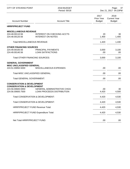| <b>CITY OF STEVENS POINT</b>                                                    | 2018 BUDGET<br>Period: 00/18                                     |                                     | Page: 37<br>Dec 21, 2017 04:23PM             |
|---------------------------------------------------------------------------------|------------------------------------------------------------------|-------------------------------------|----------------------------------------------|
| <b>Account Number</b>                                                           | <b>Account Title</b>                                             | 2017<br>Prior Year<br><b>Budget</b> | 2018<br><b>Current Year</b><br><b>Budget</b> |
| <b>HRRP/PROJECT FUND</b>                                                        |                                                                  |                                     |                                              |
| <b>MISCELLANEOUS REVENUE</b>                                                    |                                                                  |                                     |                                              |
| 224.48.00110.56<br>224.48.00120.56                                              | <b>INTEREST ON CHECKING ACCTS</b><br><b>INTEREST ON NOTES</b>    | 20<br>1,400                         | 30<br>1,400                                  |
| <b>Total MISCELLANEOUS REVENUE:</b>                                             |                                                                  | 1,420                               | 1,430                                        |
| <b>OTHER FINANCING SOURCES</b>                                                  |                                                                  |                                     |                                              |
| 224.49.00100.56<br>224.49.00140.56                                              | <b>PRINCIPAL PAYMENTS</b><br><b>LOAN SATIFACTIONS</b>            | 3,000<br>.00.                       | 3,100<br>.00                                 |
| <b>Total OTHER FINANCING SOURCES:</b>                                           |                                                                  | 3,000                               | 3,100                                        |
| <b>GENERAL GOVERNMENT</b><br><b>MISC UNCLASSIFIED GENERAL</b>                   |                                                                  |                                     |                                              |
| 224.51.00850.5000                                                               | MISCELLANEOUS EXPENSES                                           | .00.                                | .00.                                         |
| Total MISC UNCLASSIFIED GENERAL:                                                |                                                                  | .00                                 | .00                                          |
| <b>Total GENERAL GOVERNMENT:</b>                                                |                                                                  | .00.                                | .00.                                         |
| <b>CONSERVATION &amp; DEVELOPMENT</b>                                           |                                                                  |                                     |                                              |
| <b>CONSERVATION &amp; DEVELOPMENT</b><br>224.56.00600.5950<br>224.56.00600.7500 | <b>GENERAL ADMINISTRATIVE CHGS</b><br>LOAN PROCEEDS DISTRIBUTION | .00<br>4,420                        | 30<br>4,500                                  |
| Total CONSERVATION & DEVELOPMENT:                                               |                                                                  | 4,420                               | 4,530                                        |
|                                                                                 | Total CONSERVATION & DEVELOPMENT:                                | 4,420                               | 4,530                                        |
| HRRP/PROJECT FUND Revenue Total:                                                |                                                                  | 4,420                               | 4,530                                        |
| HRRP/PROJECT FUND Expenditure Total:                                            |                                                                  | 4,420                               | 4,530                                        |
| Net Total HRRP/PROJECT FUND:                                                    |                                                                  | .00                                 | .00.                                         |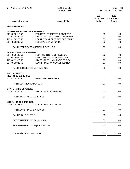| <b>CITY OF STEVENS POINT</b>                       | 2018 BUDGET<br>Period: 00/18      |                                     | 38<br>Page:<br>Dec 21, 2017 04:23PM          |
|----------------------------------------------------|-----------------------------------|-------------------------------------|----------------------------------------------|
| <b>Account Number</b>                              | <b>Account Title</b>              | 2017<br>Prior Year<br><b>Budget</b> | 2018<br><b>Current Year</b><br><b>Budget</b> |
| <b>FORFEITURE FUND</b>                             |                                   |                                     |                                              |
| <b>INTERGOVERNMENTAL REVENUES</b>                  |                                   |                                     |                                              |
| 227.43.00215.52                                    | FED REV - FORFEITED PROPERTY      | .00                                 | .00                                          |
| 227.43.00220.52                                    | STATE REV - FORFEITED PROPERTY    | .00.                                | .00                                          |
| 227.43.00225.52                                    | LOCAL REV - FORFEITED PROPERTY    | .00.                                | .00.                                         |
| 227.43.00280.52                                    | <b>FEDERAL GRANT FUNDS</b>        | .00.                                | .00                                          |
|                                                    | Total INTERGOVERNMENTAL REVENUES: | .00                                 | .00.                                         |
| <b>MISCELLANEOUS REVENUE</b>                       |                                   |                                     |                                              |
| 227.48.00100.51                                    | FED - INV INTEREST REVENUE        | .00                                 | .00                                          |
| 227.48.19900.51                                    | FED - MISC UNCLASSIFIED REV       | .00.                                | .00                                          |
| 227.48.19920.52                                    | STATE - MISC UNCLASSIFIED REV     | .00                                 | .00                                          |
| 227.48.19925.52                                    | LOCAL - MISC UNCLASSIFIED REV     | .00                                 | .00                                          |
| <b>Total MISCELLANEOUS REVENUE:</b>                |                                   | .00.                                | .00                                          |
| <b>PUBLIC SAFETY</b><br><b>FED - MISC EXPENSES</b> |                                   |                                     |                                              |
| 227.52.00100.5000                                  | FED - MISC EXPENSES               | .00.                                | .00.                                         |
| Total FED - MISC EXPENSES:                         |                                   | .00.                                | .00                                          |
| <b>STATE - MISC EXPENSES</b>                       |                                   |                                     |                                              |
| 227.52.00120.5000                                  | <b>STATE - MISC EXPENSES</b>      | .00.                                | .00.                                         |
| Total STATE - MISC EXPENSES:                       |                                   | .00                                 | .00.                                         |
|                                                    |                                   |                                     |                                              |
| <b>LOCAL - MISC EXPENSES</b><br>227.52.00125.5000  | <b>LOCAL - MISC EXPENSES</b>      | .00                                 | .00.                                         |
| Total LOCAL - MISC EXPENSES:                       |                                   | .00                                 | .00                                          |
| <b>Total PUBLIC SAFETY:</b>                        |                                   | .00                                 | .00.                                         |
| <b>FORFEITURE FUND Revenue Total:</b>              |                                   | .00                                 | .00.                                         |
|                                                    |                                   |                                     |                                              |
| <b>FORFEITURE FUND Expenditure Total:</b>          |                                   | .00                                 | .00.                                         |
| Net Total FORFEITURE FUND:                         |                                   | .00                                 | .00.                                         |
|                                                    |                                   |                                     |                                              |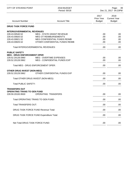| <b>CITY OF STEVENS POINT</b>                            | 2018 BUDGET<br>Period: 00/18               |                                     | 39<br>Page:<br>Dec 21, 2017 04:23PM          |
|---------------------------------------------------------|--------------------------------------------|-------------------------------------|----------------------------------------------|
| <b>Account Number</b>                                   | <b>Account Title</b>                       | 2017<br>Prior Year<br><b>Budget</b> | 2018<br><b>Current Year</b><br><b>Budget</b> |
| <b>DRUG TASK FORCE FUND</b>                             |                                            |                                     |                                              |
| <b>INTERGOVERNMENTAL REVENUES</b>                       |                                            |                                     |                                              |
| 228.43.00540.52                                         | <b>MEG - STATE GRANT REVENUE</b>           | .00.                                | .00                                          |
| 228.43.00820.52                                         | MEG OT REIMBURSEMENT'S                     | .00                                 | .00                                          |
| 228.43.00821.52                                         | MEG CONFIDENTIAL FUNDS REIMB               | .00                                 | .00                                          |
| 228.43.00825.52                                         | OTHER CONFIDENTIAL FUNDS REIMB             | .00                                 | .00                                          |
|                                                         | Total INTERGOVERNMENTAL REVENUES:          | .00                                 | .00                                          |
| <b>PUBLIC SAFETY</b>                                    |                                            |                                     |                                              |
| <b>MEG - DRUG ENFORCEMENT OPER</b>                      |                                            |                                     |                                              |
| 228.52.20128.5960                                       | <b>MEG - OVERTIME EXPENSES</b>             | .00.                                | .00.                                         |
| 228.52.20128.5962                                       | MEG - CONFIDENTIAL FUNDS EXP               | .00                                 | .00.                                         |
|                                                         | <b>Total MEG - DRUG ENFORCEMENT OPER:</b>  | .00                                 | .00                                          |
| <b>OTHER DRUG INVEST (NON-MEG)</b>                      |                                            |                                     |                                              |
| 228.52.20129.5962                                       | OTHER CONFIDENTIAL FUNDS EXP               | .00                                 | .00.                                         |
|                                                         | Total OTHER DRUG INVEST (NON-MEG):         | .00.                                | .00.                                         |
| <b>Total PUBLIC SAFETY:</b>                             |                                            | .00.                                | .00.                                         |
| <b>TRANSFERS OUT</b>                                    |                                            |                                     |                                              |
| <b>OPERATING TRANS TO GEN FUND</b><br>228.59.20100.9500 | <b>OPERATING TRANSFERS</b>                 | .00                                 | .00.                                         |
|                                                         |                                            |                                     |                                              |
|                                                         | Total OPERATING TRANS TO GEN FUND:         | .00                                 | .00.                                         |
| Total TRANSFERS OUT:                                    |                                            | .00                                 | .00.                                         |
|                                                         | <b>DRUG TASK FORCE FUND Revenue Total:</b> | .00                                 | .00                                          |
|                                                         | DRUG TASK FORCE FUND Expenditure Total:    | .00                                 | .00.                                         |
| Net Total DRUG TASK FORCE FUND:                         |                                            | .00.                                | .00.                                         |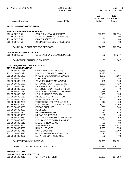| CITY OF STEVENS POINT                                                  | 2018 BUDGET<br>Period: 00/18          |                                     | 40<br>Page:<br>Dec 21, 2017 04:23PM          |
|------------------------------------------------------------------------|---------------------------------------|-------------------------------------|----------------------------------------------|
| <b>Account Number</b>                                                  | <b>Account Title</b>                  | 2017<br>Prior Year<br><b>Budget</b> | 2018<br><b>Current Year</b><br><b>Budget</b> |
| <b>TELECOMMUNICATIONS FUND</b>                                         |                                       |                                     |                                              |
| <b>PUBLIC CHARGES FOR SERVICES</b>                                     |                                       |                                     |                                              |
| 232.46.00710.51                                                        | CABLE T.V. FRANCHISE REV.             | 254,876                             | 265,974                                      |
| 232.46.00715.51                                                        | (T) TELECOMM GEN REVENUES             | .00                                 | .00.                                         |
| 232.46.00716.51                                                        | CABLE ASSESS N/T                      | .00                                 | .00.                                         |
| 232.46.00717.51                                                        | (NT) MISC TELECOMM REVENUES           | .00                                 | .00.                                         |
|                                                                        | Total PUBLIC CHARGES FOR SERVICES:    | 254,876                             | 265,974                                      |
| <b>OTHER FINANCING SOURCES</b>                                         |                                       |                                     |                                              |
| 232.49.19310.59                                                        | <b>GENERAL FUND BALANCE USAGE</b>     | .00                                 | 11,047                                       |
| <b>Total OTHER FINANCING SOURCES:</b>                                  |                                       | .00.                                | 11,047                                       |
| <b>CULTURE, RECREATION &amp; EDUCATIO</b><br><b>TELECOMMUNICATIONS</b> |                                       |                                     |                                              |
| 232.55.50600.1164                                                      | CABLE TV COORD. WAGES                 | 55,765                              | 58,337                                       |
| 232.55.50600.1420                                                      | PRODUCTION SPEC. WAGES                | 21,320                              | 21,712                                       |
| 232.55.50600.1422                                                      | PROD SPEC ASSISTANT WAGES             | 1,873                               | 1,907                                        |
| 232.55.50600.1500                                                      | <b>LONGEVITY</b>                      | 690                                 | 750                                          |
| 232.55.50600.1530                                                      | <b>GENERAL OVERTIME WAGES</b>         | 100                                 | 100                                          |
| 232.55.50600.1900                                                      | EMPLOYER CONTRIB/WISC RET.            | 5,296                               | 5,420                                        |
| 232.55.50600.1910                                                      | <b>EMPLOYER CONTRIB/S.S. TAX</b>      | 6,101                               | 6,335                                        |
| 232.55.50600.1920                                                      | <b>EMPLOYER CONTRIB/LIFE INSUR</b>    | 72                                  | 72                                           |
| 232.55.50600.1930                                                      | <b>WORKERS COMPENSATION PREM</b>      | 2,688                               | 3,487                                        |
| 232.55.50600.1940                                                      | I.C. INSURANCE PREMIUM                | 155                                 | 155                                          |
| 232.55.50600.1950                                                      | MEDICAL INSURANCE PREM                | 20,941                              | 21,988                                       |
| 232.55.50600.1955                                                      | <b>HSA CONTRIBUTIONS</b>              | 1,000                               | 1,000                                        |
| 232.55.50600.2203                                                      | TELEPHONE UTILITY CHARGES             | 517                                 | 400                                          |
| 232.55.50600.2911                                                      | CONTRACTED OFFICE MCH MAINT           | 6,000                               | 6,000                                        |
| 232.55.50600.3000                                                      | <b>OFFICE SUPPLIES</b>                | 500                                 | 500                                          |
| 232.55.50600.3006                                                      | <b>POSTAGE</b>                        | 50                                  | 50                                           |
| 232.55.50600.3202                                                      | <b>MEMBERSHIP DUES</b>                | 910                                 | 910                                          |
| 232.55.50600.3301                                                      | <b>MILEAGE EXPENSES</b>               | .00.                                | .00                                          |
| 232.55.50600.3757                                                      | <b>GEN TELECOMMUNICATION EQUIP</b>    | 11,750                              | 11,750                                       |
| 232.55.50600.5100                                                      | <b>INSURANCE PREMIUM PAYMENT</b>      | .00                                 | .00                                          |
| 232.55.50600.5110                                                      | <b>LIABILITY INSURANCE</b>            | .00.                                | .00                                          |
| 232.55.50600.5502                                                      | <b>WEB SERVICES</b>                   | 19,418                              | 19,418                                       |
| 232.55.50600.5503                                                      | <b>RADIO LICENSES</b>                 | 1,955                               | 1,955                                        |
| 232.55.50600.5710                                                      | <b>RADIO EQUIPMENT</b>                | 2,000                               | 2,000                                        |
| 232.55.50600.5910                                                      | <b>GEN SEMINAR/EDUCATION EXP.</b>     | 5,775                               | 5,775                                        |
| 232.55.50600.9050                                                      | LEVY FOR CONTINGENCIES                | .00                                 | .00                                          |
| Total TELECOMMUNICATIONS:                                              |                                       | 164,876                             | 170,021                                      |
|                                                                        | Total CULTURE, RECREATION & EDUCATIO: | 164,876                             | 170,021                                      |
| <b>TRANSFERS OUT</b>                                                   |                                       |                                     |                                              |
| <b>OPERATING TRANSFER TO G.F.</b>                                      |                                       |                                     |                                              |
| 232.59.00100.9010                                                      | OP. TRANSFER DISB.                    | 90,000                              | 107,000                                      |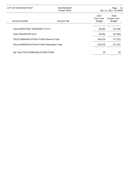| CITY OF STEVENS POINT                      | 2018 BUDGET<br>Period: 00/18 |                                     | - 41<br>Page:<br>Dec 21, 2017 04:23PM        |
|--------------------------------------------|------------------------------|-------------------------------------|----------------------------------------------|
| <b>Account Number</b>                      | <b>Account Title</b>         | 2017<br>Prior Year<br><b>Budget</b> | 2018<br><b>Current Year</b><br><b>Budget</b> |
| Total OPERATING TRANSFER TO G.F.:          |                              | 90,000                              | 107,000                                      |
| Total TRANSFERS OUT:                       |                              | 90,000                              | 107,000                                      |
| TELECOMMUNICATIONS FUND Revenue Total:     |                              | 254,876                             | 277,021                                      |
| TELECOMMUNICATIONS FUND Expenditure Total: |                              | 254,876                             | 277,021                                      |
| Net Total TELECOMMUNICATIONS FUND:         |                              | .00                                 | .00                                          |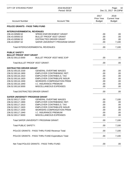| <b>CITY OF STEVENS POINT</b>          | 2018 BUDGET<br>Period: 00/18                      |                                            | 42<br>Page:<br>Dec 21, 2017 04:23PM          |
|---------------------------------------|---------------------------------------------------|--------------------------------------------|----------------------------------------------|
| <b>Account Number</b>                 | <b>Account Title</b>                              | 2017<br><b>Prior Year</b><br><b>Budget</b> | 2018<br><b>Current Year</b><br><b>Budget</b> |
| POLICE GRANTS - PASS THRU FUND        |                                                   |                                            |                                              |
| <b>INTERGOVERNMENTAL REVENUES</b>     |                                                   |                                            |                                              |
| 236.43.00589.52                       | <b>SPEED ENFORCEMENT GRANT</b>                    | .00.                                       | .00                                          |
| 236.43.00593.52                       | <b>BULLET PROOF VEST GRANT</b>                    | .00                                        | .00                                          |
| 236.43.00596.52                       | <b>DISTRACTED DRIVER GRANT</b>                    | .00.                                       | .00                                          |
| 236.43.00597.52                       | SAFER UNIVERSITY PROGRAM GRANT                    | .00                                        | 7,100                                        |
|                                       | Total INTERGOVERNMENTAL REVENUES:                 | .00                                        | 7,100                                        |
| <b>PUBLIC SAFETY</b>                  |                                                   |                                            |                                              |
| <b>BULLET PROOF VEST GRANT</b>        |                                                   |                                            |                                              |
| 236.52.00113.5000                     | <b>BULLET PROOF VEST MISC EXP</b>                 | .00                                        | .00                                          |
| <b>Total BULLET PROOF VEST GRANT:</b> |                                                   | .00.                                       | .00                                          |
| <b>DISTRACTED DRIVER GRANT</b>        |                                                   |                                            |                                              |
| 236.52.00116.1530                     | <b>GENERAL OVERTIME WAGES</b>                     | .00                                        | .00                                          |
| 236.52.00116.1900                     | EMPLOYER CONTRIB/WISC RET.                        | .00.                                       | .00                                          |
| 236.52.00116.1910                     | <b>EMPLOYER CONTRIB/S.S. TAX</b>                  | .00.                                       | .00                                          |
| 236.52.00116.1920                     | <b>EMPLOYER CONTRIB/LIFE INSUR</b>                | .00                                        | .00                                          |
| 236.52.00116.1930                     | <b>WORKERS COMPENSATION PREM</b>                  | .00                                        | .00                                          |
| 236.52.00116.1940                     | I.C. INSURANCE PREMIUM                            | .00                                        | .00                                          |
| 236.52.00116.5000                     | MISCELLANEOUS EXPENSES                            | .00                                        | .00                                          |
| <b>Total DISTRACTED DRIVER GRANT:</b> |                                                   | .00                                        | .00                                          |
| <b>SAFER UNIVERSITY PROGRAM GRANT</b> |                                                   |                                            |                                              |
| 236.52.00117.1530                     | <b>GENERAL OVERTIME WAGES</b>                     | .00                                        | 7,100                                        |
| 236.52.00117.1900                     | EMPLOYER CONTRIB/WISC RET.                        | .00                                        | .00                                          |
| 236.52.00117.1910                     | <b>EMPLOYER CONTRIB/S.S. TAX</b>                  | .00                                        | .00                                          |
| 236.52.00117.1920                     | <b>EMPLOYER CONTRIB/LIFE INSUR</b>                | .00                                        | .00                                          |
| 236.52.00117.1930                     | <b>WORKERS COMPENSATION PREM</b>                  | .00.                                       | .00                                          |
| 236.52.00117.1940                     | <b>I.C. INSURANCE PREMIUM</b>                     | .00                                        | .00                                          |
| 236.52.00117.5000                     | MISCELLANEOUS EXPENSES                            | .00                                        | .00                                          |
|                                       | <b>Total SAFER UNIVERSITY PROGRAM GRANT:</b>      | .00                                        | 7,100                                        |
| <b>Total PUBLIC SAFETY:</b>           |                                                   | .00                                        | 7,100                                        |
|                                       | POLICE GRANTS - PASS THRU FUND Revenue Total:     | .00                                        | 7,100                                        |
|                                       | POLICE GRANTS - PASS THRU FUND Expenditure Total: | .00                                        | 7,100                                        |
|                                       | Net Total POLICE GRANTS - PASS THRU FUND:         | .00.                                       | .00.                                         |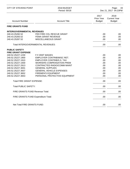| 2017<br>2018<br>Prior Year<br><b>Current Year</b><br><b>Budget</b><br><b>Account Number</b><br><b>Account Title</b><br><b>Budget</b><br><b>FIRE GRANTS FUND</b><br><b>INTERGOVERNMENTAL REVENUES</b><br>240.43.25282.52<br>FED FIRE COL RESCUE GRANT<br>.00.<br>240.43.25283.52<br><b>FEMA GRANT REVENUE</b><br>.00<br>240.43.25287.52<br>MISCELLANEOUS GRANT<br>.00. | .00 |
|-----------------------------------------------------------------------------------------------------------------------------------------------------------------------------------------------------------------------------------------------------------------------------------------------------------------------------------------------------------------------|-----|
|                                                                                                                                                                                                                                                                                                                                                                       |     |
|                                                                                                                                                                                                                                                                                                                                                                       |     |
|                                                                                                                                                                                                                                                                                                                                                                       |     |
|                                                                                                                                                                                                                                                                                                                                                                       |     |
|                                                                                                                                                                                                                                                                                                                                                                       | .00 |
|                                                                                                                                                                                                                                                                                                                                                                       | .00 |
| .00<br><b>Total INTERGOVERNMENTAL REVENUES:</b>                                                                                                                                                                                                                                                                                                                       | .00 |
| <b>PUBLIC SAFETY</b><br><b>FIRE GRANT EXPENSE</b>                                                                                                                                                                                                                                                                                                                     |     |
| 240.52.25227.1230<br>F.F./EMT WAGES<br>.00.                                                                                                                                                                                                                                                                                                                           | .00 |
| 240.52.25227.1900<br>EMPLOYER CONTRIB/WISC RET.<br>.00.                                                                                                                                                                                                                                                                                                               | .00 |
| 240.52.25227.1910<br>EMPLOYER CONTRIB/S.S. TAX<br>.00                                                                                                                                                                                                                                                                                                                 | .00 |
| 240.52.25227.1930<br><b>WORKERS COMPENSATION PREM</b><br>.00                                                                                                                                                                                                                                                                                                          | .00 |
| 240.52.25227.2913<br>CONTRACTED RADIO/COMM MAINT<br>.00.                                                                                                                                                                                                                                                                                                              | .00 |
| 240.52.25227.3001<br><b>GENERAL SUPPLIES</b><br>.00                                                                                                                                                                                                                                                                                                                   | .00 |
| 240.52.25227.3507<br><b>GENERAL VEHICLE EXPENSES</b><br>.00.                                                                                                                                                                                                                                                                                                          | .00 |
| 240.52.25227.3652<br><b>FIREMEN'S EQUIPMENT</b><br>.00                                                                                                                                                                                                                                                                                                                | .00 |
| 240.52.25227.3653<br>PERSONAL PROTECTIVE EQUIPMENT<br>.00                                                                                                                                                                                                                                                                                                             | .00 |
| <b>Total FIRE GRANT EXPENSE:</b><br>.00                                                                                                                                                                                                                                                                                                                               | .00 |
| <b>Total PUBLIC SAFETY:</b><br>.00                                                                                                                                                                                                                                                                                                                                    | .00 |
| FIRE GRANTS FUND Revenue Total:<br>.00                                                                                                                                                                                                                                                                                                                                | .00 |
| FIRE GRANTS FUND Expenditure Total:<br>.00.                                                                                                                                                                                                                                                                                                                           | .00 |
| Net Total FIRE GRANTS FUND:<br>.00                                                                                                                                                                                                                                                                                                                                    | .00 |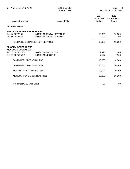| <b>CITY OF STEVENS POINT</b>                                                | 2018 BUDGET<br>Period: 00/18                         |                                            | Page:<br>44<br>Dec 21, 2017 04:23PM          |
|-----------------------------------------------------------------------------|------------------------------------------------------|--------------------------------------------|----------------------------------------------|
| <b>Account Number</b>                                                       | <b>Account Title</b>                                 | 2017<br><b>Prior Year</b><br><b>Budget</b> | 2018<br><b>Current Year</b><br><b>Budget</b> |
| <b>MUSEUM FUND</b>                                                          |                                                      |                                            |                                              |
| <b>PUBLIC CHARGES FOR SERVICES</b><br>241.46.00720.51<br>241.46.00721.51    | <b>MUSEUM RENTAL REVENUE</b><br>MUSEUM SALES REVENUE | 10,000<br>.00.                             | 10,000<br>.00                                |
| <b>Total PUBLIC CHARGES FOR SERVICES:</b>                                   |                                                      | 10,000                                     | 10,000                                       |
| <b>MUSEUM GENERAL EXP</b><br><b>MUSEUM GENERAL EXP</b><br>241.51.00750.2204 | <b>MUSEUM UTILITY EXP</b>                            | 2,423                                      | 2,200                                        |
| 241.51.00750.5000                                                           | <b>MUSEUM MISC EXP</b>                               | 7,577                                      | 7,800                                        |
| Total MUSEUM GENERAL EXP:                                                   |                                                      | 10,000                                     | 10,000                                       |
| Total MUSEUM GENERAL EXP:                                                   |                                                      | 10,000                                     | 10,000                                       |
| <b>MUSEUM FUND Revenue Total:</b>                                           |                                                      | 10,000                                     | 10,000                                       |
| <b>MUSEUM FUND Expenditure Total:</b>                                       |                                                      | 10,000                                     | 10,000                                       |
| Net Total MUSEUM FUND:                                                      |                                                      | .00                                        | .00                                          |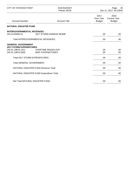| <b>CITY OF STEVENS POINT</b>                                                                          | 2018 BUDGET<br>Period: 00/18                          |                                            | 45<br>Page:<br>Dec 21, 2017 04:23PM          |
|-------------------------------------------------------------------------------------------------------|-------------------------------------------------------|--------------------------------------------|----------------------------------------------|
| <b>Account Number</b>                                                                                 | <b>Account Title</b>                                  | 2017<br><b>Prior Year</b><br><b>Budget</b> | 2018<br><b>Current Year</b><br><b>Budget</b> |
| <b>NATURAL DISASTER FUND</b>                                                                          |                                                       |                                            |                                              |
| <b>INTERGOVERNMENTAL REVENUES</b><br>242.43.00500.51                                                  | 2017 STORM DAMAGE REIMB                               | .00.                                       | .00                                          |
| <b>Total INTERGOVERNMENTAL REVENUES:</b>                                                              |                                                       | .00                                        | .00.                                         |
| <b>GENERAL GOVERNMENT</b><br><b>2017 STORM EXPENDITURES</b><br>242.51.19870.1411<br>242.51.19870.5000 | <b>OVERTIME WAGES EXP</b><br><b>MISC EXPENDITURES</b> | .00<br>.00.                                | .00<br>.00                                   |
| Total 2017 STORM EXPENDITURES:                                                                        |                                                       | .00.                                       | .00.                                         |
| <b>Total GENERAL GOVERNMENT:</b>                                                                      |                                                       | .00                                        | .00.                                         |
| <b>NATURAL DISASTER FUND Revenue Total:</b>                                                           |                                                       | .00.                                       | .00                                          |
|                                                                                                       | NATURAL DISASTER FUND Expenditure Total:              | .00                                        | .00.                                         |
| Net Total NATURAL DISASTER FUND:                                                                      |                                                       | .00                                        | .00                                          |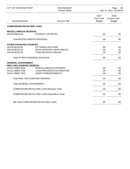| <b>CITY OF STEVENS POINT</b>                   | 2018 BUDGET<br>Period: 00/18                     |                                     | 46<br>Page:<br>Dec 21, 2017 04:23PM          |
|------------------------------------------------|--------------------------------------------------|-------------------------------------|----------------------------------------------|
| <b>Account Number</b>                          | <b>Account Title</b>                             | 2017<br>Prior Year<br><b>Budget</b> | 2018<br><b>Current Year</b><br><b>Budget</b> |
| <b>COMM REHAB REVOLVING LOAN</b>               |                                                  |                                     |                                              |
| <b>MISCELLANEOUS REVENUE</b>                   |                                                  |                                     |                                              |
| 243.48.00912.56                                | <b>INTEREST ON NOTES</b>                         | .00                                 | .00                                          |
| <b>Total MISCELLANEOUS REVENUE:</b>            |                                                  | .00                                 | .00                                          |
| <b>OTHER FINANCING SOURCES</b>                 |                                                  |                                     |                                              |
| 243.49.00100.00                                | OP TRANS GEN FUND                                | .00                                 | .00                                          |
| 243.49.00120.56<br>243.49.00310.55             | NOTE PRINCIPAL REPAYMENTS<br>FUND BALANCE USEAGE | .00.                                | .00                                          |
|                                                |                                                  | .00                                 | .00                                          |
| <b>Total OTHER FINANCING SOURCES:</b>          |                                                  | .00                                 | .00                                          |
| <b>GENERAL GOVERNMENT</b>                      |                                                  |                                     |                                              |
| MISC UNCLASSIFIED GENERAL<br>243.51.00850.5000 | MISCELLANEOUS EXPENSES                           | .00                                 | .00                                          |
| 243.51.00850.7500                              | <b>LOAN PROCEEDS DISTRIBUTION</b>                | .00.                                | .00                                          |
| 243.51.00850.7910                              | <b>GRANT DISBURSEMENTS</b>                       | .00.                                | .00                                          |
| Total MISC UNCLASSIFIED GENERAL:               |                                                  | .00                                 | .00                                          |
| <b>Total GENERAL GOVERNMENT:</b>               |                                                  | .00                                 | .00.                                         |
|                                                | <b>COMM REHAB REVOLVING LOAN Revenue Total:</b>  | .00                                 | .00.                                         |
|                                                | COMM REHAB REVOLVING LOAN Expenditure Total:     | .00                                 | .00.                                         |
|                                                | Net Total COMM REHAB REVOLVING LOAN:             | .00                                 |                                              |
|                                                |                                                  |                                     | .00.                                         |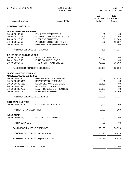| <b>CITY OF STEVENS POINT</b>                  | 2018 BUDGET<br>Period: 00/18                      | Page:<br>47<br>Dec 21, 2017 04:23PM        |                                              |
|-----------------------------------------------|---------------------------------------------------|--------------------------------------------|----------------------------------------------|
| <b>Account Number</b>                         | <b>Account Title</b>                              | 2017<br><b>Prior Year</b><br><b>Budget</b> | 2018<br><b>Current Year</b><br><b>Budget</b> |
| <b>HOUSING TRUST FUND</b>                     |                                                   |                                            |                                              |
| <b>MISCELLENEOUS REVENUE</b>                  |                                                   |                                            |                                              |
| 246.48.00100.51                               | <b>INV. INTEREST REVENUE</b>                      | .00                                        | .00                                          |
| 246.48.00110.56                               | <b>INTEREST ON CHECKING ACCTS</b>                 | 125                                        | 300                                          |
| 246.48.00120.56                               | <b>INTEREST ON NOTES</b>                          | .00.                                       | 22,769                                       |
| 246.48.00155.56                               | <b>INTEREST ON NOTES - TIF #6</b>                 | .00                                        | 18,857                                       |
| 246.48.19900.51                               | MISC UNCLASSIFIED REVENUE                         | .00                                        | .00.                                         |
| <b>Total MISCELLENEOUS REVENUE:</b>           |                                                   | 125                                        | 41,926                                       |
| <b>OTHER FINANCING SOURCES</b>                |                                                   |                                            |                                              |
| 246.49.00100.56                               | PRINCIPAL PAYMENTS                                | 30,000                                     | .00                                          |
| 246.49.00310.55                               | <b>FUND BALANCE USAGE</b>                         | .00                                        | .00                                          |
| 246.49.19817.59                               | <b>TRANSFER FROM FUND 817</b>                     | 75,000                                     | 35,000                                       |
| <b>Total OTHER FINANCING SOURCES:</b>         |                                                   | 105,000                                    | 35,000                                       |
| <b>MISCELLANEOUS EXPENSES</b>                 |                                                   |                                            |                                              |
| <b>MISCELLANEOUS EXPENSES</b>                 |                                                   |                                            |                                              |
| 246.56.00600.5000                             | MISCELLANEOUS EXPENSES                            | 5,000                                      | 57,526                                       |
| 246.56.00600.5450                             | <b>DEPRECIATION EXPENSE</b>                       | .00                                        | .00                                          |
| 246.56.00600.5865                             | COMM DEV WAGE EXPENSE<br><b>GEN ADMIN CHARGES</b> | 16,336<br>500                              | .00                                          |
| 246.56.00600.5950<br>246.56.00600.7500        | LOAN PROCEED DISTRIBUTION                         | 65,360                                     | 200<br>.00                                   |
| 246.56.00600.7501                             | <b>BAD DEBT EXPENSE</b>                           | 15,000                                     | 15,000                                       |
| <b>Total MISCELLANEOUS EXPENSES:</b>          |                                                   | 102,196                                    | 72,726                                       |
|                                               |                                                   |                                            |                                              |
| <b>EXTERNAL AUDITING</b><br>246.56.00960.2004 | <b>CPA/AUDITING SERVICES</b>                      | 2,929                                      | 4,200                                        |
| <b>Total EXTERNAL AUDITING:</b>               |                                                   | 2,929                                      | 4,200                                        |
| <b>INSURANCE</b>                              |                                                   |                                            |                                              |
| 246.56.19931.5100                             | <b>INSURANCE PREMIUMS</b>                         | .00                                        | .00.                                         |
| <b>Total INSURANCE:</b>                       |                                                   | .00                                        | .00.                                         |
| Total MISCELLANEOUS EXPENSES:                 |                                                   | 105,125                                    | 76,926                                       |
| <b>HOUSING TRUST FUND Revenue Total:</b>      |                                                   | 105,125                                    | 76,926                                       |
|                                               | <b>HOUSING TRUST FUND Expenditure Total:</b>      | 105,125                                    | 76,926                                       |
|                                               |                                                   |                                            |                                              |
| Net Total HOUSING TRUST FUND:                 |                                                   | .00                                        | .00                                          |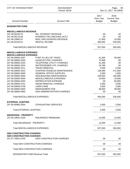| CITY OF STEVENS POINT                                | 2018 BUDGET<br>Period: 00/18                               |                                            | 48<br>Page:<br>Dec 21, 2017 04:23PM          |  |
|------------------------------------------------------|------------------------------------------------------------|--------------------------------------------|----------------------------------------------|--|
| <b>Account Number</b>                                | <b>Account Title</b>                                       | 2017<br><b>Prior Year</b><br><b>Budget</b> | 2018<br><b>Current Year</b><br><b>Budget</b> |  |
| <b>EDGEWATER FUND</b>                                |                                                            |                                            |                                              |  |
| <b>MISCELLANEOUS REVENUE</b>                         |                                                            |                                            |                                              |  |
| 247.48.00100.51                                      | <b>INV. INTEREST REVENUE</b>                               | .00                                        | .00                                          |  |
| 247.48.00110.56                                      | <b>INTEREST ON CHECKING ACCT</b>                           | .00                                        | .00                                          |  |
| 247.48.19900.51                                      | MISC UNCLASSIFIED REVENUE                                  | 17,000                                     | 15,000                                       |  |
| 247.48.20120.51                                      | <b>RENTAL INCOME</b>                                       | 490,000                                    | 535,000                                      |  |
| <b>Total MISCELLANEOUS REVENUE:</b>                  |                                                            | 507,000                                    | 550,000                                      |  |
| <b>MISCELLANEOUS EXPENSES</b>                        |                                                            |                                            |                                              |  |
| <b>MISCELLANEOUS EXPENSES</b><br>247.56.00600.2007   | PYMT IN LIEU OF TAXES                                      | 41,000                                     | 45,000                                       |  |
| 247.56.00600.2200                                    | <b>GAS/ELECTRIC CHARGES</b>                                | 75,958                                     | .00                                          |  |
| 247.56.00600.2203                                    | TELEPHONE UTILITY CHARGES                                  | 41,289                                     | .00                                          |  |
| 247.56.00600.2204                                    | <b>WATER/SEWER UTIL CHARGES</b>                            | 16,768                                     | .00                                          |  |
| 247.56.00600.2211                                    | <b>TRASH REMOVAL</b>                                       | 4,500                                      | 4,500                                        |  |
| 247.56.00600.2922                                    | CONTRACTED/BLDG MAINTENANCE                                | 158,485                                    | 271,500                                      |  |
| 247.56.00600.3000                                    | <b>GENERAL OFFICE SUPPLIES</b>                             | 2,000                                      | 2,000                                        |  |
| 247.56.00600.3550                                    | <b>GEN BUILDING MAINTENANCE</b>                            | 100,000                                    | 100,000                                      |  |
| 247.56.00600.5000                                    | MISCELLANEOUS EXPENSES                                     | 10,000                                     | 10,000                                       |  |
| 247.56.00600.5450                                    | <b>DEPRECIATION EXPENSE</b>                                | .00                                        | 60,000                                       |  |
| 247.56.00600.5751                                    | <b>SNOW REMOVAL CHARGES</b>                                | 3,000                                      | 3,000                                        |  |
| 247.56.00600.5758                                    | <b>LAWN CARE</b>                                           | 2,000                                      | 2,000                                        |  |
| 247.56.00600.5940<br>247.56.00600.5950               | <b>MANAGEMENT FEE</b><br><b>GEN ADMINISTRATION CHARGES</b> | 38,000<br>.00                              | 38,000<br>.00                                |  |
| <b>Total MISCELLANEOUS EXPENSES:</b>                 |                                                            | 493,000                                    | 536,000                                      |  |
| <b>EXTERNAL AUDITING</b>                             |                                                            |                                            |                                              |  |
| 247.56.00960.2004                                    | <b>CPA/AUDITING SERVICES</b>                               | 2,000                                      | 2,000                                        |  |
| <b>Total EXTERNAL AUDITING:</b>                      |                                                            | 2,000                                      | 2,000                                        |  |
| <b>INSURANCE - PROPERTY</b>                          |                                                            |                                            |                                              |  |
| 247.56.19931.5100                                    | <b>INSURANCE PREMIUMS</b>                                  | 12,000                                     | 12,000                                       |  |
| Total INSURANCE - PROPERTY:                          |                                                            | 12,000                                     | 12,000                                       |  |
| Total MISCELLANEOUS EXPENSES:                        |                                                            | 507,000                                    | 550,000                                      |  |
| <b>GEN CONSTRUCTION CHARGES</b>                      |                                                            |                                            |                                              |  |
| <b>GEN CONSTRUCTION CHARGES</b><br>247.57.70841.8700 | <b>GEN CONSTRUCTION CHARGES</b>                            | .00.                                       | .00.                                         |  |
| <b>Total GEN CONSTRUCTION CHARGES:</b>               |                                                            | .00                                        | .00.                                         |  |
| <b>Total GEN CONSTRUCTION CHARGES:</b>               |                                                            | .00                                        | .00                                          |  |
| <b>EDGEWATER FUND Revenue Total:</b>                 |                                                            | 507,000                                    | 550,000                                      |  |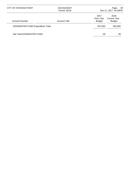| CITY OF STEVENS POINT                    | 2018 BUDGET<br>Period: 00/18 |                                     | 49<br>Page:<br>Dec 21, 2017 04:23PM   |
|------------------------------------------|------------------------------|-------------------------------------|---------------------------------------|
| Account Number                           | <b>Account Title</b>         | 2017<br>Prior Year<br><b>Budget</b> | 2018<br>Current Year<br><b>Budget</b> |
| <b>EDGEWATER FUND Expenditure Total:</b> |                              | 507,000                             | 550,000                               |
| Net Total EDGEWATER FUND:                |                              | .00                                 | .00                                   |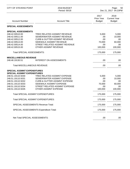| <b>CITY OF STEVENS POINT</b>                                                                                                                 | 2018 BUDGET<br>Period: 00/18                                                                                                                                                             |                                                 | Page:<br>50<br>Dec 21, 2017 04:23PM                |  |
|----------------------------------------------------------------------------------------------------------------------------------------------|------------------------------------------------------------------------------------------------------------------------------------------------------------------------------------------|-------------------------------------------------|----------------------------------------------------|--|
| <b>Account Number</b>                                                                                                                        | <b>Account Title</b>                                                                                                                                                                     | 2017<br><b>Prior Year</b><br><b>Budget</b>      | 2018<br><b>Current Year</b><br><b>Budget</b>       |  |
| <b>SPECIAL ASSESSMENTS</b>                                                                                                                   |                                                                                                                                                                                          |                                                 |                                                    |  |
| <b>SPECIAL ASSESSMENTS</b><br>248.42.00510.00<br>248.42.00511.00<br>248.42.00512.00<br>248.42.00513.00<br>248.42.00514.00<br>248.42.00515.00 | TREE RELATED ASSMNT REVENUE<br>SEWER/WATER ASSMNT REVENUE<br><b>CURB &amp; GUTTER ASSMNT REVENUE</b><br>SIDEWALK ASSMNT REVENUE<br>STREET RELATED ASSMNT REVENUE<br>OTHER ASSMNT REVENUE | 5,000<br>.00<br>.00<br>70,000<br>.00<br>100,000 | 5,000<br>10,000<br>.00<br>60,000<br>.00<br>100,000 |  |
| Total SPECIAL ASSESSMENTS:                                                                                                                   |                                                                                                                                                                                          | 175,000                                         | 175,000                                            |  |
| <b>MISCELLANEOUS REVENUE</b><br>248.48.19130.51                                                                                              | <b>INTEREST ON ASSESSMENTS</b>                                                                                                                                                           | .00                                             | .00.                                               |  |
| Total MISCELLANEOUS REVENUE:                                                                                                                 |                                                                                                                                                                                          | .00                                             | .00.                                               |  |
| <b>SPECIAL ASSMNT EXPENDITURES</b><br><b>SPECIAL ASSMNT EXPENDITURES</b>                                                                     |                                                                                                                                                                                          |                                                 |                                                    |  |
| 248.51.19110.5030<br>248.51.19110.5031<br>248.51.19110.5032<br>248.51.19110.5033<br>248.51.19110.5034<br>248.51.19110.5035                   | TREE RELATED ASSMNT EXPENSE<br>SEWER/WATER ASSMNT EXPENSE<br><b>CURB &amp; GUTTER ASSMNT EXPENSE</b><br>SIDEWALK ASSMNT EXPENSE<br>STREET RELATED ASSMNT EXPENSE<br>OTHER ASSMNT EXPENSE | 5,000<br>.00<br>.00<br>70,000<br>.00<br>100,000 | 5,000<br>10,000<br>.00<br>60,000<br>.00<br>100,000 |  |
| <b>Total SPECIAL ASSMNT EXPENDITURES:</b>                                                                                                    |                                                                                                                                                                                          | 175,000                                         | 175,000                                            |  |
| <b>Total SPECIAL ASSMNT EXPENDITURES:</b>                                                                                                    |                                                                                                                                                                                          | 175,000                                         | 175,000                                            |  |
| SPECIAL ASSESSMENTS Revenue Total:                                                                                                           |                                                                                                                                                                                          | 175,000                                         | 175,000                                            |  |
|                                                                                                                                              | SPECIAL ASSESSMENTS Expenditure Total:                                                                                                                                                   | 175,000                                         | 175,000                                            |  |
| Net Total SPECIAL ASSESSMENTS:                                                                                                               |                                                                                                                                                                                          | .00                                             | .00.                                               |  |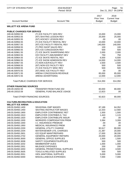| CITY OF STEVENS POINT                                                  | 2018 BUDGET<br>Period: 00/18        |                                            | Page:<br>51<br>Dec 21, 2017 04:23PM          |  |
|------------------------------------------------------------------------|-------------------------------------|--------------------------------------------|----------------------------------------------|--|
| <b>Account Number</b>                                                  | <b>Account Title</b>                | 2017<br><b>Prior Year</b><br><b>Budget</b> | 2018<br><b>Current Year</b><br><b>Budget</b> |  |
| <b>WILLETT ICE ARENA FUND</b>                                          |                                     |                                            |                                              |  |
| <b>PUBLIC CHARGES FOR SERVICE</b>                                      |                                     |                                            |                                              |  |
| 249.46.50950.55                                                        | (T) ICE FACILITY GEN REV            | 15,000                                     | 15,000                                       |  |
| 249.46.50953.55                                                        | (NT) SKATING LESSON REV             | 25,000                                     | 25,000                                       |  |
| 249.46.50955.55                                                        | (NT) HOCKEY LESSON REV              | .00                                        | .00                                          |  |
| 249.46.50956.55                                                        | (T) ICE FACILITY RENTAL REV         | 10,000                                     | 10,000                                       |  |
| 249.46.50957.55                                                        | (NT) ICE FACILITY RENTAL REV        | 140,000                                    | 140,000                                      |  |
| 249.46.50958.55                                                        | (T) PRO SHOP SALES REV              | 100                                        | 100                                          |  |
| 249.46.50960.55                                                        | (NT) ICE CONCESSION REV             | 500                                        | 500                                          |  |
| 249.46.50961.55                                                        | (T) ICE SKATE SHARPENING REV        | 2,000                                      | 2,000                                        |  |
| 249.46.50963.55                                                        | ICE FACILITY-AMUSEMENT DEV          | 750                                        | 750                                          |  |
| 249.46.50964.55                                                        | (T) ICE SKATE RENTAL REV            | 6,500                                      | 6,500                                        |  |
| 249.46.50966.55                                                        | (T) ICE SHOW ADMISSION REV          | 14,000                                     | 14,000                                       |  |
| 249.46.50967.55                                                        | (T) NON ICE/FACILITY REV            | 2,500                                      | 2,500                                        |  |
| 249.46.50968.55                                                        | (NT) NON ICE FACILITY REV           | 500                                        | 500                                          |  |
| 249.46.50969.55                                                        | (T) ICE FACILITY MISC REV           | 500                                        | 500                                          |  |
| 249.46.50970.55                                                        | (NT) MISC ICE FACILITY REV          | .00                                        | .00                                          |  |
| 249.46.50971.55                                                        | ARENA CONCESSION REVENUE            | 85,000                                     | 85,000                                       |  |
| 249.46.50972.55                                                        | <b>ARENA ADVERTISING</b>            | 12,000                                     | 12,000                                       |  |
| <b>Total PUBLIC CHARGES FOR SERVICE:</b>                               |                                     | 314,350                                    | 314,350                                      |  |
| <b>OTHER FINANCING SOURCES</b>                                         |                                     |                                            |                                              |  |
| 249.49.19202.59                                                        | <b>TRANSFER FROM FUND 202</b>       | 80,000                                     | 80,000                                       |  |
| 249.49.19310.59                                                        | <b>GENERAL FUND BALANCE USAGE</b>   | 12,823                                     | .00                                          |  |
| <b>Total OTHER FINANCING SOURCES:</b>                                  |                                     | 92,823                                     | 80,000                                       |  |
| <b>CULTURE, RECREATION &amp; EDUCATION</b><br><b>WILLETT ICE ARENA</b> |                                     |                                            |                                              |  |
| 249.55.50450.1400                                                      | <b>SEASONAL EMP WAGES</b>           | 87,189                                     | 64,352                                       |  |
| 249.55.50450.1450                                                      | <b>SKATING INSTRUCTOR WAGES</b>     | 12,333                                     | 12,560                                       |  |
| 249.55.50450.1900                                                      | <b>EMPLOYER CONTRIB/WISC RET</b>    | 1,500                                      | 1,500                                        |  |
| 249.55.50450.1910                                                      | <b>EMPLOYER CONTRIB/S.S. TAX</b>    | 1,443                                      | 1,115                                        |  |
| 249.55.50450.1920                                                      | <b>EMPLOYER CONTRIB/LIFE INSUR</b>  | .00                                        | .00                                          |  |
| 249.55.50450.1930                                                      | <b>WORKERS COMPENSATION PREM</b>    | 3,384                                      | 3,269                                        |  |
| 249.55.50450.1940                                                      | I.C. INSURANCE PREMIUM              | .00                                        | .00                                          |  |
| 249.55.50450.1950                                                      | <b>MEDICAL INSURANCE PREM</b>       | .00                                        | .00                                          |  |
| 249.55.50450.2200                                                      | <b>GENERAL UTILITY CHARGE</b>       | 92,617                                     | 80,000                                       |  |
| 249.55.50450.2204                                                      | <b>WATER/SEWER UTIL CHARGES</b>     | 21,387                                     | 20,000                                       |  |
| 249.55.50450.2601                                                      | <b>ICE EQUIP MAINT/REPAIRS</b>      | 17,000                                     | 38,330                                       |  |
| 249.55.50450.2702                                                      | <b>GENERAL EQUIPMENT REPAIRS</b>    | 20,000                                     | 20,000                                       |  |
| 249.55.50450.3000                                                      | <b>GENERAL OFFICE SUPPLIES</b>      | 1,500                                      | 1,500                                        |  |
| 249.55.50450.3008                                                      | SAFETY EQUIPMENT/SUPPLIES           | 500                                        | 500                                          |  |
| 249.55.50450.3202                                                      | <b>MEMBERSHIP DUES</b>              | 1,000                                      | 1,000                                        |  |
| 249.55.50450.3301                                                      | <b>MILEAGE EXPENSES</b>             | 200                                        | 200                                          |  |
| 249.55.50450.3450                                                      | <b>GENERAL PROMOTIONAL SUPPLIES</b> | 4,500                                      | 4,500                                        |  |
| 249.55.50450.3505                                                      | <b>TOOLS &amp; RELATED SUPPLIES</b> | 500                                        | 500                                          |  |
| 249.55.50450.3551                                                      | <b>GEN JANITORIAL SUPPLIES</b>      | 5,000                                      | 5,000                                        |  |
| 249.55.50450.5000                                                      | MISCELLANEOUS EXPENSES              | 7,000                                      | 7,000                                        |  |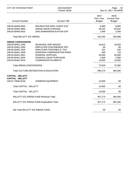| CITY OF STEVENS POINT                                                                                                                                                                                                               | 2018 BUDGET<br>Period: 00/18                                                                                                                                                                                                                                              |                                                                               | Page:<br>52<br>Dec 21, 2017 04:24PM                                           |  |
|-------------------------------------------------------------------------------------------------------------------------------------------------------------------------------------------------------------------------------------|---------------------------------------------------------------------------------------------------------------------------------------------------------------------------------------------------------------------------------------------------------------------------|-------------------------------------------------------------------------------|-------------------------------------------------------------------------------|--|
| <b>Account Number</b>                                                                                                                                                                                                               | <b>Account Title</b>                                                                                                                                                                                                                                                      | 2017<br>Prior Year<br><b>Budget</b>                                           | 2018<br><b>Current Year</b><br><b>Budget</b>                                  |  |
| 249.55.50450.5854<br>249.55.50450.5865<br>249.55.50450.5910                                                                                                                                                                         | RECREATION SPEC EVENT EXP<br>ARENA WAGE EXPENSE<br><b>GEN SEMINAR/EDUCATION EXP</b>                                                                                                                                                                                       | 8,000<br>36,202<br>1,000                                                      | 8,000<br>50,642<br>1,000                                                      |  |
| <b>Total WILLETT ICE ARENA:</b>                                                                                                                                                                                                     |                                                                                                                                                                                                                                                                           | 322,255                                                                       | 320,968                                                                       |  |
| <b>ARENA CONCESSIONS</b><br>249.55.50451.1400<br>249.55.50451.1900<br>249.55.50451.1910<br>249.55.50451.1930<br>249.55.50451.3001<br>249.55.50451.3025<br>249.55.50451.5970<br>Total ARENA CONCESSIONS:<br><b>CAPITAL - WILLETT</b> | <b>SEASONAL EMP WAGES</b><br><b>EMPLOYER CONTRIB/WISC RET</b><br><b>EMPLOYER CONTRIB/S.S. TAX</b><br><b>WORKERS COMPENSATION PREM</b><br><b>GENERAL SUPPLIES</b><br><b>GENERAL EQUIP PURCHASE</b><br><b>COMMISSION PAYMENTS</b><br>Total CULTURE, RECREATION & EDUCATION: | 16,612<br>.00<br>241<br>565<br>40,000<br>1,500<br>14,000<br>72,918<br>395,173 | 16,918<br>.00<br>245<br>719<br>40,000<br>1,500<br>14,000<br>73,382<br>394,350 |  |
| <b>CAPITAL - WILLETT</b><br>249.57.70646.8230                                                                                                                                                                                       | <b>ZAMBONI EQUIPMENT</b>                                                                                                                                                                                                                                                  | 12,000                                                                        | .00                                                                           |  |
| Total CAPITAL - WILLETT:                                                                                                                                                                                                            |                                                                                                                                                                                                                                                                           | 12,000                                                                        | .00                                                                           |  |
| Total CAPITAL - WILLETT:                                                                                                                                                                                                            |                                                                                                                                                                                                                                                                           | 12,000                                                                        | .00                                                                           |  |
|                                                                                                                                                                                                                                     | <b>WILLETT ICE ARENA FUND Revenue Total:</b>                                                                                                                                                                                                                              | 407,173                                                                       | 394,350                                                                       |  |
|                                                                                                                                                                                                                                     | WILLETT ICE ARENA FUND Expenditure Total:                                                                                                                                                                                                                                 | 407,173                                                                       | 394,350                                                                       |  |
| Net Total WILLETT ICE ARENA FUND:                                                                                                                                                                                                   |                                                                                                                                                                                                                                                                           | .00                                                                           | .00                                                                           |  |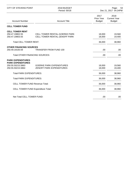| <b>CITY OF STEVENS POINT</b>                                                                   | 2018 BUDGET<br>Period: 00/18                                   | Page:<br>53<br>Dec 21, 2017 04:24PM |                                              |
|------------------------------------------------------------------------------------------------|----------------------------------------------------------------|-------------------------------------|----------------------------------------------|
| <b>Account Number</b>                                                                          | <b>Account Title</b>                                           | 2017<br>Prior Year<br><b>Budget</b> | 2018<br><b>Current Year</b><br><b>Budget</b> |
| <b>CELL TOWER FUND</b>                                                                         |                                                                |                                     |                                              |
| <b>CELL TOWER RENT</b><br>250.47.19802.55<br>250.47.19803.55<br><b>Total CELL TOWER RENT:</b>  | CELL TOWER RENTAL-GOERKE PARK<br>CELL TOWER RENTAL-ZENOFF PARK | 18,000<br>18,000<br>36,000          | 19,560<br>19,400<br>38,960                   |
| <b>OTHER FINANCING SOURCES</b>                                                                 |                                                                |                                     |                                              |
| 250.49.19100.59                                                                                | <b>TRANSFER FROM FUND 100</b>                                  | .00                                 | .00                                          |
| <b>Total OTHER FINANCING SOURCES:</b>                                                          |                                                                | .00.                                | .00                                          |
| <b>PARK EXPENDITURES</b><br><b>PARK EXPENDITURES</b><br>250.55.50215.5863<br>250.55.50215.5864 | <b>GOERKE PARK EXPENDITURES</b><br>ZENOFF PARK EXPENDITURES    | 18,000<br>18,000                    | 19,560<br>19,400                             |
| <b>Total PARK EXPENDITURES:</b>                                                                |                                                                | 36,000                              | 38,960                                       |
| <b>Total PARK EXPENDITURES:</b>                                                                |                                                                | 36,000                              | 38,960                                       |
| <b>CELL TOWER FUND Revenue Total:</b>                                                          |                                                                | 36,000                              | 38,960                                       |
| <b>CELL TOWER FUND Expenditure Total:</b>                                                      |                                                                | 36,000                              | 38,960                                       |
| Net Total CELL TOWER FUND:                                                                     |                                                                | .00                                 | .00                                          |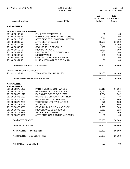| <b>CITY OF STEVENS POINT</b>          | 2018 BUDGET<br>Period: 00/18        |                                     | Page:<br>54<br>Dec 21, 2017 04:24PM          |
|---------------------------------------|-------------------------------------|-------------------------------------|----------------------------------------------|
| <b>Account Number</b>                 | <b>Account Title</b>                | 2017<br>Prior Year<br><b>Budget</b> | 2018<br><b>Current Year</b><br><b>Budget</b> |
| <b>ARTS CENTER</b>                    |                                     |                                     |                                              |
| <b>MISCELLANEOUS REVENUE</b>          |                                     |                                     |                                              |
| 251.48.00100.51                       | <b>INV. INTEREST REVENUE</b>        | .00                                 | .00                                          |
| 251.48.00208.55                       | PARKS CONST REIMB/DONATIONS         | 2,000                               | .00                                          |
| 251.48.00210.55                       | ARTS CENTER BLDG RENTAL REVENU      | .00                                 | .00                                          |
| 251.48.00300.55                       | <b>ARTS CENTER SALES</b>            | 21,500                              | 21,500                                       |
| 251.48.00310.55                       | <b>ENTRY FEES</b>                   | 6,000                               | 6,000                                        |
| 251.48.00540.55                       | SPONSORSHIP REVENUE                 | 100                                 | 100                                          |
| 251.48.00550.55                       | <b>MISC DONATIONS</b>               | 3,000                               | 3,000                                        |
| 251.48.00551.55                       | CAPITAL PROJECT DONATIONS           | 100                                 | 100                                          |
| 251.48.00900.55                       | <b>MISC REVENUE</b>                 | 100                                 | 100                                          |
| 251.48.00950.55                       | CAPITAL (GAIN)/LOSS ON INVEST       | .00                                 | .00                                          |
| 251.48.00954.55                       | UNREALIZED (GAIN)/LOSS ON INV       | .00                                 | .00                                          |
| <b>Total MISCELLANEOUS REVENUE:</b>   |                                     | 32,800                              | 30,800                                       |
| <b>OTHER FINANCING SOURCES</b>        |                                     |                                     |                                              |
| 251.49.19202.59                       | <b>TRANSFER FROM FUND 202</b>       | 21,000                              | 20,000                                       |
| <b>Total OTHER FINANCING SOURCES:</b> |                                     | 21,000                              | 20,000                                       |
| <b>ARTS CENTER</b>                    |                                     |                                     |                                              |
| <b>ARTS CENTER</b>                    |                                     |                                     |                                              |
| 251.55.00375.1470                     | PART TIME DIRECTOR WAGES            | 16,911                              | 17,804                                       |
| 251.55.00375.1900                     | EMPLOYER CONTRIB/WISC RET.          | 1,150                               | 1,193                                        |
| 251.55.00375.1910                     | <b>EMPLOYER CONTRIB/S.S. TAX</b>    | 1,294                               | 1,362                                        |
| 251.55.00375.1930                     | <b>WORKERS COMPENSATION PREM</b>    | 22                                  | 37                                           |
| 251.55.00375.2200                     | <b>GENERAL UTILITY CHARGES</b>      | 2,194                               | 1,600                                        |
| 251.55.00375.2203                     | TELEPHONE UTILITY CHARGES           | 576                                 | 580                                          |
| 251.55.00375.3006                     | <b>POSTAGE</b>                      | 500                                 | 500                                          |
| 251.55.00375.3550                     | <b>GENERAL BUILDING MAINT SUPPL</b> | 1,500                               | 1,500                                        |
| 251.55.00375.5000                     | MISCELLANEOUS EXPENSES              | 7,653                               | 4,224                                        |
| 251.55.00375.5856                     | ARTS EXHIBITION EXP.                | 22,000                              | 22,000                                       |
| 251.55.00375.5930                     | ARTS CNTR CAP PROJ DONATION EX      | .00                                 | .00                                          |
| <b>Total ARTS CENTER:</b>             |                                     | 53,800                              | 50,800                                       |
| <b>Total ARTS CENTER:</b>             |                                     | 53,800                              | 50,800                                       |
| <b>ARTS CENTER Revenue Total:</b>     |                                     | 53,800                              | 50,800                                       |
| <b>ARTS CENTER Expenditure Total:</b> |                                     | 53,800                              | 50,800                                       |
| Net Total ARTS CENTER:                |                                     | .00                                 | .00.                                         |
|                                       |                                     |                                     |                                              |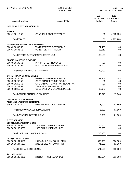| <b>CITY OF STEVENS POINT</b>          | 2018 BUDGET<br>Period: 00/18      |                                            | Page:<br>55<br>Dec 21, 2017 04:24PM          |  |
|---------------------------------------|-----------------------------------|--------------------------------------------|----------------------------------------------|--|
| <b>Account Number</b>                 | <b>Account Title</b>              | 2017<br><b>Prior Year</b><br><b>Budget</b> | 2018<br><b>Current Year</b><br><b>Budget</b> |  |
| <b>GENERAL DEBT SERVICE FUND</b>      |                                   |                                            |                                              |  |
| <b>TAXES</b>                          |                                   |                                            |                                              |  |
| 300.41.00110.58                       | <b>GENERAL PROPERTY TAXES</b>     | .00.                                       | 4,975,286                                    |  |
| <b>Total TAXES:</b>                   |                                   | .00                                        | 4,975,286                                    |  |
| <b>INTERGOVERNMENTAL REVENUES</b>     |                                   |                                            |                                              |  |
| 300.43.00500.58                       | WATER/SEWER DEBT REIMB.           | 171,498                                    | .00                                          |  |
| 300.43.00501.58                       | <b>WATER DEPT-INT REIMB.</b>      | 10,611                                     | .00                                          |  |
|                                       | Total INTERGOVERNMENTAL REVENUES: | 182,109                                    | .00                                          |  |
| <b>MISCELLANEOUS REVENUE</b>          |                                   |                                            |                                              |  |
| 300.48.00100.51                       | <b>INV. INTEREST REVENUE</b>      | .00.                                       | .00                                          |  |
| 300.48.00150.51                       | PLEDGE REIMBURSEMENT REV          | 79,000                                     | .00                                          |  |
| <b>Total MISCELLANEOUS REVENUE:</b>   |                                   | 79,000                                     | .00                                          |  |
| <b>OTHER FINANCING SOURCES</b>        |                                   |                                            |                                              |  |
| 300.49.00100.51                       | FEDERAL INTEREST REBATE           | 31,969                                     | 17,044                                       |  |
| 300.49.00240.58                       | OPER TRANSFER/C.P. FUNDS          | .00.                                       | .00                                          |  |
| 300.49.00250.58                       | OPERATING TRANS FROM ROOM TAX     | .00                                        | .00                                          |  |
| 300.49.19202.59                       | <b>TRANSFER FROM FUND 202</b>     | .00                                        | .00                                          |  |
| 300.49.19310.59                       | GENERAL FUND BALANCE USAGE        | 13,676                                     | .00                                          |  |
| <b>Total OTHER FINANCING SOURCES:</b> |                                   | 45,645                                     | 17,044                                       |  |
| <b>GENERAL GOVERNMENT</b>             |                                   |                                            |                                              |  |
| <b>MISC UNCLASSIFIED GENERAL</b>      |                                   |                                            |                                              |  |
| 300.51.00850.5000                     | MISCELLANEOUS EXPENSES            | 5,000                                      | 61,809                                       |  |
| Total MISC UNCLASSIFIED GENERAL:      |                                   | 5,000                                      | 61,809                                       |  |
| <b>Total GENERAL GOVERNMENT:</b>      |                                   | 5,000                                      | 61,809                                       |  |
| <b>DEBT SERVICE</b>                   |                                   |                                            |                                              |  |
| <b>2009 BUILD AMERICA BOND</b>        |                                   |                                            |                                              |  |
| 300.58.00133.6100                     | 2009 BUILD AMERICA - PRIN         | 700,000                                    | .00                                          |  |
| 300.58.00133.6200                     | 2009 BUILD AMERICA - INT          | 26,880                                     | .00                                          |  |
| Total 2009 BUILD AMERICA BOND:        |                                   | 726,880                                    | .00                                          |  |
| <b>2010 (A) BOND ISSUE</b>            |                                   |                                            |                                              |  |
| 300.58.00134.6100                     | 2010A BUILD AM BOND - PRIN        | 500,000                                    | 500,000                                      |  |
| 300.58.00134.6200                     | 2010A BUILD AM BOND - INT         | 71,125                                     | 52,250                                       |  |
| Total 2010 (A) BOND ISSUE:            |                                   | 571,125                                    | 552,250                                      |  |
| 2011 (B) NOTE                         |                                   |                                            |                                              |  |
| 300.58.00135.6100                     | 2011(B) PRINCIPAL ON DEBT         | 242,564                                    | 311,868                                      |  |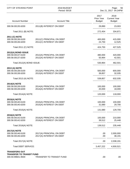| <b>CITY OF STEVENS POINT</b>                                                 | 2018 BUDGET<br>Period: 00/18                          |                                     | Page:<br>56<br>Dec 21, 2017 04:24PM          |  |
|------------------------------------------------------------------------------|-------------------------------------------------------|-------------------------------------|----------------------------------------------|--|
| <b>Account Number</b>                                                        | <b>Account Title</b>                                  | 2017<br>Prior Year<br><b>Budget</b> | 2018<br><b>Current Year</b><br><b>Budget</b> |  |
| 300.58.00135.6200                                                            | 2011(B) INTEREST ON DEBT                              | 29,890                              | 23,003                                       |  |
| Total 2011 (B) NOTE:                                                         |                                                       | 272,454                             | 334,871                                      |  |
| 2011 (C) NOTE<br>300.58.00136.6100<br>300.58.00136.6200                      | 2011(C) PRINCIPAL ON DEBT<br>2011(C) INTEREST ON DEBT | 400,000<br>24,750                   | 415,000<br>12,525                            |  |
| Total 2011 (C) NOTE:                                                         |                                                       | 424,750                             | 427,525                                      |  |
| 2012(A) BOND ISSUE<br>300.58.00137.6100<br>300.58.00137.6200                 | 2012(A) PRINCIPAL ON DEBT<br>2012(A) INTEREST ON DEBT | 480,000<br>50,964                   | 420,000<br>42,501                            |  |
| Total 2012(A) BOND ISSUE:                                                    |                                                       | 530,964                             | 462,501                                      |  |
| 2013 (A) NOTE<br>300.58.00138.6100<br>300.58.00138.6200                      | 2013(A) PRINCIPAL ON DEBT<br>2013(A) INTEREST ON DEBT | 500,000<br>39,857                   | 600,000<br>32,035                            |  |
| Total 2013 (A) NOTE:                                                         |                                                       | 539,857                             | 632,035                                      |  |
| <b>2014(A) NOTE</b><br>300.58.00139.6100<br>300.58.00139.6200                | 2014(A) PRINCIPAL ON DEBT<br>2014(A) INTEREST ON DEBT | 100,000<br>20,000                   | 100,000<br>18,000                            |  |
| Total 2014(A) NOTE:                                                          |                                                       | 120,000                             | 118,000                                      |  |
| <b>2015(A) NOTE</b><br>300.58.00140.6100<br>300.58.00140.6200                | 2015(A) PRINCIPAL ON DEBT<br>2015(A) INTEREST ON DEBT | 100,000<br>31,680                   | 100,000<br>29,700                            |  |
| Total 2015(A) NOTE:                                                          |                                                       | 131,680                             | 129,700                                      |  |
| 2016(A) NOTE<br>300.58.00142.6100<br>300.58.00142.6200                       | 2016(A) PRINCIPAL ON DEBT<br>2016(A) INTEREST ON DEBT | 100,000<br>39,512                   | 210,000<br>25,448                            |  |
| Total 2016(A) NOTE:                                                          |                                                       | 139,512                             | 235,448                                      |  |
| 2017(A) NOTE<br>300.58.00146.6100<br>300.58.00146.6200                       | 2017(A) PRINCIPAL ON DEBT<br>2017(A) INTEREST ON DEBT | .00<br>.00                          | 2,000,000<br>38,191                          |  |
| Total 2017(A) NOTE:                                                          |                                                       | .00                                 | 2,038,191                                    |  |
| <b>Total DEBT SERVICE:</b>                                                   |                                                       | 3,457,222                           | 4,930,521                                    |  |
| <b>TRANSFERS OUT</b><br><b>TRANSFER TO TRANSIT FUND</b><br>300.59.99601.9500 | TRANSFER TO TRANSIT FUND                              | .00                                 | .00                                          |  |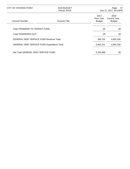| CITY OF STEVENS POINT                               | 2018 BUDGET<br>Period: 00/18 |                                     | Page:<br>- 57<br>Dec 21, 2017 04:24PM        |
|-----------------------------------------------------|------------------------------|-------------------------------------|----------------------------------------------|
| <b>Account Number</b>                               | <b>Account Title</b>         | 2017<br>Prior Year<br><b>Budget</b> | 2018<br><b>Current Year</b><br><b>Budget</b> |
| Total TRANSFER TO TRANSIT FUND:                     |                              | .00                                 | .00                                          |
| Total TRANSFERS OUT:                                |                              | .00                                 | .00                                          |
| <b>GENERAL DEBT SERVICE FUND Revenue Total:</b>     |                              | 306,754                             | 4,992,330                                    |
| <b>GENERAL DEBT SERVICE FUND Expenditure Total:</b> |                              | 3,462,222                           | 4,992,330                                    |
| Net Total GENERAL DEBT SERVICE FUND:                |                              | 3,155,468-                          | .00                                          |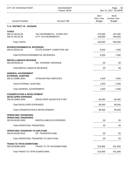| <b>CITY OF STEVENS POINT</b>                                               | 2018 BUDGET<br>Period: 00/18                              |                                     | Page:<br>58<br>Dec 21, 2017 04:24PM          |
|----------------------------------------------------------------------------|-----------------------------------------------------------|-------------------------------------|----------------------------------------------|
| <b>Account Number</b>                                                      | <b>Account Title</b>                                      | 2017<br>Prior Year<br><b>Budget</b> | 2018<br><b>Current Year</b><br><b>Budget</b> |
| T.I.F. DISTRICT #5 - DIVISION                                              |                                                           |                                     |                                              |
| <b>TAXES</b><br>305.41.00120.58<br>305.41.00125.58                         | TAX INCREMENTS - OTHER ENT.<br><b>CITY TAX INCREMENTS</b> | 270,000<br>156,600                  | 297,000<br>208,000                           |
| <b>Total TAXES:</b>                                                        |                                                           | 426,600                             | 505,000                                      |
| <b>INTERGOVERNMENTAL REVENUES</b><br>305.43.00415.58                       | STATE EXEMPT COMPUTER AID                                 | 9,200                               | 7,500                                        |
|                                                                            | <b>Total INTERGOVERNMENTAL REVENUES:</b>                  | 9,200                               | 7,500                                        |
| <b>MISCELLANEOUS REVENUE</b><br>305.48.00100.51                            | <b>INV. INTEREST REVENUE</b>                              | .00                                 | .00                                          |
| <b>Total MISCELLANEOUS REVENUE:</b>                                        |                                                           | .00                                 | .00                                          |
| <b>GENERAL GOVERNMENT</b><br><b>EXTERNAL AUDITING</b><br>305.51.00960.2004 | <b>CPA/AUDITING SERVICES</b>                              | 1,500                               | 1,500                                        |
| <b>Total EXTERNAL AUDITING:</b>                                            |                                                           | 1,500                               | 1,500                                        |
| <b>Total GENERAL GOVERNMENT:</b>                                           |                                                           | 1,500                               | 1,500                                        |
| <b>CONSERVATION &amp; DEVELOPMENT</b>                                      |                                                           |                                     |                                              |
| <b>DEVELOPER EXPENSES</b><br>305.56.00900.5009                             | DEVELOPER INCENTIVE PYMT                                  | 80,000                              | 80,000                                       |
| Total DEVELOPER EXPENSES:                                                  |                                                           | 80,000                              | 80,000                                       |
|                                                                            | Total CONSERVATION & DEVELOPMENT:                         | 80,000                              | 80,000                                       |
| <b>OPERATING TRANSFERS</b><br><b>OPERATING TRANSFERS</b>                   |                                                           |                                     |                                              |
| 305.59.00100.5000                                                          | <b>MISCELLANEOUS EXPENSES</b>                             | .00                                 | .00                                          |
| <b>Total OPERATING TRANSFERS:</b>                                          |                                                           | .00                                 | .00                                          |
| <b>OPERATING TRANSFER TO GEN FUND</b><br>305.59.00230.9010                 | OP. TRANSFER DISB.                                        | .00                                 | .00                                          |
|                                                                            | Total OPERATING TRANSFER TO GEN FUND:                     | .00                                 | .00                                          |
| <b>TRANS TO TIF#6-DOWNTOWN</b><br>305.59.99306.9500                        | <b>TRANS TO TIF #6-DOWNTOWN</b>                           | 510,900                             | 431,000                                      |
| Total TRANS TO TIF#6-DOWNTOWN:                                             |                                                           | 510,900                             | 431,000                                      |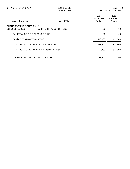| CITY OF STEVENS POINT                           | 2018 BUDGET<br>Period: 00/18                     |                                     | 59<br>Page:<br>Dec 21, 2017 04:24PM          |  |
|-------------------------------------------------|--------------------------------------------------|-------------------------------------|----------------------------------------------|--|
| <b>Account Number</b>                           | <b>Account Title</b>                             | 2017<br>Prior Year<br><b>Budget</b> | 2018<br><b>Current Year</b><br><b>Budget</b> |  |
| TRANS TO TIF #5 CONST FUND<br>305.59.99415.9500 | TRANS TO TIF #5 CONST FUND                       | .00                                 | .00                                          |  |
| Total TRANS TO TIF #5 CONST FUND:               |                                                  | .00                                 | .00.                                         |  |
| Total OPERATING TRANSFERS:                      |                                                  | 510,900                             | 431,000                                      |  |
|                                                 | T.I.F. DISTRICT #5 - DIVISION Revenue Total:     | 435,800                             | 512,500                                      |  |
|                                                 | T.I.F. DISTRICT #5 - DIVISION Expenditure Total: | 592,400                             | 512,500                                      |  |
| Net Total T.I.F. DISTRICT #5 - DIVISION:        |                                                  | 156,600-                            | .00                                          |  |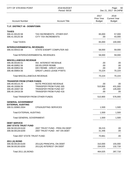| <b>CITY OF STEVENS POINT</b>                                                                                 | 2018 BUDGET<br>Period: 00/18                                                                                        |                                            | Page:<br>60<br>Dec 21, 2017 04:24PM          |
|--------------------------------------------------------------------------------------------------------------|---------------------------------------------------------------------------------------------------------------------|--------------------------------------------|----------------------------------------------|
| <b>Account Number</b>                                                                                        | <b>Account Title</b>                                                                                                | 2017<br><b>Prior Year</b><br><b>Budget</b> | 2018<br><b>Current Year</b><br><b>Budget</b> |
| T.I.F. DISTRICT #6 - DOWNTOWN                                                                                |                                                                                                                     |                                            |                                              |
| <b>TAXES</b><br>306.41.00120.58                                                                              | TAX INCREMENTS - OTHER ENT.                                                                                         | 65,000                                     | 57,000                                       |
| 306.41.00125.58                                                                                              | <b>CITY TAX INCREMENTS</b>                                                                                          | .00.                                       | 43,000                                       |
| <b>Total TAXES:</b>                                                                                          |                                                                                                                     | 65,000                                     | 100,000                                      |
| <b>INTERGOVERNMENTAL REVENUES</b><br>306.43.00415.58                                                         | STATE EXEMPT COMPUTER AID                                                                                           | 58,000                                     | 59,000                                       |
|                                                                                                              | Total INTERGOVERNMENTAL REVENUES:                                                                                   | 58,000                                     | 59,000                                       |
| <b>MISCELLANEOUS REVENUE</b><br>306.48.00100.51<br>306.48.00852.56<br>306.48.00853.56<br>306.48.00854.56     | <b>INV. INTEREST REVENUE</b><br><b>DEVELOPER REIMB</b><br>DEV REIMB - GREAT LAKES<br><b>GREAT LAKES LEASE PYMTS</b> | .00<br>.00<br>.00<br>70,224                | .00<br>.00<br>.00<br>70,224                  |
| <b>Total MISCELLANEOUS REVENUE:</b>                                                                          |                                                                                                                     | 70,224                                     | 70,224                                       |
| <b>TRANSFER FROM OTHER FUNDS</b><br>306.49.00115.70<br>306.49.19306.59<br>306.49.19307.59<br>306.49.19416.59 | NOTE PROCEED REVENUE<br><b>TRANSFER FROM FUND 305</b><br>TRANSFER FROM FUND 307<br><b>TRANSFER FROM FUND 416</b>    | .00<br>510,900<br>.00<br>.00               | .00<br>431,000<br>145,000<br>.00             |
| <b>Total TRANSFER FROM OTHER FUNDS:</b>                                                                      |                                                                                                                     | 510,900                                    | 576,000                                      |
| <b>GENERAL GOVERNMENT</b><br><b>EXTERNAL AUDITING</b>                                                        |                                                                                                                     |                                            |                                              |
| 306.51.00960.2004                                                                                            | <b>CPA/AUDITING SERVICES</b>                                                                                        | 1,500                                      | 1,500                                        |
| <b>Total EXTERNAL AUDITING:</b>                                                                              |                                                                                                                     | 1,500                                      | 1,500                                        |
| <b>Total GENERAL GOVERNMENT:</b>                                                                             |                                                                                                                     | 1,500                                      | 1,500                                        |
| <b>DEBT SERVICE</b><br><b>2007 STATE TRUST FUND</b><br>306.58.00128.6100<br>306.58.00128.6200                | 2007 TRUST FUND - PRIN ON DEBT<br>2007 TRUST FUND - INT ON DEBT                                                     | 39,215<br>31,446                           | .00<br>.00                                   |
| Total 2007 STATE TRUST FUND:                                                                                 |                                                                                                                     | 70,661                                     | .00.                                         |
| 2011 (A) BOND<br>306.58.00130.6100<br>306.58.00130.6200                                                      | 2011(A) PRINCIPAL ON DEBT<br>2011(A) INTEREST ON DEBT                                                               | 310,000<br>154,025                         | 155,000<br>132,718                           |
| Total 2011 (A) BOND:                                                                                         |                                                                                                                     | 464,025                                    | 287,718                                      |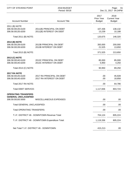| <b>CITY OF STEVENS POINT</b>                                                   | 2018 BUDGET<br>Period: 00/18                          |                                            | Page:<br>61<br>Dec 21, 2017 04:24PM          |
|--------------------------------------------------------------------------------|-------------------------------------------------------|--------------------------------------------|----------------------------------------------|
| <b>Account Number</b>                                                          | <b>Account Title</b>                                  | 2017<br><b>Prior Year</b><br><b>Budget</b> | 2018<br><b>Current Year</b><br><b>Budget</b> |
| 2011 (B) NOTE<br>306.58.00135.6100<br>306.58.00135.6200                        | 2011(B) PRINCIPAL ON DEBT<br>2011(B) INTEREST ON DEBT | 107,436<br>13,239                          | 138,132<br>10,188                            |
| Total 2011 (B) NOTE:                                                           |                                                       | 120,675                                    | 148,320                                      |
| 2013 (B) NOTE<br>306.58.00139.6100<br>306.58.00139.6200                        | 2013B PRINCIPAL ON DEBT<br>2013B INTEREST ON DEBT     | 350,000<br>21,525                          | 200,000<br>13,650                            |
| Total 2013 (B) NOTE:                                                           |                                                       | 371,525                                    | 213,650                                      |
| 2013 (C) NOTE<br>306.58.00140.6100<br>306.58.00140.6200                        | 2013C PRINCIPAL ON DEBT<br>2013C INTEREST ON DEBT     | 85,000<br>5,950                            | 85,000<br>4,250                              |
| Total 2013 (C) NOTE:                                                           |                                                       | 90,950                                     | 89,250                                       |
| <b>2017 RA NOTE</b><br>306.58.00145.6100<br>306.58.00145.6200                  | 2017 RA PRINCIPAL ON DEBT<br>2017 RA INTEREST ON DEBT | .00<br>.00                                 | 45,928<br>18,858                             |
| Total 2017 RA NOTE:                                                            |                                                       | .00                                        | 64,786                                       |
| <b>Total DEBT SERVICE:</b>                                                     |                                                       | 1,117,836                                  | 803,724                                      |
| <b>OPERATING TRANSFERS</b><br><b>GENERAL UNCLASSIFIED</b><br>306.59.00100.5000 | <b>MISCELLANEOUS EXPENSES</b>                         | .00                                        | .00                                          |
| Total GENERAL UNCLASSIFIED:                                                    |                                                       | .00                                        | .00                                          |
| <b>Total OPERATING TRANSFERS:</b>                                              |                                                       | .00                                        | .00                                          |
|                                                                                | T.I.F. DISTRICT #6 - DOWNTOWN Revenue Total:          | 704,124                                    | 805,224                                      |
|                                                                                | T.I.F. DISTRICT #6 - DOWNTOWN Expenditure Total:      | 1,119,336                                  | 805,224                                      |
|                                                                                | Net Total T.I.F. DISTRICT #6 - DOWNTOWN:              | 415,212-                                   | .00                                          |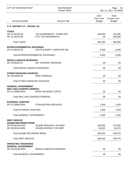| <b>CITY OF STEVENS POINT</b>                                                       | 2018 BUDGET<br>Period: 00/18                              |                                     | Page:<br>62<br>Dec 21, 2017 04:24PM          |  |
|------------------------------------------------------------------------------------|-----------------------------------------------------------|-------------------------------------|----------------------------------------------|--|
| <b>Account Number</b>                                                              | <b>Account Title</b>                                      | 2017<br>Prior Year<br><b>Budget</b> | 2018<br><b>Current Year</b><br><b>Budget</b> |  |
| T.I.F. DISTRICT #7 - TRAVEL GU                                                     |                                                           |                                     |                                              |  |
| <b>TAXES</b><br>307.41.00120.58<br>307.41.00125.58                                 | TAX INCREMENTS - OTHER ENT.<br><b>CITY TAX INCREMENTS</b> | 362,000<br>.00.                     | 275,000<br>208,000                           |  |
| <b>Total TAXES:</b>                                                                |                                                           | 362,000                             | 483,000                                      |  |
| <b>INTERGOVERNMENTAL REVENUES</b><br>307.43.00415.58                               | STATE EXEMPT COMPUTER AID                                 | 9,500                               | 6,000                                        |  |
|                                                                                    | Total INTERGOVERNMENTAL REVENUES:                         | 9,500                               | 6,000                                        |  |
| <b>MISCELLANEOUS REVENUES</b><br>307.48.00100.51                                   | <b>INV. INTEREST REVENUE</b>                              | .00                                 | .00                                          |  |
| <b>Total MISCELLANEOUS REVENUES:</b>                                               |                                                           | .00                                 | .00                                          |  |
| <b>OTHER FINANCING SOURCES</b><br>307.49.00600.59                                  | <b>DEBT PREMIUM</b>                                       | .00                                 | .00                                          |  |
| <b>Total OTHER FINANCING SOURCES:</b>                                              |                                                           | .00                                 | .00                                          |  |
| <b>GENERAL GOVERNMENT</b><br><b>MISC UNCLASSIFIED GENERAL</b><br>307.51.00850.6400 | <b>BOND ISSUANCE COSTS</b>                                | .00                                 | .00                                          |  |
| Total MISC UNCLASSIFIED GENERAL:                                                   |                                                           | .00                                 | .00                                          |  |
| <b>EXTERNAL AUDITING</b><br>307.51.00960.2004                                      | <b>CPA/AUDITING SERVICES</b>                              | 1,500                               | 1,500                                        |  |
| <b>Total EXTERNAL AUDITING:</b>                                                    |                                                           | 1,500                               | 1,500                                        |  |
| <b>Total GENERAL GOVERNMENT:</b>                                                   |                                                           | 1,500                               | 1,500                                        |  |
| <b>DEBT SERVICE</b><br>2016(B) REFUNDING BOND                                      |                                                           |                                     |                                              |  |
| 307.58.00143.6100<br>307.58.00143.6200                                             | 2016(B) PRINCIPAL ON DEBT<br>2016(B) INTEREST ON DEBT     | 320,000<br>60,425                   | 275,000<br>54,475                            |  |
| Total 2016(B) REFUNDING BOND:                                                      |                                                           | 380,425                             | 329,475                                      |  |
| <b>Total DEBT SERVICE:</b>                                                         |                                                           | 380,425                             | 329,475                                      |  |
| <b>OPERATING TRANSFERS</b><br><b>GENERAL GOVERNMENT</b>                            |                                                           |                                     |                                              |  |
| 307.59.00100.5000                                                                  | MISCELLANEOUS EXPENSES                                    | .00                                 | .00                                          |  |
| <b>Total GENERAL GOVERNMENT:</b>                                                   |                                                           | .00                                 | .00                                          |  |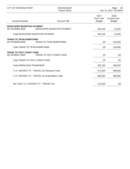| <b>CITY OF STEVENS POINT</b>                      | 2018 BUDGET<br>Period: 00/18   |                                            | Page:<br>63<br>Dec 21, 2017 04:24PM          |
|---------------------------------------------------|--------------------------------|--------------------------------------------|----------------------------------------------|
| <b>Account Number</b>                             | <b>Account Title</b>           | 2017<br><b>Prior Year</b><br><b>Budget</b> | 2018<br><b>Current Year</b><br><b>Budget</b> |
| DEVELOPER INCENTIVE PAYMENT                       |                                |                                            |                                              |
| 307.59.00800.5009                                 | DEVELOPER INCENTIVE PAYMENT    | 202,100                                    | 13,025                                       |
| Total DEVELOPER INCENTIVE PAYMENT:                |                                | 202,100                                    | 13,025                                       |
| <b>TRANS TO TIF#6-DOWNTOWN</b>                    |                                |                                            |                                              |
| 307.59.99306.9500                                 | <b>TRANS TO TIF#6-DOWNTOWN</b> | .00                                        | 145,000                                      |
| Total TRANS TO TIF#6-DOWNTOWN:                    |                                | .00                                        | 145,000                                      |
| <b>TRANS TO TIF#7 CONST FUND</b>                  |                                |                                            |                                              |
| 307.59.99417.9500                                 | TRANS TO TIF#7 CONST FUND      | .00                                        | .00                                          |
| Total TRANS TO TIF#7 CONST FUND:                  |                                | .00.                                       | .00                                          |
| <b>Total OPERATING TRANSFERS:</b>                 |                                | 202,100                                    | 158,025                                      |
| T.I.F. DISTRICT #7 - TRAVEL GU Revenue Total:     |                                | 371,500                                    | 489,000                                      |
| T.I.F. DISTRICT #7 - TRAVEL GU Expenditure Total: |                                | 584,025                                    | 489,000                                      |
| Net Total T.I.F. DISTRICT #7 - TRAVEL GU:         |                                | 212,525-                                   | .00                                          |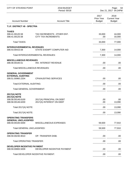| <b>CITY OF STEVENS POINT</b>                                                         | 2018 BUDGET<br>Period: 00/18                              |                                     | Page:<br>64<br>Dec 21, 2017 04:24PM          |  |
|--------------------------------------------------------------------------------------|-----------------------------------------------------------|-------------------------------------|----------------------------------------------|--|
| <b>Account Number</b>                                                                | <b>Account Title</b>                                      | 2017<br>Prior Year<br><b>Budget</b> | 2018<br><b>Current Year</b><br><b>Budget</b> |  |
| T.I.F. DISTRICT #8 - SPECTRA                                                         |                                                           |                                     |                                              |  |
| <b>TAXES</b><br>308.41.00120.58<br>308.41.00125.58                                   | TAX INCREMENTS - OTHER ENT.<br><b>CITY TAX INCREMENTS</b> | 33,000<br>.00.                      | 44,000<br>33,000                             |  |
| <b>Total TAXES:</b>                                                                  |                                                           | 33,000                              | 77,000                                       |  |
| <b>INTERGOVERNMENTAL REVENUES</b><br>308.43.00415.58                                 | STATE EXEMPT COMPUTER AID                                 | 7,300                               | 14,000                                       |  |
|                                                                                      | Total INTERGOVERNMENTAL REVENUES:                         | 7,300                               | 14,000                                       |  |
| <b>MISCELLANEOUS REVENUES</b><br>308.48.00100.51                                     | INV. INTEREST REVENUE                                     | .00                                 | .00                                          |  |
| Total MISCELLANEOUS REVENUES:                                                        |                                                           | .00                                 | .00                                          |  |
| <b>GENERAL GOVERNMENT</b><br><b>EXTERNAL AUDITING</b><br>308.51.00960.2204           | <b>CPA/AUDITING SERVICES</b>                              | .00                                 | .00                                          |  |
| <b>Total EXTERNAL AUDITING:</b>                                                      |                                                           | .00                                 | .00                                          |  |
| <b>Total GENERAL GOVERNMENT:</b>                                                     |                                                           | .00                                 | .00                                          |  |
| <b>2017(A) NOTE</b><br><b>2017(A) NOTE</b><br>308.58.00146.6100<br>308.58.00146.6200 | 2017(A) PRINCIPAL ON DEBT<br>2017(A) INTEREST ON DEBT     | .00<br>.00                          | .00<br>13,090                                |  |
| Total 2017(A) NOTE:                                                                  |                                                           | .00                                 | 13,090                                       |  |
| Total 2017(A) NOTE:                                                                  |                                                           | .00                                 | 13,090                                       |  |
| <b>OPERATING TRANSFERS</b><br><b>GENERAL UNCLASSIFIED</b>                            |                                                           |                                     |                                              |  |
| 308.59.00100.5000                                                                    | MISCELLANEOUS EXPENSES                                    | 59,500                              | 77,910                                       |  |
| <b>Total GENERAL UNCLASSIFIED:</b>                                                   |                                                           | 59,500                              | 77,910                                       |  |
| <b>OPERATING TRANSFER</b><br>308.59.00230.9010                                       | OP. TRANSFER DISB.                                        | .00                                 | .00                                          |  |
| <b>Total OPERATING TRANSFER:</b>                                                     |                                                           | .00                                 | .00                                          |  |
| DEVELOPER INCENTIVE PAYMENT<br>308.59.00800.5009                                     | DEVELOPER INCENTIVE PAYMENT                               | .00                                 | .00                                          |  |
| Total DEVELOPER INCENTIVE PAYMENT:                                                   |                                                           | .00                                 | .00                                          |  |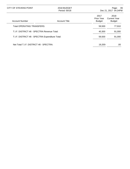| CITY OF STEVENS POINT                           | 2018 BUDGET<br>Period: 00/18 |                                     | 65<br>Page:<br>Dec 21, 2017 04:24PM          |
|-------------------------------------------------|------------------------------|-------------------------------------|----------------------------------------------|
| <b>Account Number</b>                           | <b>Account Title</b>         | 2017<br>Prior Year<br><b>Budget</b> | 2018<br><b>Current Year</b><br><b>Budget</b> |
| Total OPERATING TRANSFERS:                      |                              | 59,500                              | 77,910                                       |
| T.I.F. DISTRICT #8 - SPECTRA Revenue Total:     |                              | 40.300                              | 91,000                                       |
| T.I.F. DISTRICT #8 - SPECTRA Expenditure Total: |                              | 59,500                              | 91,000                                       |
| Net Total T.I.F. DISTRICT #8 - SPECTRA:         |                              | 19.200-                             | .00                                          |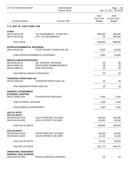| <b>CITY OF STEVENS POINT</b>                     | 2018 BUDGET<br>Period: 00/18                              |                                            | Page:<br>66<br>Dec 21, 2017 04:24PM          |
|--------------------------------------------------|-----------------------------------------------------------|--------------------------------------------|----------------------------------------------|
| <b>Account Number</b>                            | <b>Account Title</b>                                      | 2017<br><b>Prior Year</b><br><b>Budget</b> | 2018<br><b>Current Year</b><br><b>Budget</b> |
| T.I.F. DIST #9 - EAST PARK COM                   |                                                           |                                            |                                              |
| <b>TAXES</b>                                     |                                                           |                                            |                                              |
| 309.41.00120.58<br>309.41.00125.58               | TAX INCREMENTS - 0THER ENT.<br><b>CITY TAX INCREMENTS</b> | 665,000<br>.00.                            | 568,000<br>430,000                           |
| <b>Total TAXES:</b>                              |                                                           | 665,000                                    | 998,000                                      |
| <b>INTERGOVERNMENTAL REVENUES</b>                |                                                           |                                            |                                              |
| 309.43.00415.58                                  | STATE EXEMPT COMPUTER AID                                 | 5,300                                      | 33,000                                       |
|                                                  | Total INTERGOVERNMENTAL REVENUES:                         | 5,300                                      | 33,000                                       |
| <b>MISCELLANEOUS REVENUES</b>                    |                                                           |                                            |                                              |
| 309.48.00100.51<br>309.48.00852.56               | <b>INV. INTEREST REVENUE</b><br>DEVELOPER REIMBURSEMENT   | .00<br>.00.                                | .00<br>.00                                   |
| 309.48.19900.51                                  | <b>MISC REVENUES</b>                                      | .00                                        | .00                                          |
| <b>Total MISCELLANEOUS REVENUES:</b>             |                                                           | .00                                        | .00                                          |
| <b>TRANSFER FROM FUND 419</b>                    |                                                           |                                            |                                              |
| 309.49.19419.59                                  | <b>TRANSFER FROM FUND 419</b>                             | .00                                        | .00                                          |
| Total TRANSFER FROM FUND 419:                    |                                                           | .00                                        | .00                                          |
| <b>GENERAL GOVERNMENT</b>                        |                                                           |                                            |                                              |
| <b>EXTERNAL AUDITING</b><br>309.51.00960.2004    | <b>CPA/AUDITING SERVICES</b>                              | 1,500                                      | 1,500                                        |
| <b>Total EXTERNAL AUDITING:</b>                  |                                                           | 1,500                                      | 1,500                                        |
| <b>Total GENERAL GOVERNMENT:</b>                 |                                                           | 1,500                                      | 1,500                                        |
| 2013 (C) NOTE                                    |                                                           |                                            |                                              |
| 2013 (C) NOTE<br>309.58.00140.6100               | 2013C PRINCIPAL ON DEBT                                   | 150,000                                    | 160,000                                      |
| 309.58.00140.6200                                | 2013C INTEREST ON DEBT                                    | 39,650                                     | 36,650                                       |
| Total 2013 (C) NOTE:                             |                                                           | 189,650                                    | 196,650                                      |
| 2013 (D) NOTE                                    |                                                           |                                            |                                              |
| 309.58.00141.6100                                | 2013D PRINCIPAL ON DEBT                                   | 80,000                                     | 85,000                                       |
| 309.58.00141.6200                                | 2013D INTEREST ON DEBT                                    | 12,120                                     | 11,320                                       |
| Total 2013 (D) NOTE:                             |                                                           | 92,120                                     | 96,320                                       |
| Total 2013 (C) NOTE:                             |                                                           | 281,770                                    | 292,970                                      |
| <b>OPERATING TRANSFERS</b>                       |                                                           |                                            |                                              |
| <b>GENERAL UNCLASSIFIED</b><br>309.59.00100.5000 | MISCELLANEOUS EXPENSES                                    | .00                                        | .00.                                         |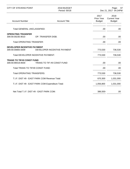| <b>CITY OF STEVENS POINT</b>                          | 2018 BUDGET<br>Period: 00/18                      | Page:<br>67<br>Dec 21, 2017 04:24PM |                                              |
|-------------------------------------------------------|---------------------------------------------------|-------------------------------------|----------------------------------------------|
| <b>Account Number</b>                                 | <b>Account Title</b>                              | 2017<br>Prior Year<br><b>Budget</b> | 2018<br><b>Current Year</b><br><b>Budget</b> |
| Total GENERAL UNCLASSIFIED:                           |                                                   | .00.                                | .00                                          |
| <b>OPERATING TRANSFER</b><br>309.59.00230.9010        | OP. TRANSFER DISB.                                | .00.                                | .00                                          |
| <b>Total OPERATING TRANSFER:</b>                      |                                                   | .00.                                | .00                                          |
| DEVELOPER INCENTIVE PAYMENT<br>309.59.00800.5009      | DEVELOPER INCENTIVE PAYMENT                       | 773,530                             | 736,530                                      |
|                                                       | Total DEVELOPER INCENTIVE PAYMENT:                | 773,530                             | 736,530                                      |
| <b>TRANS TO TIF#9 CONST FUND</b><br>309.59.99419.9500 | TRANS TO TIF #9 CONST FUND                        | .00                                 | .00                                          |
| Total TRANS TO TIF#9 CONST FUND:                      |                                                   | .00.                                | .00                                          |
| <b>Total OPERATING TRANSFERS:</b>                     |                                                   | 773,530                             | 736,530                                      |
|                                                       | T.I.F. DIST #9 - EAST PARK COM Revenue Total:     | 670,300                             | 1,031,000                                    |
|                                                       | T.I.F. DIST #9 - EAST PARK COM Expenditure Total: | 1,056,800                           | 1,031,000                                    |
|                                                       | Net Total T.I.F. DIST #9 - EAST PARK COM:         | 386,500-                            | .00                                          |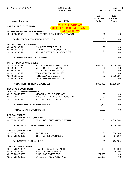| <b>CITY OF STEVENS POINT</b>                                   | 2018 BUDGET<br>Period: 00/18                                 |                                     | Page:<br>68<br>Dec 21, 2017 04:24PM          |
|----------------------------------------------------------------|--------------------------------------------------------------|-------------------------------------|----------------------------------------------|
| <b>Account Number</b>                                          | <b>Account Title</b>                                         | 2017<br>Prior Year<br><b>Budget</b> | 2018<br><b>Current Year</b><br><b>Budget</b> |
| <b>CAPITAL PROJECTS FUND 2</b>                                 | <b>**SEE APPENDIX A**</b><br><b>FOR FURTHER BREAKDOWN ON</b> |                                     |                                              |
| <b>INTERGOVERNMENTAL REVENUES</b><br>401.43.30530.53           | <b>CAPITAL ITEMS</b><br>STATE PROJ REIMBURSEMENT ACCT        | .00                                 | .00                                          |
|                                                                | Total INTERGOVERNMENTAL REVENUES:                            | .00                                 | .00                                          |
| <b>MISCELLANEOUS REVENUE</b>                                   |                                                              |                                     |                                              |
| 401.48.00100.51                                                | <b>INV. INTEREST REVENUE</b>                                 | .00                                 | .00                                          |
| 401.48.00852.56                                                | DEVELOPER REIMBURSEMENTS                                     | .00                                 | .00                                          |
| 401.48.19700.51                                                | <b>GEN PROJECT REIMBURSEMENTS</b>                            | .00                                 | .00                                          |
| <b>Total MISCELLANEOUS REVENUE:</b>                            |                                                              | .00                                 | .00.                                         |
| <b>OTHER FINANCING SOURCES</b>                                 |                                                              |                                     |                                              |
| 401.49.00100.59                                                | <b>G.O. BOND PROCEED REVENUE</b>                             | 3,850,000                           | 8,508,500                                    |
| 401.49.00115.70                                                | NOTE PROCEED REVENUE                                         | .00                                 | .00                                          |
| 401.49.19204.59                                                | <b>TRANSFER FROM FUND 204</b>                                | .00                                 | .00                                          |
| 401.49.19207.59                                                | <b>TRANSFER FROM FUND 207</b>                                | .00                                 | .00                                          |
| 401.49.19310.59                                                | FUND BALANCE USAGE                                           | .00                                 | 2,000,000                                    |
| 401.49.19418.59                                                | <b>TRANSFER FROM FUND 418</b>                                | .00                                 | .00                                          |
| <b>Total OTHER FINANCING SOURCES:</b>                          |                                                              | 3,850,000                           | 10,508,500                                   |
| <b>GENERAL GOVERNMENT</b><br><b>MISC UNCLASSIFIED GENERAL</b>  |                                                              |                                     |                                              |
| 401.51.00850.5000                                              | MISCELLANEOUS EXPENSES                                       | .00                                 | .00                                          |
| 401.51.00850.5020                                              | PROJECT EXPENSES-REIMBURSABLE                                | .00                                 | .00                                          |
|                                                                |                                                              |                                     |                                              |
| 401.51.00850.6400                                              | <b>BOND ISSUANCE COSTS</b>                                   | 7,500                               | .00                                          |
| <b>Total MISC UNCLASSIFIED GENERAL:</b>                        |                                                              | 7,500                               | .00                                          |
| Total GENERAL GOVERNMENT:                                      |                                                              | 7,500                               | .00.                                         |
| <b>CAPITAL OUTLAY</b><br><b>CAPITAL OUTLAY - GEN CITY HALL</b> |                                                              |                                     |                                              |
| 401.57.70140.8903                                              | <b>GEN BLDG CONST - NEW CITY HALL</b>                        | .00                                 | 6,000,000                                    |
|                                                                | Total CAPITAL OUTLAY - GEN CITY HALL:                        | .00                                 | 6,000,000                                    |
| <b>CAPITAL OUTLAY - FIRE</b>                                   |                                                              |                                     |                                              |
| 401.57.70220.8206                                              | <b>FIRE TRUCK</b>                                            | .00                                 | 670,000                                      |
| 401.57.70220.8219                                              | <b>STAFF VEHICLE VEHICLES</b>                                | .00.                                | 36,000                                       |
| Total CAPITAL OUTLAY - FIRE:                                   |                                                              | .00                                 | 706,000                                      |
| <b>CAPITAL OUTLAY - DPW</b>                                    |                                                              |                                     |                                              |
| 401.57.70320.8021                                              | <b>TRAFFIC SIGNAL EQUIPMENT</b>                              | 36,000                              | 57,000                                       |
| 401.57.70320.8201                                              | PUBLIC WORKS VEHICLES                                        | .00                                 | 1,230,000                                    |
| 401.57.70320.8203                                              | <b>PURCHASE SWEEPERS</b>                                     | 237,000                             | .00                                          |
| 401.57.70320.8208                                              | <b>GARBAGE TRUCK PURCHASE</b>                                | 550,000                             | .00                                          |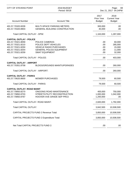| <b>CITY OF STEVENS POINT</b>                                                                                                            | 2018 BUDGET<br>Period: 00/18                                                                                                         |                                            | Page:<br>69<br>Dec 21, 2017 04:24PM             |
|-----------------------------------------------------------------------------------------------------------------------------------------|--------------------------------------------------------------------------------------------------------------------------------------|--------------------------------------------|-------------------------------------------------|
| <b>Account Number</b>                                                                                                                   | <b>Account Title</b>                                                                                                                 | 2017<br><b>Prior Year</b><br><b>Budget</b> | 2018<br><b>Current Year</b><br><b>Budget</b>    |
| 401.57.70320.8209<br>401.57.70320.8903                                                                                                  | <b>MULTI-SPACE PARKING METERS</b><br><b>GENERAL BUILDING CONSTRUCTION</b>                                                            | 300,000<br>40,000                          | .00<br>.00.                                     |
| Total CAPITAL OUTLAY - DPW:                                                                                                             |                                                                                                                                      | 1,163,000                                  | 1,287,000                                       |
| <b>CAPITAL OUTLAY - POLICE</b><br>401.57.70321.8059<br>401.57.70321.8210<br>401.57.70321.8250<br>401.57.70321.8254<br>401.57.70321.8259 | POLICE CAMERAS<br>POLICE DEPT VEHICLES<br><b>VEHICLE RADIO PURCHASES</b><br><b>GENERAL POLICE EQUIPMENT</b><br><b>SWAT EQUIPMENT</b> | .00<br>.00.<br>.00<br>.00<br>.00           | 60,000<br>285,000<br>15,000<br>11,000<br>32,000 |
| <b>Total CAPITAL OUTLAY - POLICE:</b>                                                                                                   |                                                                                                                                      | .00                                        | 403,000                                         |
| <b>CAPITAL OUTLAY - AIRPORT</b><br>401.57.70351.8758                                                                                    | <b>BLDGS/GROUNDS MAINT/UPGRADES</b>                                                                                                  | .00                                        | 260,000                                         |
| Total CAPITAL OUTLAY - AIRPORT:                                                                                                         |                                                                                                                                      | .00.                                       | 260,000                                         |
| <b>CAPITAL OUTLAY - PARKS</b><br>401.57.70620.8600                                                                                      | <b>MOWER PURCHASES</b>                                                                                                               | 79,500                                     | 60,500                                          |
| Total CAPITAL OUTLAY - PARKS:                                                                                                           |                                                                                                                                      | 79,500                                     | 60,500                                          |
| <b>CAPITAL OUTLAY- ROAD MAINT</b><br>401.57.70850.8270<br>401.57.70850.8703<br>401.57.70850.8767                                        | ONGOING ROAD MAINTENANCE<br>STREET/UTILITY RECONSTRUCTION<br>HOOVER AVE GRADE SEP PROJ                                               | 400,000<br>1,000,000<br>1,200,000          | 750,000<br>1,042,000<br>.00                     |
| Total CAPITAL OUTLAY- ROAD MAINT:                                                                                                       |                                                                                                                                      | 2,600,000                                  | 1,792,000                                       |
| Total CAPITAL OUTLAY:                                                                                                                   |                                                                                                                                      | 3,842,500                                  | 10,508,500                                      |
|                                                                                                                                         | CAPITAL PROJECTS FUND 2 Revenue Total:                                                                                               | 3,850,000                                  | 10,508,500                                      |
|                                                                                                                                         | CAPITAL PROJECTS FUND 2 Expenditure Total:                                                                                           | 3,850,000                                  | 10,508,500                                      |
| Net Total CAPITAL PROJECTS FUND 2:                                                                                                      |                                                                                                                                      | .00                                        | .00                                             |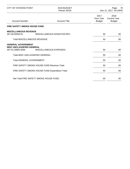| CITY OF STEVENS POINT                                                              | 2018 BUDGET<br>Period: 00/18                    | 70<br>Page:<br>Dec 21, 2017 04:24PM |                                              |
|------------------------------------------------------------------------------------|-------------------------------------------------|-------------------------------------|----------------------------------------------|
| <b>Account Number</b>                                                              | <b>Account Title</b>                            | 2017<br>Prior Year<br><b>Budget</b> | 2018<br><b>Current Year</b><br><b>Budget</b> |
| <b>FIRE SAFETY SMOKE HOUSE FUND</b>                                                |                                                 |                                     |                                              |
| <b>MISCELLANEOUS REVENUE</b><br>407.48.00550.52                                    | MISCELLANEOUS DONATION REV.                     | 50                                  | .00.                                         |
| Total MISCELLANEOUS REVENUE:                                                       |                                                 | 50                                  | .00                                          |
| <b>GENERAL GOVERNMENT</b><br><b>MISC UNCLASSIFIED GENERAL</b><br>407.51.00850.5000 | MISCELLANEOUS EXPENSES                          | 50                                  | .00.                                         |
| Total MISC UNCLASSIFIED GENERAL:                                                   |                                                 | 50                                  | .00                                          |
| <b>Total GENERAL GOVERNMENT:</b>                                                   |                                                 | 50                                  | .00                                          |
| FIRE SAFETY SMOKE HOUSE FUND Revenue Total:                                        |                                                 | 50                                  | .00                                          |
|                                                                                    | FIRE SAFETY SMOKE HOUSE FUND Expenditure Total: | 50                                  | .00                                          |
|                                                                                    | Net Total FIRE SAFETY SMOKE HOUSE FUND:         | .00                                 | .00                                          |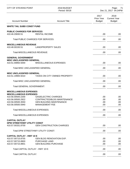| <b>CITY OF STEVENS POINT</b>                          | 2018 BUDGET<br>Period: 00/18        | Page:<br>- 71<br>Dec 21, 2017 04:24PM      |                                              |
|-------------------------------------------------------|-------------------------------------|--------------------------------------------|----------------------------------------------|
| <b>Account Number</b>                                 | <b>Account Title</b>                | 2017<br><b>Prior Year</b><br><b>Budget</b> | 2018<br><b>Current Year</b><br><b>Budget</b> |
| <b>WHITE TAIL SUBD CONST FUND</b>                     |                                     |                                            |                                              |
| <b>PUBLIC CHARGES FOR SERVICES</b><br>410.46.20830.51 | <b>RENTAL INCOME</b>                | .00.                                       | .00                                          |
| <b>Total PUBLIC CHARGES FOR SERVICES:</b>             |                                     | .00                                        | .00                                          |
| <b>MISCELLANEOUS REVENUE</b>                          |                                     |                                            |                                              |
| 410.48.00193.51                                       | <b>LAND/PROPERTY SALES</b>          | .00                                        | .00                                          |
| <b>Total MISCELLANEOUS REVENUE:</b>                   |                                     | .00                                        | .00                                          |
| <b>GENERAL GOVERNMENT</b>                             |                                     |                                            |                                              |
| <b>MISC UNCLASSIFIED GENERAL</b><br>410.51.00850.5000 | <b>MISCELLANEOUS EXPENSES</b>       | .00.                                       | .00                                          |
| Total MISC UNCLASSIFIED GENERAL:                      |                                     | .00.                                       | .00                                          |
| <b>MISC UNCLASSIFIED GENERAL</b>                      |                                     |                                            |                                              |
| 410.51.19900.5010                                     | TAXES ON CITY OWNED PROPERTY        | .00                                        | .00                                          |
| Total MISC UNCLASSIFIED GENERAL:                      |                                     | .00.                                       | .00                                          |
| <b>Total GENERAL GOVERNMENT:</b>                      |                                     | .00                                        | .00                                          |
| <b>MISCELLANEOUS EXPENSES</b>                         |                                     |                                            |                                              |
| <b>MISCELLANEOUS EXPENSES</b><br>410.56.00500.2200    | <b>GAS/ELECTRIC CHARGES</b>         | .00.                                       | .00                                          |
| 410.56.00500.2922                                     | CONTRACTED/BLDG MAINTENANCE         | .00                                        | .00                                          |
| 410.56.00500.3550                                     | <b>GEN BUILDING MAINTENANCE</b>     | .00                                        | .00                                          |
| 410.56.00500.5940                                     | <b>MANAGEMENT FEE</b>               | .00                                        | .00                                          |
| <b>Total MISCELLANEOUS EXPENSES:</b>                  |                                     | .00                                        | .00                                          |
| <b>Total MISCELLANEOUS EXPENSES:</b>                  |                                     | .00                                        | .00.                                         |
| <b>CAPITAL OUTLAY</b>                                 |                                     |                                            |                                              |
| <b>DPW STREET/HWY UTILITY CONST</b>                   |                                     |                                            |                                              |
| 410.57.00331.8700                                     | <b>GEN CONSTRUCTION CHARGES</b>     | .00                                        | .00.                                         |
|                                                       | Total DPW STREET/HWY UTILITY CONST: | .00                                        | .00.                                         |
| <b>CAPITAL OUTLAY - HWY 10 E</b>                      |                                     |                                            |                                              |
| 410.57.00715.8755                                     | <b>GEN BLDG RENOVATION EXP.</b>     | .00.                                       | .00                                          |
| 410.57.00715.8900                                     | <b>PURCHASE LAND</b>                | .00.                                       | .00                                          |
| 410.57.00715.8901                                     | <b>GEN BUILDING PURCHASE</b>        | .00.                                       | .00                                          |
| Total CAPITAL OUTLAY - HWY 10 E:                      |                                     | .00                                        | .00                                          |
| <b>Total CAPITAL OUTLAY:</b>                          |                                     | .00                                        | .00.                                         |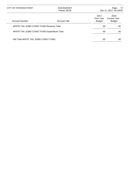| CITY OF STEVENS POINT                         | 2018 BUDGET<br>Period: 00/18 |                                     | -72<br>Page:<br>Dec 21, 2017 04:24PM         |
|-----------------------------------------------|------------------------------|-------------------------------------|----------------------------------------------|
| <b>Account Number</b>                         | <b>Account Title</b>         | 2017<br>Prior Year<br><b>Budget</b> | 2018<br><b>Current Year</b><br><b>Budget</b> |
| WHITE TAIL SUBD CONST FUND Revenue Total:     |                              | .00                                 | .00                                          |
| WHITE TAIL SUBD CONST FUND Expenditure Total: |                              | .00                                 | .00                                          |
| Net Total WHITE TAIL SUBD CONST FUND:         |                              | .00                                 | .00                                          |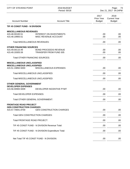| <b>CITY OF STEVENS POINT</b>                                                                                  | 2018 BUDGET<br>Period: 00/18                                  |                                     | - 73<br>Page:<br>Dec 21, 2017 04:24PM        |
|---------------------------------------------------------------------------------------------------------------|---------------------------------------------------------------|-------------------------------------|----------------------------------------------|
| <b>Account Number</b>                                                                                         | <b>Account Title</b>                                          | 2017<br>Prior Year<br><b>Budget</b> | 2018<br><b>Current Year</b><br><b>Budget</b> |
| TIF #5 CONST FUND - N DIVISION                                                                                |                                                               |                                     |                                              |
| <b>MISCELLANEOUS REVENUES</b><br>415.48.00100.51<br>415.48.19900.51                                           | <b>INTEREST ON INVESTMENTS</b><br>MISC REVENUE ACCOUNT        | .00<br>.00.                         | .00<br>.00                                   |
| <b>Total MISCELLANEOUS REVENUES:</b>                                                                          |                                                               | .00                                 | .00.                                         |
| <b>OTHER FINANCING SOURCES</b><br>415.49.00110.49<br>415.49.19305.59<br><b>Total OTHER FINANCING SOURCES:</b> | <b>BOND PROCEEDS REVENUE</b><br><b>TRANSFER FROM FUND 305</b> | .00<br>.00<br>.00                   | .00<br>.00<br>.00.                           |
| <b>MISCELLANEOUS UNCLASSIFIED</b><br><b>MISCELLANEOUS UNCLASSIFIED</b><br>415.51.19850.5000                   | MISCELLANEOUS EXPENSES                                        | .00                                 | .00                                          |
| Total MISCELLANEOUS UNCLASSIFIED:                                                                             |                                                               | .00                                 | .00.                                         |
| Total MISCELLANEOUS UNCLASSIFIED:                                                                             |                                                               | .00                                 | .00.                                         |
| <b>OTHER GENERAL GOVERNMENT</b><br><b>DEVELOPER EXPENSES</b><br>415.56.00900.5009                             | DEVELOPER INCENTIVE PYMT                                      | .00                                 | .00.                                         |
| <b>Total DEVELOPER EXPENSES:</b>                                                                              |                                                               | .00                                 | .00.                                         |
| <b>Total OTHER GENERAL GOVERNMENT:</b>                                                                        |                                                               | .00                                 | .00                                          |
| <b>FRONTAGE ROAD PROJECT</b><br><b>GEN CONSTRUCTION CHARGES</b><br>415.57.70841.8700                          | <b>GEN CONSTRUCTION CHARGES</b>                               | .00                                 | .00                                          |
| <b>Total GEN CONSTRUCTION CHARGES:</b>                                                                        |                                                               | .00                                 | .00.                                         |
| <b>Total FRONTAGE ROAD PROJECT:</b>                                                                           |                                                               | .00                                 | .00.                                         |
|                                                                                                               | TIF #5 CONST FUND - N DIVISION Revenue Total:                 | .00                                 | .00.                                         |
|                                                                                                               | TIF #5 CONST FUND - N DIVISION Expenditure Total:             | .00                                 | .00                                          |
|                                                                                                               | Net Total TIF #5 CONST FUND - N DIVISION:                     | .00.                                | .00                                          |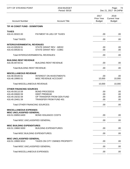| <b>CITY OF STEVENS POINT</b>                          |                                          | 2018 BUDGET<br>Period: 00/18 |                                     | Page:<br>- 74<br>Dec 21, 2017 04:24PM        |
|-------------------------------------------------------|------------------------------------------|------------------------------|-------------------------------------|----------------------------------------------|
| <b>Account Number</b>                                 | <b>Account Title</b>                     |                              | 2017<br>Prior Year<br><b>Budget</b> | 2018<br><b>Current Year</b><br><b>Budget</b> |
| TIF #6 CONST FUND - DOWNTOWN                          |                                          |                              |                                     |                                              |
| <b>TAXES</b>                                          |                                          |                              |                                     |                                              |
| 416.41.00322.00                                       | PAYMENT IN LIEU OF TAXES                 |                              | .00                                 | .00.                                         |
| <b>Total TAXES:</b>                                   |                                          |                              | .00                                 | .00                                          |
| <b>INTERGOVERNMENTAL REVENUES</b>                     |                                          |                              |                                     |                                              |
| 416.43.00528.51                                       | STATE GRANT REV - WEDC                   |                              | .00                                 | .00                                          |
| 416.43.00530.51                                       | <b>STATE GRANT REV - CDBG</b>            |                              | .00                                 | .00                                          |
|                                                       | <b>Total INTERGOVERNMENTAL REVENUES:</b> |                              | .00                                 | .00.                                         |
| <b>BUILDING RENT REVENUE</b>                          |                                          |                              |                                     |                                              |
| 416.46.00720.51                                       | <b>BUILDING RENT REVENUE</b>             |                              | .00                                 | .00.                                         |
| <b>Total BUILDING RENT REVENUE:</b>                   |                                          |                              | .00                                 | .00.                                         |
| <b>MISCELLANEOUS REVENUE</b>                          |                                          |                              |                                     |                                              |
| 416.48.00100.51                                       | <b>INTEREST ON INVESTMENTS</b>           |                              | .00                                 | .00                                          |
| 416.48.19900.51                                       | MISC REVENUE ACCOUNT                     |                              | 10,000                              | 10,000                                       |
| <b>Total MISCELLANEOUS REVENUE:</b>                   |                                          |                              | 10,000                              | 10,000                                       |
| <b>OTHER FINANCING SOURCES</b>                        |                                          |                              |                                     |                                              |
| 416.49.00110.59                                       | <b>BOND PROCEEDS</b>                     |                              | .00                                 | .00                                          |
| 416.49.00600.59                                       | <b>DEBT PREMIUM</b>                      |                              | .00                                 | .00                                          |
| 416.49.19232.59                                       | OP TRANSFER FROM GEN FUND                |                              | .00                                 | .00                                          |
| 416.49.19401.59                                       | TRANSFER FROM FUND 401                   |                              | .00                                 | .00                                          |
| <b>Total OTHER FINANCING SOURCES:</b>                 |                                          |                              | .00                                 | .00.                                         |
| <b>MISCELLANEOUS EXPENSES</b>                         |                                          |                              |                                     |                                              |
| <b>MISC UNCLASSIFIED GENERAL</b><br>416.51.00850.6400 | <b>BOND ISSUANCE COSTS</b>               |                              | .00.                                | .00.                                         |
| <b>Total MISC UNCLASSIFIED GENERAL:</b>               |                                          |                              | .00                                 | .00.                                         |
| <b>MISC BUILDING EXPENDITURES</b>                     |                                          |                              |                                     |                                              |
| 416.51.19860.5000                                     | <b>BUILDING EXPENDITURES</b>             |                              | .00                                 | .00.                                         |
| <b>Total MISC BUILDING EXPENDITURES:</b>              |                                          |                              | .00                                 | .00                                          |
| <b>MISC UNCLASSIFIED GENERAL</b>                      |                                          |                              |                                     |                                              |
| 416.51.19900.5010                                     | <b>TAXES ON CITY OWNED PROPERTY</b>      |                              | .00                                 | .00                                          |
| Total MISC UNCLASSIFIED GENERAL:                      |                                          |                              | .00                                 | .00                                          |
| Total MISCELLANEOUS EXPENSES:                         |                                          |                              | .00                                 | .00                                          |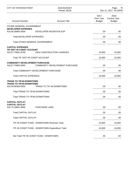| 2018<br><b>Current Year</b><br><b>Budget</b> |
|----------------------------------------------|
|                                              |
| .00.                                         |
| .00.                                         |
| .00.                                         |
|                                              |
| 10,000                                       |
| 10,000                                       |
|                                              |
| .00                                          |
| .00                                          |
| 10,000                                       |
|                                              |
| .00                                          |
| .00                                          |
| .00                                          |
|                                              |
| .00.                                         |
| .00.                                         |
| .00                                          |
| 10,000                                       |
| 10,000                                       |
| .00.                                         |
|                                              |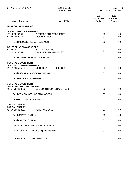| <b>CITY OF STEVENS POINT</b>                                                                                  | 2018 BUDGET<br>Period: 00/18                           |                                            | Page:<br>- 76<br>Dec 21, 2017 04:25PM        |
|---------------------------------------------------------------------------------------------------------------|--------------------------------------------------------|--------------------------------------------|----------------------------------------------|
| <b>Account Number</b>                                                                                         | <b>Account Title</b>                                   | 2017<br><b>Prior Year</b><br><b>Budget</b> | 2018<br><b>Current Year</b><br><b>Budget</b> |
| TIF #7 CONST FUND - AIG                                                                                       |                                                        |                                            |                                              |
| <b>MISCELLANEOUS REVENUES</b><br>417.48.00100.51<br>417.48.19900.51                                           | <b>INTEREST ON INVESTMENTS</b><br><b>MISC REVENUES</b> | .00.<br>.00.                               | .00<br>.00                                   |
| <b>Total MISCELLANEOUS REVENUES:</b>                                                                          |                                                        | .00                                        | .00                                          |
| <b>OTHER FINANCING SOURCES</b><br>417.49.00110.59<br>417.49.19307.59<br><b>Total OTHER FINANCING SOURCES:</b> | <b>BOND PROCEEDS</b><br><b>TRANSFER FROM FUND 307</b>  | .00<br>.00<br>.00                          | .00.<br>.00<br>.00                           |
| <b>GENERAL GOVERNMENT</b><br><b>MISC UNCLASSIFIED GENERAL</b><br>417.51.19850.5000                            | MISCELLANEOUS EXPENSES                                 | .00                                        | .00.                                         |
| Total MISC UNCLASSIFIED GENERAL:                                                                              |                                                        | .00                                        | .00                                          |
| <b>Total GENERAL GOVERNMENT:</b>                                                                              |                                                        | .00.                                       | .00.                                         |
| <b>GENERAL GOVERNMENT</b><br><b>GEN CONSTRUCTION CHARGES</b><br>417.57.70841.8700                             | <b>GEN CONSTRUCTION CHARGES</b>                        | .00                                        | .00.                                         |
| <b>Total GEN CONSTRUCTION CHARGES:</b>                                                                        |                                                        | .00                                        | .00                                          |
| <b>Total GENERAL GOVERNMENT:</b>                                                                              |                                                        | .00                                        | .00                                          |
| <b>CAPITAL OUTLAY</b><br><b>CAPITAL OUTLAY</b><br>417.70.19841.8900                                           | <b>PURCHASE LAND</b>                                   | .00                                        | .00                                          |
| <b>Total CAPITAL OUTLAY:</b>                                                                                  |                                                        | .00                                        | .00                                          |
| <b>Total CAPITAL OUTLAY:</b>                                                                                  |                                                        | .00                                        | .00                                          |
|                                                                                                               | TIF #7 CONST FUND - AIG Revenue Total:                 | .00                                        | .00.                                         |
|                                                                                                               | TIF #7 CONST FUND - AIG Expenditure Total:             | .00                                        | .00.                                         |
| Net Total TIF #7 CONST FUND - AIG:                                                                            |                                                        | .00                                        | .00.                                         |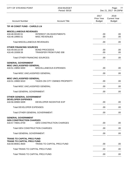| <b>CITY OF STEVENS POINT</b>                           | 2018 BUDGET<br>Period: 00/18                           |      | - 77<br>Page:<br>Dec 21, 2017 04:25PM      |                                              |
|--------------------------------------------------------|--------------------------------------------------------|------|--------------------------------------------|----------------------------------------------|
| <b>Account Number</b>                                  | <b>Account Title</b>                                   |      | 2017<br><b>Prior Year</b><br><b>Budget</b> | 2018<br><b>Current Year</b><br><b>Budget</b> |
| TIF #8 CONST FUND - CAROLS LN                          |                                                        |      |                                            |                                              |
| <b>MISCELLANEOUS REVENUES</b>                          |                                                        |      |                                            |                                              |
| 418.48.00100.51<br>418.48.19900.51                     | <b>INTEREST ON INVESTMENTS</b><br><b>MISC REVENUES</b> |      | .00.<br>.00.                               | .00<br>.00.                                  |
| <b>Total MISCELLANEOUS REVENUES:</b>                   |                                                        |      | .00                                        | .00                                          |
| <b>OTHER FINANCING SOURCES</b>                         |                                                        |      |                                            |                                              |
| 418.49.00110.59<br>418.49.19308.59                     | <b>BOND PROCEEDS</b><br><b>TRANSFER FROM FUND 308</b>  |      | .00.<br>.00.                               | .00.<br>.00                                  |
| <b>Total OTHER FINANCING SOURCES:</b>                  |                                                        |      | .00                                        | .00                                          |
| <b>GENERAL GOVERNMENT</b>                              |                                                        |      |                                            |                                              |
| <b>MISC UNCLASSIFIED GENERAL</b>                       |                                                        |      |                                            |                                              |
| 418.51.19850.5000                                      | MISCELLANEOUS EXPENSES                                 |      | .00                                        | .00.                                         |
| Total MISC UNCLASSIFIED GENERAL:                       |                                                        | .00. | .00.                                       |                                              |
| <b>MISC UNCLASSIFIED GENERAL</b><br>418.51.19900.5010  | TAXES ON CITY OWNED PROPERTY                           |      | .00                                        | .00.                                         |
| Total MISC UNCLASSIFIED GENERAL:                       |                                                        |      | .00.                                       | .00.                                         |
| <b>Total GENERAL GOVERNMENT:</b>                       |                                                        |      | .00                                        | .00                                          |
| <b>OTHER GENERAL GOVERNMENT</b>                        |                                                        |      |                                            |                                              |
| <b>DEVELOPER EXPENSES</b>                              |                                                        |      |                                            |                                              |
| 418.56.00900.5009                                      | DEVELOPER INCENTIVE EXP                                |      | .00                                        | .00                                          |
| <b>Total DEVELOPER EXPENSES:</b>                       |                                                        |      | .00                                        | .00.                                         |
| Total OTHER GENERAL GOVERNMENT:                        |                                                        |      | .00                                        | .00.                                         |
| <b>GENERAL GOVERNMENT</b>                              |                                                        |      |                                            |                                              |
| <b>GEN CONSTRUCTION CHARGES</b><br>418.57.70841.8700   | <b>GEN CONSTRUCTION CHARGES</b>                        |      | .00                                        | .00.                                         |
| <b>Total GEN CONSTRUCTION CHARGES:</b>                 |                                                        |      | .00                                        | .00.                                         |
| <b>Total GENERAL GOVERNMENT:</b>                       |                                                        |      | .00                                        | .00.                                         |
| <b>TRANS TO CAPITAL PROJ FUND</b>                      |                                                        |      |                                            |                                              |
| <b>TRANS TO CAPITAL PROJ FUND</b><br>418.59.99401.9500 | <b>TRANS TO CAPITAL PROJ FUND</b>                      |      | .00.                                       | .00.                                         |
| Total TRANS TO CAPITAL PROJ FUND:                      |                                                        |      | .00.                                       | .00                                          |
| Total TRANS TO CAPITAL PROJ FUND:                      |                                                        |      | .00.                                       | .00.                                         |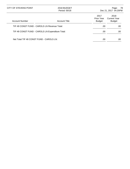| CITY OF STEVENS POINT                            | 2018 BUDGET<br>Period: 00/18 |                                     | 78<br>Page:<br>Dec 21, 2017 04:25PM   |
|--------------------------------------------------|------------------------------|-------------------------------------|---------------------------------------|
| <b>Account Number</b>                            | <b>Account Title</b>         | 2017<br>Prior Year<br><b>Budget</b> | 2018<br>Current Year<br><b>Budget</b> |
| TIF #8 CONST FUND - CAROLS LN Revenue Total:     |                              | .00                                 | .00.                                  |
| TIF #8 CONST FUND - CAROLS LN Expenditure Total: |                              | .00                                 | .00                                   |
| Net Total TIF #8 CONST FUND - CAROLS LN:         |                              | .00                                 | .00                                   |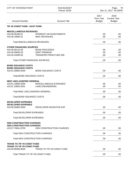| <b>CITY OF STEVENS POINT</b>                           | 2018 BUDGET<br>Period: 00/18                           |                                            | Page:<br>- 79<br>Dec 21, 2017 04:25PM        |  |
|--------------------------------------------------------|--------------------------------------------------------|--------------------------------------------|----------------------------------------------|--|
| <b>Account Number</b>                                  | <b>Account Title</b>                                   | 2017<br><b>Prior Year</b><br><b>Budget</b> | 2018<br><b>Current Year</b><br><b>Budget</b> |  |
| TIF #9 CONST FUND - EAST PARK                          |                                                        |                                            |                                              |  |
| <b>MISCELLANEOUS REVENUES</b>                          |                                                        |                                            |                                              |  |
| 419.48.00100.51<br>419.48.19900.51                     | <b>INTEREST ON INVESTMENTS</b><br><b>MISC REVENUES</b> | .00.<br>.00.                               | .00<br>.00.                                  |  |
| <b>Total MISCELLANEOUS REVENUES:</b>                   |                                                        | .00                                        | .00                                          |  |
| <b>OTHER FINANCING SOURCES</b>                         |                                                        |                                            |                                              |  |
| 419.49.00110.59                                        | <b>BOND PROCEEDS</b>                                   | .00.                                       | .00.                                         |  |
| 419.49.00600.59                                        | <b>DEBT PREMIUM</b>                                    | .00.                                       | .00                                          |  |
| 419.49.19309.59                                        | TRANSFER FROM FUND 309                                 | .00                                        | .00                                          |  |
| <b>Total OTHER FINANCING SOURCES:</b>                  |                                                        | .00                                        | .00                                          |  |
| <b>BOND ISSUANCE COSTS</b>                             |                                                        |                                            |                                              |  |
| <b>BOND ISSUANCE COSTS</b><br>419.51.00850.6400        | <b>BOND ISSUANCE COSTS</b>                             | .00                                        | .00                                          |  |
| Total BOND ISSUANCE COSTS:                             |                                                        | .00.                                       | .00.                                         |  |
| MISC UNCLASSIFIED GENERAL                              |                                                        |                                            |                                              |  |
| 419.51.19850.5000                                      | MISCELLANEOUS EXPENSES                                 | .00.                                       | .00                                          |  |
| 419.51.19850.5001                                      | <b>LAND ENGINEERING</b>                                | .00                                        | .00                                          |  |
| Total MISC UNCLASSIFIED GENERAL:                       |                                                        | .00                                        | .00                                          |  |
| Total BOND ISSUANCE COSTS:                             |                                                        | .00                                        | .00                                          |  |
| <b>DEVELOPER EXPENSES</b><br><b>DEVELOPER EXPENSES</b> |                                                        |                                            |                                              |  |
| 419.56.00900.5009                                      | DEVELOPER INCENTIVE EXP                                | .00                                        | .00                                          |  |
| <b>Total DEVELOPER EXPENSES:</b>                       |                                                        | .00                                        | .00                                          |  |
| Total DEVELOPER EXPENSES:                              |                                                        | .00                                        | .00.                                         |  |
| <b>GEN CONSTRUCTION CHARGES</b>                        |                                                        |                                            |                                              |  |
| <b>GEN CONSTRUCTION CHARGES</b><br>419.57.70841.8700   | <b>GEN CONSTRUCTION CHARGES</b>                        | .00.                                       | .00.                                         |  |
| <b>Total GEN CONSTRUCTION CHARGES:</b>                 |                                                        | .00                                        | .00.                                         |  |
| <b>Total GEN CONSTRUCTION CHARGES:</b>                 |                                                        | .00                                        | .00.                                         |  |
| <b>TRANS TO TIF #9 CONST FUND</b>                      |                                                        |                                            |                                              |  |
| <b>TRANS TO TIF #9 CONST FUND</b>                      |                                                        |                                            |                                              |  |
| 419.59.99309.9500                                      | TRANS TO TIF #9 CONST FUND                             | .00.                                       | .00                                          |  |
| Total TRANS TO TIF #9 CONST FUND:                      |                                                        | .00                                        | .00.                                         |  |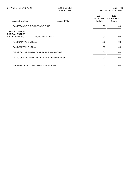| CITY OF STEVENS POINT                                               | 2018 BUDGET<br>Period: 00/18 |                                     | 80<br>Page:<br>Dec 21, 2017 04:25PM          |
|---------------------------------------------------------------------|------------------------------|-------------------------------------|----------------------------------------------|
| <b>Account Number</b>                                               | <b>Account Title</b>         | 2017<br>Prior Year<br><b>Budget</b> | 2018<br><b>Current Year</b><br><b>Budget</b> |
| Total TRANS TO TIF #9 CONST FUND:                                   |                              | .00.                                | .00                                          |
| <b>CAPITAL OUTLAY</b><br><b>CAPITAL OUTLAY</b><br>419.70.19841.8900 | <b>PURCHASE LAND</b>         | .00.                                | .00                                          |
| <b>Total CAPITAL OUTLAY:</b>                                        |                              | .00                                 | .00.                                         |
| <b>Total CAPITAL OUTLAY:</b>                                        |                              | .00                                 | .00.                                         |
| TIF #9 CONST FUND - EAST PARK Revenue Total:                        |                              | .00.                                | .00.                                         |
| TIF #9 CONST FUND - EAST PARK Expenditure Total:                    |                              | .00.                                | .00.                                         |
| Net Total TIF #9 CONST FUND - EAST PARK:                            |                              | .00                                 | .00                                          |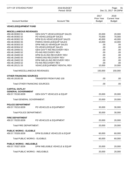| <b>CITY OF STEVENS POINT</b>                   | 2018 BUDGET<br>Period: 00/18                          |                                            | Page:<br>81<br>Dec 21, 2017 04:25PM          |
|------------------------------------------------|-------------------------------------------------------|--------------------------------------------|----------------------------------------------|
| <b>Account Number</b>                          | <b>Account Title</b>                                  | 2017<br><b>Prior Year</b><br><b>Budget</b> | 2018<br><b>Current Year</b><br><b>Budget</b> |
| <b>VEHICLE/EQUIPMENT FUND</b>                  |                                                       |                                            |                                              |
| <b>MISCELLANEOUS REVENUES</b>                  |                                                       |                                            |                                              |
| 450.48.00302.51                                | <b>GEN GOV'T-VEHICLE/EQUIP SALES</b>                  | 20,000                                     | 20,000                                       |
| 450.48.00302.52                                | PD-VEHICLE/EQUIP SALES                                | 70,000                                     | 70,000                                       |
| 450.48.00302.53                                | DPW ELIG-VEHICLE/EQUIP SALES                          | 40,000                                     | 40,000                                       |
| 450.48.00302.55                                | PARKS-VEHICLE/EQUIP SALES                             | 10,000                                     | 10,000                                       |
| 450.48.00303.53                                | DPW INELIG-VEH/EQUIP SALES                            | .00                                        | .00                                          |
| 450.48.00304.52                                | <b>FD-VEHICLE/EQUIP SALES</b>                         | .00                                        | .00                                          |
| 450.48.19400.51                                | <b>GEN GOV'T-INS RECOVERY REV</b>                     | .00                                        | .00                                          |
| 450.48.19400.52                                | PD-INS RECOVERY REV                                   | .00                                        | .00                                          |
| 450.48.19400.53                                | DPW ELIG-INS RECOVERY REV                             | .00                                        | .00                                          |
| 450.48.19400.55<br>450.48.19402.53             | PARKS-INS RECOVERY REV<br>DPW INELIG-INS RECOVERY REV | .00<br>.00                                 | .00<br>.00                                   |
| 450.48.19403.52                                | <b>FD-INS RECOVERY REV</b>                            | .00                                        | .00                                          |
| 450.48.20121.53                                | <b>VEHICLE/EQUIPMENT RENTAL REV</b>                   | 10,000                                     | 10,000                                       |
| <b>Total MISCELLANEOUS REVENUES:</b>           |                                                       | 150,000                                    | 150,000                                      |
| <b>OTHER FINANCING SOURCES</b>                 |                                                       |                                            |                                              |
| 450.49.19100.59                                | <b>TRANSFER FROM FUND 100</b>                         | .00                                        | .00                                          |
| <b>Total OTHER FINANCING SOURCES:</b>          |                                                       | .00                                        | .00.                                         |
| <b>CAPITAL OUTLAY</b>                          |                                                       |                                            |                                              |
| <b>GENERAL GOVERNMENT</b><br>450.57.70150.8209 | <b>GEN GOV'T VEHICLES &amp; EQUIP</b>                 | 20,000                                     | 20,000                                       |
| <b>Total GENERAL GOVERNMENT:</b>               |                                                       | 20,000                                     | 20,000                                       |
| <b>POLICE DEPARTMENT</b><br>450.57.70210.8209  | PD VEHICLES & EQUIPMENT                               | 30,000                                     | 30,000                                       |
| <b>Total POLICE DEPARTMENT:</b>                |                                                       | 30,000                                     | 30,000                                       |
| <b>FIRE DEPARTMENT</b>                         |                                                       |                                            |                                              |
| 450.57.70220.8209                              | <b>FD VEHICLES &amp; EQUIPMENT</b>                    | 20,000                                     | 20,000                                       |
| <b>Total FIRE DEPARTMENT:</b>                  |                                                       | 20,000                                     | 20,000                                       |
| <b>PUBLIC WORKS - ELIGIBLE</b>                 |                                                       |                                            |                                              |
| 450.57.70326.8209                              | DPW ELIGIBLE VEHICLES & EQUIP                         | 60,000                                     | 60,000                                       |
| <b>Total PUBLIC WORKS - ELIGIBLE:</b>          |                                                       | 60,000                                     | 60,000                                       |
| <b>PUBLIC WORKS - INELIGIBLE</b>               |                                                       |                                            |                                              |
| 450.57.70327.8209                              | DPW INELIGIBLE VEHICLE & EQUIP                        | 20,000                                     | 20,000                                       |
| Total PUBLIC WORKS - INELIGIBLE:               |                                                       | 20,000                                     | 20,000                                       |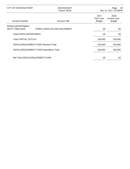| CITY OF STEVENS POINT                        | 2018 BUDGET<br>Period: 00/18                 |                                     | -82<br>Page:<br>Dec 21, 2017 04:25PM         |  |
|----------------------------------------------|----------------------------------------------|-------------------------------------|----------------------------------------------|--|
| <b>Account Number</b>                        | <b>Account Title</b>                         | 2017<br>Prior Year<br><b>Budget</b> | 2018<br><b>Current Year</b><br><b>Budget</b> |  |
| <b>PARKS DEPARTMENT</b><br>450.57.70620.8209 | PARKS VEHICLES AND EQUIPMENT                 | .00                                 | .00                                          |  |
| Total PARKS DEPARTMENT:                      |                                              | .00                                 | .00                                          |  |
| <b>Total CAPITAL OUTLAY:</b>                 |                                              | 150,000                             | 150,000                                      |  |
|                                              | <b>VEHICLE/EQUIPMENT FUND Revenue Total:</b> | 150,000                             | 150,000                                      |  |
|                                              | VEHICLE/EQUIPMENT FUND Expenditure Total:    | 150,000                             | 150,000                                      |  |
| Net Total VEHICLE/EQUIPMENT FUND:            |                                              | .00                                 | .00                                          |  |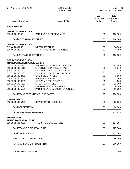| <b>CITY OF STEVENS POINT</b>                                                                                                                                                                                                                                                                                                                                 | 2018 BUDGET<br>Period: 00/18                                                                                                                                                                                                                                                                                                                                                         |                                                                                           | 83<br>Page:<br>Dec 21, 2017 04:25PM                                                                                    |
|--------------------------------------------------------------------------------------------------------------------------------------------------------------------------------------------------------------------------------------------------------------------------------------------------------------------------------------------------------------|--------------------------------------------------------------------------------------------------------------------------------------------------------------------------------------------------------------------------------------------------------------------------------------------------------------------------------------------------------------------------------------|-------------------------------------------------------------------------------------------|------------------------------------------------------------------------------------------------------------------------|
| <b>Account Number</b>                                                                                                                                                                                                                                                                                                                                        | <b>Account Title</b>                                                                                                                                                                                                                                                                                                                                                                 | 2017<br>Prior Year<br><b>Budget</b>                                                       | 2018<br><b>Current Year</b><br><b>Budget</b>                                                                           |
| <b>PARKING FUND</b>                                                                                                                                                                                                                                                                                                                                          |                                                                                                                                                                                                                                                                                                                                                                                      |                                                                                           |                                                                                                                        |
| <b>OPERATING REVENUES</b><br>615.45.20130.52                                                                                                                                                                                                                                                                                                                 | PARKING TICKET REVENUES                                                                                                                                                                                                                                                                                                                                                              | .00                                                                                       | 160,000                                                                                                                |
| <b>Total OPERATING REVENUES:</b>                                                                                                                                                                                                                                                                                                                             |                                                                                                                                                                                                                                                                                                                                                                                      | .00                                                                                       | 160,000                                                                                                                |
| <b>OPERATING REVENUES</b><br>615.46.20331.52<br>615.46.20332.52<br><b>Total OPERATING REVENUES:</b>                                                                                                                                                                                                                                                          | <b>METER REVENUE</b><br>(T) PARKING PERMIT REVENUE                                                                                                                                                                                                                                                                                                                                   | .00<br>.00<br>.00                                                                         | 94,000<br>6,000<br>100,000                                                                                             |
| <b>OPERATING EXPENSES</b><br><b>TRANSPORTATION/PUBLIC SAFETY</b><br>615.52.20100.1281<br>615.52.20100.1910<br>615.52.20100.1920<br>615.52.20100.1930<br>615.52.20100.3401<br>615.52.20100.3501<br>615.52.20100.3801<br>615.52.20100.5200<br>615.52.20100.5620<br>615.52.20100.5621<br><b>DEPRECIATION</b><br>615.52.20600.5450<br><b>Total DEPRECIATION:</b> | PART-TIME CSO/PRKNG OFCR WA<br><b>EMPLOYER CONTRIB/S.S. TAX</b><br><b>EMPLOYER CONTRIB/LIFE INSUR</b><br><b>WORKERS COMPENSATION PREM</b><br><b>GAS &amp; OIL CHARGES</b><br><b>PARTS &amp; SUPPLIES</b><br>UNIFORM REPLACEMENTS<br><b>CREDIT CARD FEES</b><br>PARKING METER EXPENSES<br>PARKING ENFORCEMENT EXPENSES<br>Total TRANSPORTATION/PUBLIC SAFETY:<br>DEPRECIATION EXPENSE | .00<br>.00.<br>.00.<br>.00<br>.00<br>.00<br>.00<br>.00<br>.00<br>.00<br>.00<br>.00<br>.00 | 43,689<br>3,342<br>48<br>1,857<br>2,000<br>1,000<br>1,000<br>12,000<br>30,000<br>10,000<br>104,936<br>28,000<br>28,000 |
| <b>Total OPERATING EXPENSES:</b>                                                                                                                                                                                                                                                                                                                             |                                                                                                                                                                                                                                                                                                                                                                                      | .00                                                                                       | 132,936                                                                                                                |
| <b>TRANSFER OUT</b><br><b>TRANS TO GENERAL FUND</b><br>615.59.99100.9500                                                                                                                                                                                                                                                                                     | TRANS TO GENERAL FUND                                                                                                                                                                                                                                                                                                                                                                | .00                                                                                       | 127,064                                                                                                                |
| <b>Total TRANS TO GENERAL FUND:</b>                                                                                                                                                                                                                                                                                                                          |                                                                                                                                                                                                                                                                                                                                                                                      | .00                                                                                       | 127,064                                                                                                                |
| <b>Total TRANSFER OUT:</b>                                                                                                                                                                                                                                                                                                                                   |                                                                                                                                                                                                                                                                                                                                                                                      | .00                                                                                       | 127,064                                                                                                                |
| <b>PARKING FUND Revenue Total:</b>                                                                                                                                                                                                                                                                                                                           |                                                                                                                                                                                                                                                                                                                                                                                      | .00                                                                                       | 260,000                                                                                                                |
| PARKING FUND Expenditure Total:                                                                                                                                                                                                                                                                                                                              |                                                                                                                                                                                                                                                                                                                                                                                      | .00                                                                                       | 260,000                                                                                                                |
| Net Total PARKING FUND:                                                                                                                                                                                                                                                                                                                                      |                                                                                                                                                                                                                                                                                                                                                                                      | .00                                                                                       | .00                                                                                                                    |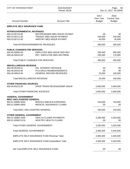| <b>CITY OF STEVENS POINT</b>                                  | 2018 BUDGET<br>Period: 00/18                                                                 |                                     | Page:<br>84<br>Dec 21, 2017 04:25PM          |
|---------------------------------------------------------------|----------------------------------------------------------------------------------------------|-------------------------------------|----------------------------------------------|
| <b>Account Number</b>                                         | <b>Account Title</b>                                                                         | 2017<br>Prior Year<br><b>Budget</b> | 2018<br><b>Current Year</b><br><b>Budget</b> |
| <b>EMPLOYE SELF INSURANCE FUND</b>                            |                                                                                              |                                     |                                              |
| <b>INTERGOVERNMENTAL REVENUES</b>                             |                                                                                              |                                     |                                              |
| 650.43.00710.00<br>650.43.00711.00<br>650.43.00712.00         | WATER/SEWER MED INSUR PAYMNT<br><b>TRANSIT MED INSUR PAYMENT</b><br>AIRPORT MED INSUR PAYMNT | .00<br>240,000<br>40,000            | .00<br>240,000<br>45,000                     |
| Total INTERGOVERNMENTAL REVENUES:                             |                                                                                              | 280,000                             | 285,000                                      |
| <b>PUBLIC CHARGES FOR SERVICES</b>                            |                                                                                              |                                     |                                              |
| 650.46.00500.00<br>650.46.00510.00                            | EMPLOYEE MED INSUR DED REV<br>RET. EMPLOYEE MED INS PREM.                                    | 285,000<br>195,000                  | 285,000<br>170,000                           |
| <b>Total PUBLIC CHARGES FOR SERVICES:</b>                     |                                                                                              | 480,000                             | 455,000                                      |
| <b>MISCELLANEOUS REVENUE</b>                                  |                                                                                              |                                     |                                              |
| 650.48.00100.51                                               | INV. INTEREST REVENUE                                                                        | .00                                 | .00                                          |
| 650.48.00410.00<br>650.48.00910.00                            | PCS DRUG REIMBURSEMENTS<br><b>GENERAL REFUND REVENUES</b>                                    | .00<br>25,000                       | .00<br>100,000                               |
| <b>Total MISCELLANEOUS REVENUE:</b>                           |                                                                                              | 25,000                              | 100,000                                      |
| <b>OTHER FINANCING SOURCES</b>                                |                                                                                              |                                     |                                              |
| 650.49.00215.00                                               | OPER TRANS REVENUE/EMP INSUR                                                                 | 2,600,000                           | 2,600,000                                    |
| <b>Total OTHER FINANCING SOURCES:</b>                         |                                                                                              | 2,600,000                           | 2,600,000                                    |
| <b>GENERAL GOVERNMENT</b><br><b>MISC UNCLASSIFIED GENERAL</b> |                                                                                              |                                     |                                              |
| 650.51.00850.5000                                             | <b>MISCELLANEOUS EXPENSES</b>                                                                | 100,000                             | 120,000                                      |
| 650.51.00850.5905                                             | MEDICAL INSURANCE CLAIMS                                                                     | .00                                 | .00                                          |
| Total MISC UNCLASSIFIED GENERAL:                              |                                                                                              | 100,000                             | 120,000                                      |
| <b>OTHER GENERAL GOVERNMENT</b>                               |                                                                                              |                                     |                                              |
| 650.51.00900.2005<br>650.51.00900.5118                        | <b>HEALTH CLAIMS PAYMENTS</b><br>NON PPO HEALTH CLAIMS                                       | 3,285,000<br>.00                    | 3,320,000<br>.00.                            |
| Total OTHER GENERAL GOVERNMENT:                               |                                                                                              | 3,285,000                           | 3,320,000                                    |
| <b>Total GENERAL GOVERNMENT:</b>                              |                                                                                              | 3,385,000                           | 3,440,000                                    |
|                                                               | <b>EMPLOYE SELF INSURANCE FUND Revenue Total:</b>                                            | 3,385,000                           | 3,440,000                                    |
|                                                               | <b>EMPLOYE SELF INSURANCE FUND Expenditure Total:</b>                                        | 3,385,000                           | 3,440,000                                    |
|                                                               | Net Total EMPLOYE SELF INSURANCE FUND:                                                       | .00                                 | .00                                          |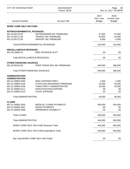| <b>CITY OF STEVENS POINT</b>                                                                                                                            | 2018 BUDGET<br>Period: 00/18                                                                                                                 |                                         | 85<br>Page:<br>Dec 21, 2017 04:25PM          |
|---------------------------------------------------------------------------------------------------------------------------------------------------------|----------------------------------------------------------------------------------------------------------------------------------------------|-----------------------------------------|----------------------------------------------|
| <b>Account Number</b>                                                                                                                                   | <b>Account Title</b>                                                                                                                         | 2017<br>Prior Year<br><b>Budget</b>     | 2018<br><b>Current Year</b><br><b>Budget</b> |
| <b>WORK COMP SELF INS FUND</b>                                                                                                                          |                                                                                                                                              |                                         |                                              |
| <b>INTERGOVERNMENTAL REVENUES</b><br>651.43.00710.00<br>651.43.00711.00<br>651.43.00712.00                                                              | <b>WATER/SEWER WC PREMIUMS</b><br><b>TRANSIT WC PREMIUMS</b><br><b>AIRPORT WC PREMIUMS</b>                                                   | 57,000<br>43,000<br>4,000               | 57,000<br>43,000<br>4,000                    |
|                                                                                                                                                         | Total INTERGOVERNMENTAL REVENUES:                                                                                                            | 104,000                                 | 104,000                                      |
| <b>MISCELLANEOUS REVENUES</b><br>651.48.19900.51                                                                                                        | MISC REVENUE ACCT                                                                                                                            | .00                                     | .00                                          |
| <b>Total MISCELLANEOUS REVENUES:</b>                                                                                                                    |                                                                                                                                              | .00                                     | .00.                                         |
| <b>OTHER FINANCING SOURCES</b><br>651.49.00215.00                                                                                                       | OPER TRANS REV WC PREMIUMS                                                                                                                   | 340,000                                 | 396,000                                      |
| <b>Total OTHER FINANCING SOURCES:</b>                                                                                                                   |                                                                                                                                              | 340,000                                 | 396,000                                      |
| <b>ADMINISTRATION</b><br><b>ADMINISTRATION</b><br>651.51.00850.5000<br>651.51.00850.5105<br>651.51.00850.5106<br>651.51.00850.5111<br>651.51.00850.5123 | <b>MISC EXPENDITURES</b><br>STOPLOSS INSURANCE PREMIUMS<br>THIRD PARTY ADMINISTRATOR<br><b>INVESTIGATION EXPENSE</b><br><b>LEGAL EXPENSE</b> | 1,000<br>33,000<br>10,000<br>.00<br>.00 | 1,000<br>35,000<br>10,000<br>.00<br>.00      |
| <b>Total ADMINISTRATION:</b>                                                                                                                            |                                                                                                                                              | 44,000                                  | 46,000                                       |
| <b>CLAIMS</b><br>651.51.00900.2005<br>651.51.00900.2007<br>651.51.00900.2008                                                                            | <b>MEDICAL CLAIMS PAYMENTS</b><br><b>WAGE PAYMENTS</b><br>PERMANENT DISABILITY                                                               | 400,000<br>.00.<br>.00                  | 454,000<br>.00<br>.00                        |
| <b>Total CLAIMS:</b>                                                                                                                                    |                                                                                                                                              | 400,000                                 | 454,000                                      |
| Total ADMINISTRATION:                                                                                                                                   |                                                                                                                                              | 444,000                                 | 500,000                                      |
|                                                                                                                                                         | <b>WORK COMP SELF INS FUND Revenue Total:</b>                                                                                                | 444,000                                 | 500,000                                      |
|                                                                                                                                                         | WORK COMP SELF INS FUND Expenditure Total:                                                                                                   | 444,000                                 | 500,000                                      |
| Net Total WORK COMP SELF INS FUND:                                                                                                                      |                                                                                                                                              | .00                                     | .00                                          |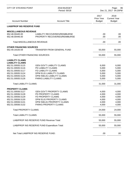| <b>CITY OF STEVENS POINT</b>                       | 2018 BUDGET<br>Period: 00/18                                    |                                     | 86<br>Page:<br>Dec 21, 2017 04:25PM          |  |
|----------------------------------------------------|-----------------------------------------------------------------|-------------------------------------|----------------------------------------------|--|
| <b>Account Number</b>                              | <b>Account Title</b>                                            | 2017<br>Prior Year<br><b>Budget</b> | 2018<br><b>Current Year</b><br><b>Budget</b> |  |
| <b>LIAB/PROP INS RESERVE FUND</b>                  |                                                                 |                                     |                                              |  |
| <b>MISCELLANEOUS REVENUE</b>                       |                                                                 |                                     |                                              |  |
| 652.48.00445.00<br>652.48.00446.00                 | LIABILITY RECOVERIES/REIMBURSE<br>PROPERTY RECOVERIES/REIMBURSE | .00<br>.00                          | .00<br>.00                                   |  |
| <b>Total MISCELLANEOUS REVENUE:</b>                |                                                                 | .00                                 | .00.                                         |  |
| <b>OTHER FINANCING SOURCES</b><br>652.49.19100.59  | <b>TRANSFER FROM GENERAL FUND</b>                               | 55,000                              | 55,000                                       |  |
|                                                    |                                                                 |                                     |                                              |  |
| <b>Total OTHER FINANCING SOURCES:</b>              |                                                                 | 55,000                              | 55,000                                       |  |
| <b>LIABILITY CLAIMS</b><br><b>LIABILITY CLAIMS</b> |                                                                 |                                     |                                              |  |
| 652.51.00935.5115                                  | <b>GEN GOV'T LIABILITY CLAIMS</b>                               | 6,000                               | 6,000                                        |  |
| 652.51.00935.5116                                  | PD LIABILITY CLAIMS                                             | 5,000                               | 5,000                                        |  |
| 652.51.00935.5117                                  | FD LIABILITY CLAIMS                                             | 5,000                               | 5,000                                        |  |
| 652.51.00935.5124                                  | <b>DPW ELIG LIABILITY CLAIMS</b>                                | 5,000                               | 5,000                                        |  |
| 652.51.00935.5125                                  | DPW INELIG LIABILITY CLAIMS                                     | 5,000                               | 5,000                                        |  |
| 652.51.00935.5126                                  | PARKS LIABILITY CLAIMS                                          | 5,000                               | 5,000                                        |  |
| <b>Total LIABILITY CLAIMS:</b>                     |                                                                 | 31,000                              | 31,000                                       |  |
| <b>PROPERTY CLAIMS</b>                             |                                                                 |                                     |                                              |  |
| 652.51.00936.5127                                  | <b>GEN GOV'T PROPERTY CLAIMS</b>                                | 4,000                               | 4,000                                        |  |
| 652.51.00936.5128                                  | PD PROPERTY CLAIMS                                              | 4,000                               | 4,000                                        |  |
| 652.51.00936.5129                                  | FD PROPERTY CLAIMS                                              | 4,000                               | 4,000                                        |  |
| 652.51.00936.5130                                  | DPW ELIG PROPERTY CLAIMS                                        | 4,000                               | 4,000                                        |  |
| 652.51.00936.5131                                  | DPW INELIG PROPERTY CLAIMS                                      | 4,000                               | 4,000                                        |  |
| 652.51.00936.5132                                  | PARKS PROPERTY CLAIMS                                           | 4,000                               | 4,000                                        |  |
| <b>Total PROPERTY CLAIMS:</b>                      |                                                                 | 24,000                              | 24,000                                       |  |
| <b>Total LIABILITY CLAIMS:</b>                     |                                                                 | 55,000                              | 55,000                                       |  |
|                                                    | LIAB/PROP INS RESERVE FUND Revenue Total:                       | 55,000                              | 55,000                                       |  |
|                                                    | LIAB/PROP INS RESERVE FUND Expenditure Total:                   | 55,000                              | 55,000                                       |  |
|                                                    | Net Total LIAB/PROP INS RESERVE FUND:                           | .00                                 | .00.                                         |  |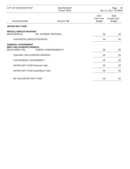| <b>CITY OF STEVENS POINT</b>                                                       | 2018 BUDGET<br>Period: 00/18 | 87<br>Page:<br>Dec 21, 2017 04:25PM |                                              |
|------------------------------------------------------------------------------------|------------------------------|-------------------------------------|----------------------------------------------|
| <b>Account Number</b>                                                              | <b>Account Title</b>         | 2017<br>Prior Year<br><b>Budget</b> | 2018<br><b>Current Year</b><br><b>Budget</b> |
| <b>UNITED WAY FUND</b>                                                             |                              |                                     |                                              |
| <b>MISCELLANEOUS REVENUE</b><br>800.48.00100.51                                    | INV. INTEREST REVENUE        | .00.                                | .00.                                         |
| <b>Total MISCELLANEOUS REVENUE:</b>                                                |                              | .00.                                | .00.                                         |
| <b>GENERAL GOVERNMENT</b><br><b>MISC UNCLASSIFIED GENERAL</b><br>800.51.00850.7100 | <b>SUBSIDY DISBURSEMENTS</b> | .00.                                | .00.                                         |
| Total MISC UNCLASSIFIED GENERAL:                                                   |                              | .00.                                | .00.                                         |
| <b>Total GENERAL GOVERNMENT:</b>                                                   |                              | .00                                 | .00                                          |
| <b>UNITED WAY FUND Revenue Total:</b>                                              |                              | .00                                 | .00.                                         |
| <b>UNITED WAY FUND Expenditure Total:</b>                                          |                              | .00.                                | .00                                          |
| Net Total UNITED WAY FUND:                                                         |                              | .00.                                | .00                                          |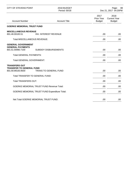| <b>CITY OF STEVENS POINT</b>                                                 | 2018 BUDGET<br>Period: 00/18                         |                                     | Page:<br>88<br>Dec 21, 2017 04:25PM          |
|------------------------------------------------------------------------------|------------------------------------------------------|-------------------------------------|----------------------------------------------|
| <b>Account Number</b>                                                        | <b>Account Title</b>                                 | 2017<br>Prior Year<br><b>Budget</b> | 2018<br><b>Current Year</b><br><b>Budget</b> |
| <b>GOERKE MEMORIAL TRUST FUND</b>                                            |                                                      |                                     |                                              |
| <b>MISCELLANEOUS REVENUE</b><br>801.48.00100.51                              | <b>INV. INTEREST REVENUE</b>                         | .00                                 | .00.                                         |
| <b>Total MISCELLANEOUS REVENUE:</b>                                          |                                                      | .00                                 | .00.                                         |
| <b>GENERAL GOVERNMENT</b><br><b>GENERAL PAYMENTS</b><br>801.51.00990.7100    | <b>SUBSIDY DISBURSEMENTS</b>                         | .00                                 | .00                                          |
| <b>Total GENERAL PAYMENTS:</b>                                               |                                                      | .00                                 | .00                                          |
| <b>Total GENERAL GOVERNMENT:</b>                                             |                                                      | .00                                 | .00                                          |
| <b>TRANSFERS OUT</b><br><b>TRANSFER TO GENERAL FUND</b><br>801.59.99100.9500 | <b>TRANS TO GENERAL FUND</b>                         | .00                                 | .00                                          |
| Total TRANSFER TO GENERAL FUND:                                              |                                                      | .00.                                | .00                                          |
| <b>Total TRANSFERS OUT:</b>                                                  |                                                      | .00                                 | .00                                          |
|                                                                              | <b>GOERKE MEMORIAL TRUST FUND Revenue Total:</b>     | .00                                 | .00                                          |
|                                                                              | <b>GOERKE MEMORIAL TRUST FUND Expenditure Total:</b> | .00                                 | .00                                          |
|                                                                              | Net Total GOERKE MEMORIAL TRUST FUND:                | .00                                 | .00                                          |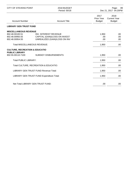| <b>CITY OF STEVENS POINT</b>                                                          | 2018 BUDGET<br>Period: 00/18                                                                   |                                     | 89<br>Page:<br>Dec 21, 2017 04:25PM          |  |
|---------------------------------------------------------------------------------------|------------------------------------------------------------------------------------------------|-------------------------------------|----------------------------------------------|--|
| <b>Account Number</b>                                                                 | <b>Account Title</b>                                                                           | 2017<br>Prior Year<br><b>Budget</b> | 2018<br><b>Current Year</b><br><b>Budget</b> |  |
| <b>LIBRARY GEN TRUST FUND</b>                                                         |                                                                                                |                                     |                                              |  |
| <b>MISCELLANEOUS REVENUE</b><br>802.48.00100.51<br>802.48.00950.55<br>802.48.00954.55 | <b>INV. INTEREST REVENUE</b><br>CAPITAL (GAIN)/LOSS ON INVEST<br>UNREALIZED (GAIN)/LOSS ON INV | 1,950<br>.00.<br>.00                | .00<br>.00.<br>.00.                          |  |
| <b>Total MISCELLANEOUS REVENUE:</b>                                                   |                                                                                                | 1,950                               | .00                                          |  |
| <b>CULTURE, RECREATION &amp; EDUCATIO</b><br><b>PUBLIC LIBRARY</b>                    |                                                                                                |                                     |                                              |  |
| 802.55.00110.7100                                                                     | <b>SUBSIDY DISBURSEMENTS</b>                                                                   | 1,950                               | .00.                                         |  |
| <b>Total PUBLIC LIBRARY:</b>                                                          |                                                                                                | 1,950                               | .00                                          |  |
| Total CULTURE, RECREATION & EDUCATIO:                                                 |                                                                                                | 1,950                               | .00                                          |  |
| <b>LIBRARY GEN TRUST FUND Revenue Total:</b>                                          |                                                                                                | 1,950                               | .00.                                         |  |
|                                                                                       | LIBRARY GEN TRUST FUND Expenditure Total:                                                      | 1,950                               | .00.                                         |  |
| Net Total LIBRARY GEN TRUST FUND:                                                     |                                                                                                | .00                                 | .00.                                         |  |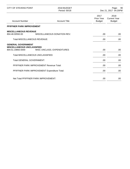| CITY OF STEVENS POINT                                                               | 2018 BUDGET<br>Period: 00/18                 |                                     | Page:<br>90<br>Dec 21, 2017 04:25PM          |  |
|-------------------------------------------------------------------------------------|----------------------------------------------|-------------------------------------|----------------------------------------------|--|
| <b>Account Number</b>                                                               | <b>Account Title</b>                         | 2017<br>Prior Year<br><b>Budget</b> | 2018<br><b>Current Year</b><br><b>Budget</b> |  |
| PFIFFNER PARK IMPROVEMENT                                                           |                                              |                                     |                                              |  |
| <b>MISCELLANEOUS REVENUE</b><br>804.48.00550.00                                     | MISCELLANEOUS DONATION REV.                  | .00.                                | .00                                          |  |
| <b>Total MISCELLANEOUS REVENUE:</b>                                                 |                                              | .00                                 | .00                                          |  |
| <b>GENERAL GOVERNMENT</b><br><b>MISCELLANEOUS UNCLASSIFIED</b><br>804.51.19850.5000 | MISC UNCLASS, EXPENDITURES                   | .00.                                | .00                                          |  |
| Total MISCELLANEOUS UNCLASSIFIED:                                                   |                                              | .00                                 | .00.                                         |  |
| <b>Total GENERAL GOVERNMENT:</b>                                                    |                                              | .00                                 | .00                                          |  |
| PFIFFNER PARK IMPROVEMENT Revenue Total:                                            |                                              | .00                                 | .00.                                         |  |
|                                                                                     | PFIFFNER PARK IMPROVEMENT Expenditure Total: | .00                                 | .00                                          |  |
|                                                                                     | Net Total PFIFFNER PARK IMPROVEMENT:         | .00                                 | .00                                          |  |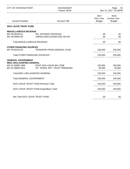| <b>CITY OF STEVENS POINT</b>                                                                                                                                           | 2018 BUDGET<br>Period: 00/18                                  |                                     | Page:<br>- 91<br>Dec 21, 2017 04:25PM        |
|------------------------------------------------------------------------------------------------------------------------------------------------------------------------|---------------------------------------------------------------|-------------------------------------|----------------------------------------------|
| <b>Account Number</b>                                                                                                                                                  | <b>Account Title</b>                                          | 2017<br>Prior Year<br><b>Budget</b> | 2018<br><b>Current Year</b><br><b>Budget</b> |
| <b>SICK LEAVE TRUST FUND</b>                                                                                                                                           |                                                               |                                     |                                              |
| <b>MISCELLANEOUS REVENUE</b><br>807.48.00100.51<br>807.48.00954.55<br><b>Total MISCELLANEOUS REVENUE:</b>                                                              | <b>INV. INTEREST REVENUE</b><br>UNREALIZED (GAIN)/LOSS ON INV | .00<br>.00.<br>.00                  | .00<br>.00<br>.00                            |
| <b>OTHER FINANCING SOURCES</b><br>807.49.00210.00                                                                                                                      | <b>TRANSFER FROM GENERAL FUND</b>                             | 235,000                             | 245,000                                      |
| <b>Total OTHER FINANCING SOURCES:</b>                                                                                                                                  |                                                               | 235,000                             | 245,000                                      |
| <b>GENERAL GOVERNMENT</b><br><b>MISC UNCLASSIFIED GENERAL</b><br>807.51.00850.1995<br>PEHP SICK LEAVE BAL DISB.<br>807.51.00850.9012<br>OP. TRANS. RET. TRUST PREMIUMS |                                                               | 150,000<br>85,000                   | 200,000<br>45,000                            |
| Total MISC UNCLASSIFIED GENERAL:                                                                                                                                       |                                                               | 235,000                             | 245,000                                      |
| <b>Total GENERAL GOVERNMENT:</b>                                                                                                                                       |                                                               | 235,000                             | 245,000                                      |
| <b>SICK LEAVE TRUST FUND Revenue Total:</b>                                                                                                                            |                                                               | 235,000                             | 245,000                                      |
|                                                                                                                                                                        | SICK LEAVE TRUST FUND Expenditure Total:                      | 235,000                             | 245,000                                      |
| Net Total SICK LEAVE TRUST FUND:                                                                                                                                       |                                                               | .00                                 | .00                                          |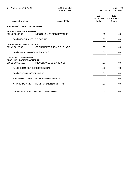| <b>CITY OF STEVENS POINT</b>                                                           | 2018 BUDGET<br>Period: 00/18             | 92<br>Page:<br>Dec 21, 2017 04:25PM        |                                              |
|----------------------------------------------------------------------------------------|------------------------------------------|--------------------------------------------|----------------------------------------------|
| <b>Account Number</b>                                                                  | <b>Account Title</b>                     | 2017<br><b>Prior Year</b><br><b>Budget</b> | 2018<br><b>Current Year</b><br><b>Budget</b> |
| <b>ARTS ENDOWMENT TRUST FUND</b>                                                       |                                          |                                            |                                              |
| <b>MISCELLANEOUS REVENUE</b><br>809.48.00900.00<br><b>Total MISCELLANEOUS REVENUE:</b> | MISC UNCLASSIFIED REVENUE                | .00.<br>.00                                | .00<br>.00                                   |
| <b>OTHER FINANCING SOURCES</b><br>809.49.00220.00<br>OP TRANSFER FROM S.R. FUNDS       |                                          | .00                                        | .00                                          |
| <b>Total OTHER FINANCING SOURCES:</b>                                                  |                                          | .00                                        | .00                                          |
| <b>GENERAL GOVERNMENT</b><br><b>MISC UNCLASSIFIED GENERAL</b><br>809.51.00850.5000     | MISCELLANEOUS EXPENSES                   | .00                                        | .00                                          |
| Total MISC UNCLASSIFIED GENERAL:                                                       |                                          | .00                                        | .00                                          |
| <b>Total GENERAL GOVERNMENT:</b>                                                       |                                          | .00                                        | .00                                          |
|                                                                                        | ARTS ENDOWMENT TRUST FUND Revenue Total: |                                            | .00                                          |
| ARTS ENDOWMENT TRUST FUND Expenditure Total:                                           |                                          | .00                                        | .00.                                         |
| Net Total ARTS ENDOWMENT TRUST FUND:                                                   |                                          | .00                                        | .00                                          |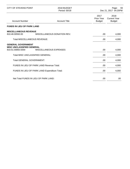| CITY OF STEVENS POINT                                                              | 2018 BUDGET<br>Period: 00/18                  | 93<br>Page:<br>Dec 21, 2017 04:25PM |                                              |
|------------------------------------------------------------------------------------|-----------------------------------------------|-------------------------------------|----------------------------------------------|
| <b>Account Number</b>                                                              | <b>Account Title</b>                          | 2017<br>Prior Year<br><b>Budget</b> | 2018<br><b>Current Year</b><br><b>Budget</b> |
| <b>FUNDS IN LIEU OF PARK LAND</b>                                                  |                                               |                                     |                                              |
| <b>MISCELLANEOUS REVENUE</b><br>810.48.00550.00                                    | MISCELLANEOUS DONATION REV.                   | .00.                                | 4,000                                        |
| <b>Total MISCELLANEOUS REVENUE:</b>                                                |                                               | .00                                 | 4,000                                        |
| <b>GENERAL GOVERNMENT</b><br><b>MISC UNCLASSIFIED GENERAL</b><br>810.51.00850.5000 | MISCELLANEOUS EXPENSES                        | .00.                                | 4,000                                        |
| Total MISC UNCLASSIFIED GENERAL:                                                   |                                               | .00                                 | 4,000                                        |
| <b>Total GENERAL GOVERNMENT:</b>                                                   |                                               | .00                                 | 4,000                                        |
| <b>FUNDS IN LIEU OF PARK LAND Revenue Total:</b>                                   |                                               | .00                                 | 4,000                                        |
|                                                                                    | FUNDS IN LIEU OF PARK LAND Expenditure Total: | .00                                 | 4,000                                        |
|                                                                                    | Net Total FUNDS IN LIEU OF PARK LAND:         | .00                                 | .00                                          |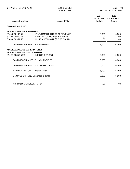| <b>CITY OF STEVENS POINT</b>                                                           | 2018 BUDGET<br>Period: 00/18                                                                         | 94<br>Page:<br>Dec 21, 2017 04:25PM |                                              |
|----------------------------------------------------------------------------------------|------------------------------------------------------------------------------------------------------|-------------------------------------|----------------------------------------------|
| <b>Account Number</b>                                                                  | <b>Account Title</b>                                                                                 | 2017<br>Prior Year<br><b>Budget</b> | 2018<br><b>Current Year</b><br><b>Budget</b> |
| <b>SMONGESKI FUND</b>                                                                  |                                                                                                      |                                     |                                              |
| <b>MISCELLANEOUS REVENUES</b><br>814.48.00100.51<br>814.48.00950.55<br>814.48.00954.55 | <b>INVESTMENT INTEREST REVENUE</b><br>CAPITAL (GAIN)/LOSS ON INVEST<br>UNREALIZED (GAIN)/LOSS ON INV | 6,000<br>.00<br>.00                 | 6,000<br>.00<br>.00                          |
| <b>Total MISCELLANEOUS REVENUES:</b>                                                   |                                                                                                      | 6,000                               | 6,000                                        |
| <b>MISCELLANEOUS EXPENDITURES</b><br><b>MISCELLANEOUS UNCLASSIFIED</b>                 |                                                                                                      |                                     |                                              |
| 814.51.00850.5000                                                                      | <b>MISC EXPENSES</b>                                                                                 | 6,000                               | 6,000                                        |
| Total MISCELLANEOUS UNCLASSIFIED:                                                      | 6,000                                                                                                | 6,000                               |                                              |
| <b>Total MISCELLANEOUS EXPENDITURES:</b>                                               |                                                                                                      | 6,000                               | 6,000                                        |
| <b>SMONGESKI FUND Revenue Total:</b>                                                   |                                                                                                      | 6,000                               | 6,000                                        |
| <b>SMONGESKI FUND Expenditure Total:</b>                                               |                                                                                                      | 6,000                               | 6,000                                        |
| Net Total SMONGESKI FUND:                                                              |                                                                                                      | .00                                 | .00                                          |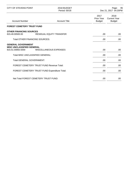| CITY OF STEVENS POINT                                                              | 2018 BUDGET<br>Period: 00/18    | 95<br>Page:<br>Dec 21, 2017 04:25PM        |                                              |
|------------------------------------------------------------------------------------|---------------------------------|--------------------------------------------|----------------------------------------------|
| <b>Account Number</b>                                                              | <b>Account Title</b>            | 2017<br><b>Prior Year</b><br><b>Budget</b> | 2018<br><b>Current Year</b><br><b>Budget</b> |
| <b>FOREST CEMETERY TRUST FUND</b>                                                  |                                 |                                            |                                              |
| <b>OTHER FINANCING SOURCES</b><br>815.49.00500.00                                  | <b>RESIDUAL EQUITY TRANSFER</b> | .00.                                       | .00                                          |
| <b>Total OTHER FINANCING SOURCES:</b>                                              | .00                             | .00.                                       |                                              |
| <b>GENERAL GOVERNMENT</b><br><b>MISC UNCLASSIFIED GENERAL</b><br>815.51.00850.5000 | MISCELLANEOUS EXPENSES          | .00.                                       | .00                                          |
| Total MISC UNCLASSIFIED GENERAL:                                                   | .00                             | .00                                        |                                              |
| <b>Total GENERAL GOVERNMENT:</b>                                                   | .00                             | .00                                        |                                              |
| FOREST CEMETERY TRUST FUND Revenue Total:                                          |                                 | .00                                        | .00                                          |
| FOREST CEMETERY TRUST FUND Expenditure Total:                                      |                                 | .00                                        | .00.                                         |
| Net Total FOREST CEMETERY TRUST FUND:                                              |                                 | .00                                        | .00                                          |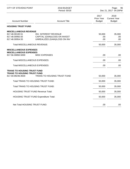| <b>CITY OF STEVENS POINT</b>                                             | 2018 BUDGET<br>Period: 00/18                                                                   | Page:<br>96<br>Dec 21, 2017 04:25PM |                                              |
|--------------------------------------------------------------------------|------------------------------------------------------------------------------------------------|-------------------------------------|----------------------------------------------|
| <b>Account Number</b>                                                    | <b>Account Title</b>                                                                           | 2017<br>Prior Year<br><b>Budget</b> | 2018<br><b>Current Year</b><br><b>Budget</b> |
| <b>HOUSING TRUST FUND</b>                                                |                                                                                                |                                     |                                              |
| <b>MISCELLANEOUS REVENUE</b>                                             |                                                                                                |                                     |                                              |
| 817.48.00100.51<br>817.48.00950.55<br>817.48.00954.55                    | <b>INV. INTEREST REVENUE</b><br>CAPITAL (GAIN)/LOSS ON INVEST<br>UNREALIZED (GAIN)/LOSS ON INV | 50,000<br>.00.<br>.00               | 35,000<br>.00<br>.00                         |
| <b>Total MISCELLANEOUS REVENUE:</b>                                      |                                                                                                | 50,000                              | 35,000                                       |
| <b>MISCELLANEOUS EXPENSES</b><br><b>MISCELLANEOUS EXPENSES</b>           |                                                                                                |                                     |                                              |
| 817.56.00850.5000                                                        | <b>MISC EXPENSES</b>                                                                           | .00                                 | .00.                                         |
| Total MISCELLANEOUS EXPENSES:                                            |                                                                                                | .00                                 | .00                                          |
| Total MISCELLANEOUS EXPENSES:                                            |                                                                                                | .00                                 | .00                                          |
| <b>TRANS TO HOUSING TRUST FUND</b><br><b>TRANS TO HOUSING TRUST FUND</b> |                                                                                                |                                     |                                              |
| 817.59.99246.9500                                                        | TRANS TO HOUSING TRUST FUND                                                                    | 50,000                              | 35,000                                       |
| Total TRANS TO HOUSING TRUST FUND:                                       |                                                                                                | 50,000                              | 35,000                                       |
| Total TRANS TO HOUSING TRUST FUND:                                       |                                                                                                | 50,000                              | 35,000                                       |
| <b>HOUSING TRUST FUND Revenue Total:</b>                                 |                                                                                                | 50,000                              | 35,000                                       |
| <b>HOUSING TRUST FUND Expenditure Total:</b>                             |                                                                                                | 50,000                              | 35,000                                       |
| Net Total HOUSING TRUST FUND:                                            |                                                                                                | .00                                 | .00                                          |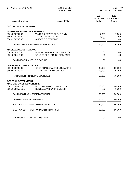| <b>CITY OF STEVENS POINT</b>              | 2018 BUDGET<br>Period: 00/18        | 97<br>Page:<br>Dec 21, 2017 04:25PM        |                                              |
|-------------------------------------------|-------------------------------------|--------------------------------------------|----------------------------------------------|
| <b>Account Number</b>                     | <b>Account Title</b>                | 2017<br><b>Prior Year</b><br><b>Budget</b> | 2018<br><b>Current Year</b><br><b>Budget</b> |
| <b>SECTION 125 TRUST FUND</b>             |                                     |                                            |                                              |
| <b>INTERGOVERNMENTAL REVENUES</b>         |                                     |                                            |                                              |
| 850.43.00701.00                           | WATER & SEWER FLEX REIMB.           | 7,000                                      | 7,000                                        |
| 850.43.00702.00                           | <b>TRANSIT FLEX REIMB</b>           | 3,000                                      | 3,000                                        |
| 850.43.00703.00                           | <b>AIRPORT FLEX REIMB</b>           | .00                                        | .00.                                         |
| Total INTERGOVERNMENTAL REVENUES:         | 10,000                              | 10,000                                     |                                              |
| <b>MISCELLANEOUS REVENUE</b>              |                                     |                                            |                                              |
| 850.48.00918.00                           | <b>REFUNDS FROM ADMINISTRATOR</b>   | .00                                        | .00                                          |
| 850.48.00919.00                           | UNUSED FLEX FUNDS RETURNED          | .00                                        | .00                                          |
| <b>Total MISCELLANEOUS REVENUE:</b>       | .00                                 | .00.                                       |                                              |
| <b>OTHER FINANCING SOURCES</b>            |                                     |                                            |                                              |
| 850.49.00290.00                           | OPER TRANS/PAYROLL CLEARING         | 40,000                                     | 60,000                                       |
| 850.49.19100.59                           | <b>TRANSFER FROM FUND 100</b>       | 10,000                                     | 10,000                                       |
| <b>Total OTHER FINANCING SOURCES:</b>     | 50,000                              | 70,000                                     |                                              |
| <b>GENERAL GOVERNMENT</b>                 |                                     |                                            |                                              |
| <b>MISC UNCLASSIFIED GENERAL</b>          |                                     |                                            |                                              |
| 850.51.00850.1980                         | FLEX SPENDING CLAIM REIMB           | 60,000                                     | 40,000                                       |
| 850.51.00850.1985                         | <b>DENTAL &amp; VISION PREMIUMS</b> | .00                                        | 40,000                                       |
| Total MISC UNCLASSIFIED GENERAL:          |                                     | 60,000                                     | 80,000                                       |
| <b>Total GENERAL GOVERNMENT:</b>          |                                     | 60,000                                     | 80,000                                       |
| SECTION 125 TRUST FUND Revenue Total:     |                                     | 60,000                                     | 80,000                                       |
| SECTION 125 TRUST FUND Expenditure Total: |                                     | 60,000                                     | 80,000                                       |
| Net Total SECTION 125 TRUST FUND:         |                                     | .00                                        | .00.                                         |